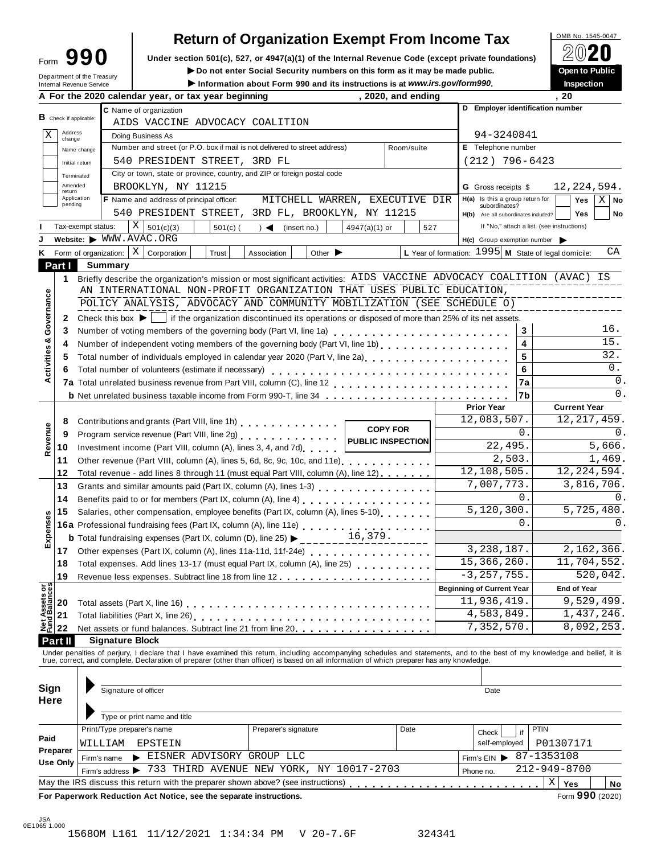## **Return of Organization Exempt From Income Tax**<br>section 501(c), 527, or 4947(a)(1) of the Internal Revenue Code (except private foundations)

**Under section** 501(c), 527, or 4947(a)(1) of the Internal Revenue Code (except private foundations)  $2020$ 

|              |                        | Form フフリ                   | Under section 501(c), 527, or 4947(a)(1) or the internal Revenue Code (except private foundations)                                     |                                             |                                  |                                                                 | ▱◡▰◡                |  |  |
|--------------|------------------------|----------------------------|----------------------------------------------------------------------------------------------------------------------------------------|---------------------------------------------|----------------------------------|-----------------------------------------------------------------|---------------------|--|--|
|              |                        | Department of the Treasury | Do not enter Social Security numbers on this form as it may be made public.                                                            |                                             |                                  |                                                                 | Open to Public      |  |  |
|              |                        | Internal Revenue Service   | Information about Form 990 and its instructions is at www.irs.gov/form990.<br>A For the 2020 calendar year, or tax year beginning      | , 2020, and ending                          |                                  |                                                                 | Inspection<br>. 20  |  |  |
|              |                        |                            |                                                                                                                                        |                                             |                                  |                                                                 |                     |  |  |
|              | B Check if applicable: |                            | C Name of organization<br>AIDS VACCINE ADVOCACY COALITION                                                                              |                                             | D Employer identification number |                                                                 |                     |  |  |
| X            | Address                |                            |                                                                                                                                        |                                             |                                  | 94-3240841                                                      |                     |  |  |
|              | change                 |                            | Doing Business As<br>Number and street (or P.O. box if mail is not delivered to street address)                                        |                                             | Room/suite                       | E Telephone number                                              |                     |  |  |
|              |                        | Name change                |                                                                                                                                        |                                             |                                  |                                                                 |                     |  |  |
|              | Initial return         |                            | 540 PRESIDENT STREET, 3RD FL<br>City or town, state or province, country, and ZIP or foreign postal code                               |                                             |                                  | $(212)$ 796-6423                                                |                     |  |  |
|              | Terminated<br>Amended  |                            |                                                                                                                                        |                                             |                                  |                                                                 |                     |  |  |
|              | return<br>Application  |                            | BROOKLYN, NY 11215                                                                                                                     |                                             |                                  | <b>G</b> Gross receipts \$<br>$H(a)$ Is this a group return for | 12, 224, 594.       |  |  |
|              | pending                |                            | F Name and address of principal officer:<br>MITCHELL WARREN, EXECUTIVE DIR                                                             |                                             |                                  | subordinates?                                                   | $X \mid$ No<br>Yes  |  |  |
|              |                        |                            | 540 PRESIDENT STREET, 3RD FL, BROOKLYN, NY 11215                                                                                       |                                             |                                  | H(b) Are all subordinates included?                             | <b>Yes</b><br>No    |  |  |
|              |                        | Tax-exempt status:         | Χ<br>501(c)(3)<br>$501(c)$ (<br>$\rightarrow$<br>(insert no.)                                                                          | $4947(a)(1)$ or                             | 527                              | If "No," attach a list. (see instructions)                      |                     |  |  |
|              |                        | Website: WWW.AVAC.ORG      |                                                                                                                                        |                                             |                                  | $H(c)$ Group exemption number $\triangleright$                  |                     |  |  |
| Κ            |                        | Form of organization:      | $\vert$ X<br>Corporation<br>Trust<br>Other $\blacktriangleright$<br>Association                                                        |                                             |                                  | L Year of formation: $1995$ M State of legal domicile:          | CA                  |  |  |
|              | Part I                 | Summary                    |                                                                                                                                        |                                             |                                  |                                                                 |                     |  |  |
|              | 1                      |                            | Briefly describe the organization's mission or most significant activities: AIDS VACCINE ADVOCACY COALITION (AVAC) IS                  |                                             |                                  |                                                                 |                     |  |  |
|              |                        |                            | AN INTERNATIONAL NON-PROFIT ORGANIZATION THAT USES PUBLIC EDUCATION,                                                                   |                                             |                                  |                                                                 |                     |  |  |
|              |                        |                            | POLICY ANALYSIS, ADVOCACY AND COMMUNITY MOBILIZATION (SEE SCHEDULE O)                                                                  |                                             |                                  |                                                                 |                     |  |  |
| Governance   | 2                      |                            | Check this box $\blacktriangleright$   if the organization discontinued its operations or disposed of more than 25% of its net assets. |                                             |                                  |                                                                 |                     |  |  |
|              | 3                      |                            | Number of voting members of the governing body (Part VI, line 1a)                                                                      |                                             | 3                                | 16.                                                             |                     |  |  |
|              | 4                      |                            | Number of independent voting members of the governing body (Part VI, line 1b)                                                          | 4                                           | 15.                              |                                                                 |                     |  |  |
| Activities & | 5                      |                            | Total number of individuals employed in calendar year 2020 (Part V, line 2a)                                                           |                                             | 5                                | 32.                                                             |                     |  |  |
|              | 6                      |                            | Total number of volunteers (estimate if necessary)                                                                                     |                                             |                                  | 6                                                               | $0$ .               |  |  |
|              |                        |                            |                                                                                                                                        |                                             |                                  | 7a                                                              | $\mathbf 0$ .       |  |  |
|              |                        |                            |                                                                                                                                        |                                             |                                  | 7b                                                              | $\Omega$ .          |  |  |
|              |                        |                            |                                                                                                                                        |                                             |                                  | <b>Prior Year</b>                                               | <b>Current Year</b> |  |  |
|              | 8                      |                            | Contributions and grants (Part VIII, line 1h)                                                                                          |                                             |                                  | 12,083,507.                                                     | 12, 217, 459.       |  |  |
| Revenue      | 9                      |                            | Program service revenue (Part VIII, line 2g)                                                                                           | <b>COPY FOR</b><br><b>PUBLIC INSPECTION</b> |                                  | 0.                                                              | 0.                  |  |  |
|              | 10                     |                            | Investment income (Part VIII, column (A), lines 3, 4, and 7d)                                                                          |                                             |                                  | 22,495.                                                         | 5,666.              |  |  |
|              | 11                     |                            | Other revenue (Part VIII, column (A), lines 5, 6d, 8c, 9c, 10c, and 11e)                                                               |                                             |                                  | 2,503.                                                          | 1,469.              |  |  |
|              | 12                     |                            | Total revenue - add lines 8 through 11 (must equal Part VIII, column (A), line 12)                                                     |                                             |                                  | 12, 108, 505.                                                   | 12, 224, 594.       |  |  |
|              | 13                     |                            |                                                                                                                                        |                                             |                                  | 7,007,773.                                                      | 3,816,706.          |  |  |
|              | 14                     |                            |                                                                                                                                        |                                             |                                  | 0.                                                              | 0.                  |  |  |
|              | 15                     |                            | Salaries, other compensation, employee benefits (Part IX, column (A), lines 5-10)                                                      |                                             |                                  | 5, 120, 300.                                                    | 5,725,480.          |  |  |
| xpenses      |                        |                            | 16a Professional fundraising fees (Part IX, column (A), line 11e)                                                                      |                                             |                                  | 0.                                                              | 0.                  |  |  |
|              |                        |                            | <b>b</b> Total fundraising expenses (Part IX, column (D), line 25)                                                                     | 16,379.                                     |                                  |                                                                 |                     |  |  |
| ш            | 17                     |                            | Other expenses (Part IX, column (A), lines 11a-11d, 11f-24e)                                                                           |                                             |                                  | 3,238,187.                                                      | 2,162,366.          |  |  |
|              | 18                     |                            | Total expenses. Add lines 13-17 (must equal Part IX, column (A), line 25)                                                              |                                             |                                  | 15, 366, 260.                                                   | 11,704,552.         |  |  |
|              | 19                     |                            |                                                                                                                                        |                                             |                                  | $-3, 257, 755.$                                                 | 520,042.            |  |  |
|              |                        |                            |                                                                                                                                        |                                             |                                  | <b>Beginning of Current Year</b>                                | <b>End of Year</b>  |  |  |
|              |                        |                            |                                                                                                                                        |                                             |                                  | 11,936,419.                                                     | 9,529,499.          |  |  |
|              |                        |                            |                                                                                                                                        |                                             |                                  | 4,583,849.                                                      | 1,437,246.          |  |  |
|              |                        |                            |                                                                                                                                        |                                             |                                  | 7,352,570.                                                      | 8,092,253.          |  |  |
|              | Part II                | <b>Signature Block</b>     |                                                                                                                                        |                                             |                                  |                                                                 |                     |  |  |

Under penalties of perjury, I declare that I have examined this return, including accompanying schedules and statements, and to the best of my knowledge and belief, it is<br>true, correct, and complete. Declaration of prepare

| Sign<br>Here                | Signature of officer                                                                   |                      |              | Date          |    |             |                                                                            |  |  |
|-----------------------------|----------------------------------------------------------------------------------------|----------------------|--------------|---------------|----|-------------|----------------------------------------------------------------------------|--|--|
|                             | Type or print name and title                                                           |                      |              |               |    |             |                                                                            |  |  |
|                             | Print/Type preparer's name                                                             | Preparer's signature | Date         | Check         | if | <b>PTIN</b> |                                                                            |  |  |
| Paid                        | WILLIAM<br>EPSTEIN                                                                     |                      |              | self-employed |    | P01307171   |                                                                            |  |  |
| Preparer<br><b>Use Only</b> | EISNER ADVISORY GROUP LLC<br>Firm's name                                               | Firm's $EIN$         |              | 87-1353108    |    |             |                                                                            |  |  |
|                             | 733 THIRD AVENUE NEW YORK, NY 10017-2703<br>Firm's address >                           |                      | 212-949-8700 |               |    |             |                                                                            |  |  |
|                             | May the IRS discuss this return with the preparer shown above? (see instructions)      |                      |              |               |    | Χ<br>Yes    | No                                                                         |  |  |
|                             | Four Mass associated Machinese from Alast Masters and a statement of a statement and a |                      |              |               |    |             | $\overline{a}$ $\overline{a}$ $\overline{a}$ $\overline{a}$ $\overline{a}$ |  |  |

**For Paperwork Reduction Act Notice, see the separate instructions.** And the set of the separate instructions.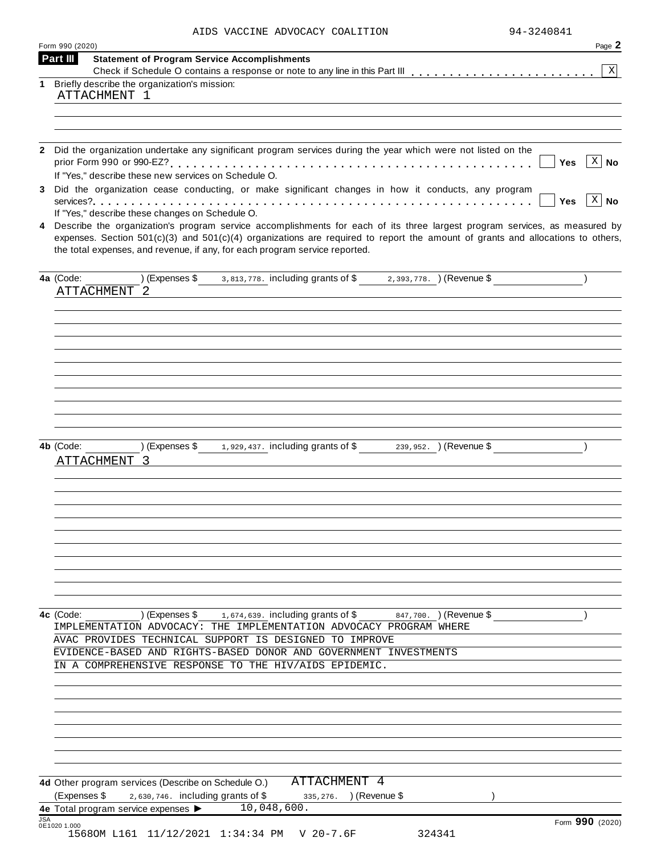| AIDS VACCINE ADVOCACY COALITION |  | 94-3240841 |
|---------------------------------|--|------------|
|---------------------------------|--|------------|

|   | Form 990 (2020)                                                                                                                                                                 | Page 2       |
|---|---------------------------------------------------------------------------------------------------------------------------------------------------------------------------------|--------------|
|   | Part III<br><b>Statement of Program Service Accomplishments</b>                                                                                                                 | X            |
| 1 | Briefly describe the organization's mission:                                                                                                                                    |              |
|   | ATTACHMENT 1                                                                                                                                                                    |              |
|   |                                                                                                                                                                                 |              |
|   |                                                                                                                                                                                 |              |
|   | 2 Did the organization undertake any significant program services during the year which were not listed on the                                                                  |              |
|   | <b>Yes</b><br>If "Yes," describe these new services on Schedule O.                                                                                                              | $X \mid No$  |
|   | 3 Did the organization cease conducting, or make significant changes in how it conducts, any program                                                                            |              |
|   | <b>Yes</b>                                                                                                                                                                      | $x \mid N$ o |
|   | If "Yes," describe these changes on Schedule O.<br>4 Describe the organization's program service accomplishments for each of its three largest program services, as measured by |              |
|   | expenses. Section $501(c)(3)$ and $501(c)(4)$ organizations are required to report the amount of grants and allocations to others,                                              |              |
|   | the total expenses, and revenue, if any, for each program service reported.                                                                                                     |              |
|   |                                                                                                                                                                                 |              |
|   | (Expenses \$3,813,778. including grants of \$2,393,778. ) (Revenue \$<br>4a (Code:                                                                                              |              |
|   | <b>ATTACHMENT</b><br>- 2                                                                                                                                                        |              |
|   |                                                                                                                                                                                 |              |
|   |                                                                                                                                                                                 |              |
|   |                                                                                                                                                                                 |              |
|   |                                                                                                                                                                                 |              |
|   |                                                                                                                                                                                 |              |
|   |                                                                                                                                                                                 |              |
|   |                                                                                                                                                                                 |              |
|   |                                                                                                                                                                                 |              |
|   |                                                                                                                                                                                 |              |
|   | (Expenses \$ 1,929,437. including grants of \$ 239,952. ) (Revenue \$<br>4b (Code:                                                                                              |              |
|   | ATTACHMENT 3                                                                                                                                                                    |              |
|   |                                                                                                                                                                                 |              |
|   |                                                                                                                                                                                 |              |
|   |                                                                                                                                                                                 |              |
|   |                                                                                                                                                                                 |              |
|   |                                                                                                                                                                                 |              |
|   |                                                                                                                                                                                 |              |
|   |                                                                                                                                                                                 |              |
|   |                                                                                                                                                                                 |              |
|   |                                                                                                                                                                                 |              |
|   |                                                                                                                                                                                 |              |
|   |                                                                                                                                                                                 |              |
|   | $(1.674, 639)$ (Expenses \$1.674,639. including grants of \$847,700. ) (Revenue \$<br>4c (Code:                                                                                 |              |
|   | IMPLEMENTATION ADVOCACY: THE IMPLEMENTATION ADVOCACY PROGRAM WHERE                                                                                                              |              |
|   | AVAC PROVIDES TECHNICAL SUPPORT IS DESIGNED TO IMPROVE                                                                                                                          |              |
|   | EVIDENCE-BASED AND RIGHTS-BASED DONOR AND GOVERNMENT INVESTMENTS                                                                                                                |              |
|   | IN A COMPREHENSIVE RESPONSE TO THE HIV/AIDS EPIDEMIC.                                                                                                                           |              |
|   |                                                                                                                                                                                 |              |
|   |                                                                                                                                                                                 |              |
|   |                                                                                                                                                                                 |              |
|   |                                                                                                                                                                                 |              |
|   |                                                                                                                                                                                 |              |
|   |                                                                                                                                                                                 |              |
|   |                                                                                                                                                                                 |              |
|   | ATTACHMENT 4<br>4d Other program services (Describe on Schedule O.)                                                                                                             |              |
|   | (Expenses \$<br>$2,630,746$ . including grants of \$<br>335, 276. ) (Revenue \$<br>4e Total program service expenses $\blacktriangleright$ $\overline{10,048,600}$ .            |              |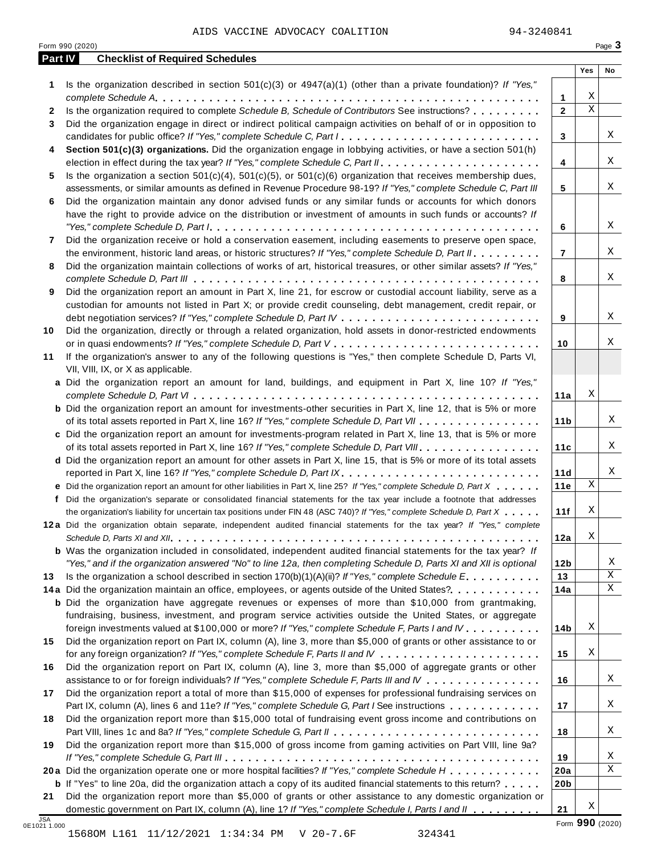| Part IV      | <b>Checklist of Required Schedules</b>                                                                                                                                                                                               |                 |             |    |
|--------------|--------------------------------------------------------------------------------------------------------------------------------------------------------------------------------------------------------------------------------------|-----------------|-------------|----|
|              |                                                                                                                                                                                                                                      |                 | Yes         | No |
| 1            | Is the organization described in section $501(c)(3)$ or $4947(a)(1)$ (other than a private foundation)? If "Yes,"                                                                                                                    |                 |             |    |
|              |                                                                                                                                                                                                                                      | 1               | Χ           |    |
| $\mathbf{2}$ | Is the organization required to complete Schedule B, Schedule of Contributors See instructions?                                                                                                                                      | $\mathbf{2}$    | $\mathbf X$ |    |
| 3            | Did the organization engage in direct or indirect political campaign activities on behalf of or in opposition to                                                                                                                     |                 |             |    |
|              | candidates for public office? If "Yes," complete Schedule C, Part I.                                                                                                                                                                 | 3               |             | Χ  |
| 4            | Section 501(c)(3) organizations. Did the organization engage in lobbying activities, or have a section 501(h)                                                                                                                        |                 |             |    |
|              |                                                                                                                                                                                                                                      | 4               |             | X  |
| 5            | Is the organization a section $501(c)(4)$ , $501(c)(5)$ , or $501(c)(6)$ organization that receives membership dues,                                                                                                                 |                 |             | Χ  |
|              | assessments, or similar amounts as defined in Revenue Procedure 98-19? If "Yes," complete Schedule C, Part III                                                                                                                       | 5               |             |    |
| 6            | Did the organization maintain any donor advised funds or any similar funds or accounts for which donors                                                                                                                              |                 |             |    |
|              | have the right to provide advice on the distribution or investment of amounts in such funds or accounts? If                                                                                                                          |                 |             | X  |
|              |                                                                                                                                                                                                                                      | 6               |             |    |
| 7            | Did the organization receive or hold a conservation easement, including easements to preserve open space,                                                                                                                            |                 |             | Χ  |
|              | the environment, historic land areas, or historic structures? If "Yes," complete Schedule D, Part II.                                                                                                                                | $\overline{7}$  |             |    |
| 8            | Did the organization maintain collections of works of art, historical treasures, or other similar assets? If "Yes,"                                                                                                                  |                 |             | Χ  |
|              | Did the organization report an amount in Part X, line 21, for escrow or custodial account liability, serve as a                                                                                                                      | 8               |             |    |
| 9            |                                                                                                                                                                                                                                      |                 |             |    |
|              | custodian for amounts not listed in Part X; or provide credit counseling, debt management, credit repair, or                                                                                                                         | 9               |             | X  |
| 10           | Did the organization, directly or through a related organization, hold assets in donor-restricted endowments                                                                                                                         |                 |             |    |
|              |                                                                                                                                                                                                                                      | 10              |             | Χ  |
| 11           | If the organization's answer to any of the following questions is "Yes," then complete Schedule D, Parts VI,                                                                                                                         |                 |             |    |
|              | VII, VIII, IX, or X as applicable.                                                                                                                                                                                                   |                 |             |    |
|              | a Did the organization report an amount for land, buildings, and equipment in Part X, line 10? If "Yes,"                                                                                                                             |                 |             |    |
|              |                                                                                                                                                                                                                                      | 11a             | Χ           |    |
|              | <b>b</b> Did the organization report an amount for investments-other securities in Part X, line 12, that is 5% or more                                                                                                               |                 |             |    |
|              | of its total assets reported in Part X, line 16? If "Yes," complete Schedule D, Part VII                                                                                                                                             | 11 <sub>b</sub> |             | Χ  |
|              | c Did the organization report an amount for investments-program related in Part X, line 13, that is 5% or more                                                                                                                       |                 |             |    |
|              | of its total assets reported in Part X, line 16? If "Yes," complete Schedule D, Part VIII                                                                                                                                            | 11c             |             | Χ  |
|              | d Did the organization report an amount for other assets in Part X, line 15, that is 5% or more of its total assets                                                                                                                  |                 |             |    |
|              | reported in Part X, line 16? If "Yes," complete Schedule D, Part IX.                                                                                                                                                                 | 11d             |             | Χ  |
|              | e Did the organization report an amount for other liabilities in Part X, line 25? If "Yes," complete Schedule D, Part X                                                                                                              | 11e             | Χ           |    |
| f            | Did the organization's separate or consolidated financial statements for the tax year include a footnote that addresses                                                                                                              |                 |             |    |
|              | the organization's liability for uncertain tax positions under FIN 48 (ASC 740)? If "Yes," complete Schedule D, Part X                                                                                                               | 11f             | Χ           |    |
|              | 12a Did the organization obtain separate, independent audited financial statements for the tax year? If "Yes," complete                                                                                                              |                 |             |    |
|              |                                                                                                                                                                                                                                      | 12a             | Χ           |    |
|              | <b>b</b> Was the organization included in consolidated, independent audited financial statements for the tax year? If                                                                                                                |                 |             |    |
|              | "Yes," and if the organization answered "No" to line 12a, then completing Schedule D, Parts XI and XII is optional                                                                                                                   | 12 <sub>b</sub> |             | Χ  |
| 13           | Is the organization a school described in section $170(b)(1)(A)(ii)$ ? If "Yes," complete Schedule E.                                                                                                                                | 13              |             | Χ  |
|              | 14a Did the organization maintain an office, employees, or agents outside of the United States?.                                                                                                                                     | 14a             |             | X  |
|              | <b>b</b> Did the organization have aggregate revenues or expenses of more than \$10,000 from grantmaking,                                                                                                                            |                 |             |    |
|              | fundraising, business, investment, and program service activities outside the United States, or aggregate                                                                                                                            |                 |             |    |
|              | foreign investments valued at \$100,000 or more? If "Yes," complete Schedule F, Parts I and IV                                                                                                                                       | 14b             | Χ           |    |
| 15           | Did the organization report on Part IX, column (A), line 3, more than \$5,000 of grants or other assistance to or                                                                                                                    |                 |             |    |
|              |                                                                                                                                                                                                                                      | 15              | Χ           |    |
| 16           | Did the organization report on Part IX, column (A), line 3, more than \$5,000 of aggregate grants or other                                                                                                                           |                 |             |    |
|              | assistance to or for foreign individuals? If "Yes," complete Schedule F, Parts III and IV                                                                                                                                            | 16              |             | Χ  |
| 17           | Did the organization report a total of more than \$15,000 of expenses for professional fundraising services on                                                                                                                       |                 |             |    |
|              | Part IX, column (A), lines 6 and 11e? If "Yes," complete Schedule G, Part I See instructions                                                                                                                                         | 17              |             | Χ  |
| 18           | Did the organization report more than \$15,000 total of fundraising event gross income and contributions on                                                                                                                          |                 |             |    |
|              |                                                                                                                                                                                                                                      | 18              |             | Χ  |
| 19           | Did the organization report more than \$15,000 of gross income from gaming activities on Part VIII, line 9a?                                                                                                                         |                 |             |    |
|              |                                                                                                                                                                                                                                      | 19              |             | Χ  |
|              | 20a Did the organization operate one or more hospital facilities? If "Yes," complete Schedule H                                                                                                                                      | 20a             |             | Χ  |
|              |                                                                                                                                                                                                                                      |                 |             |    |
|              |                                                                                                                                                                                                                                      | 20 <sub>b</sub> |             |    |
| 21           | <b>b</b> If "Yes" to line 20a, did the organization attach a copy of its audited financial statements to this return?<br>Did the organization report more than \$5,000 of grants or other assistance to any domestic organization or |                 |             |    |

1568OM L161 11/12/2021 1:34:34 PM V 20-7.6F 324341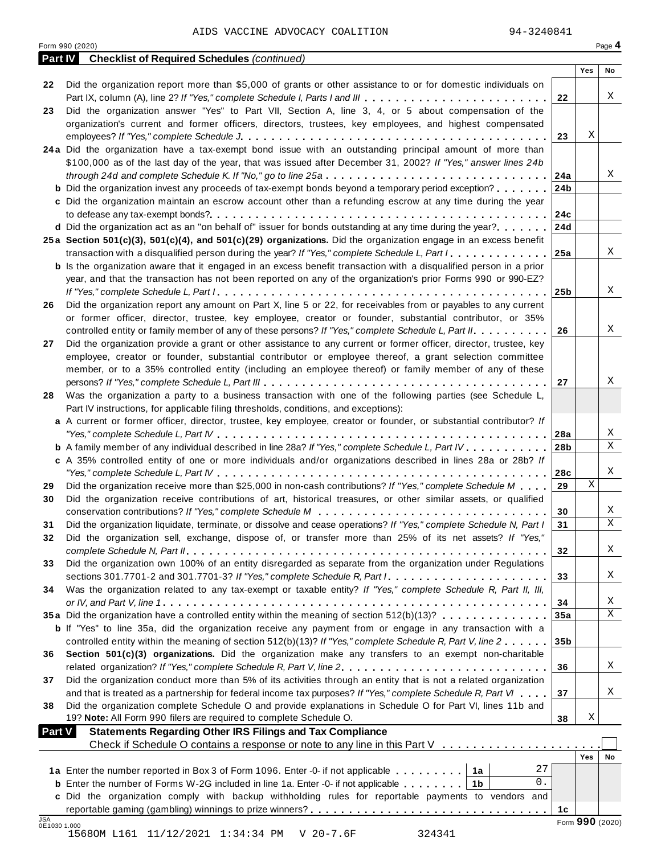|               | <b>Part IV</b> Checklist of Required Schedules (continued)                                                                                                                                                               |                 |     |                       |
|---------------|--------------------------------------------------------------------------------------------------------------------------------------------------------------------------------------------------------------------------|-----------------|-----|-----------------------|
|               |                                                                                                                                                                                                                          |                 | Yes | No                    |
| 22            | Did the organization report more than \$5,000 of grants or other assistance to or for domestic individuals on<br>Part IX, column (A), line 2? If "Yes," complete Schedule I, Parts I and III                             | 22              |     | X                     |
| 23            | Did the organization answer "Yes" to Part VII, Section A, line 3, 4, or 5 about compensation of the                                                                                                                      |                 |     |                       |
|               | organization's current and former officers, directors, trustees, key employees, and highest compensated                                                                                                                  |                 |     |                       |
|               |                                                                                                                                                                                                                          | 23              | Χ   |                       |
|               | 24a Did the organization have a tax-exempt bond issue with an outstanding principal amount of more than                                                                                                                  |                 |     |                       |
|               | \$100,000 as of the last day of the year, that was issued after December 31, 2002? If "Yes," answer lines 24b                                                                                                            |                 |     |                       |
|               | through 24d and complete Schedule K. If "No," go to line 25a                                                                                                                                                             | 24a             |     | Χ                     |
|               | <b>b</b> Did the organization invest any proceeds of tax-exempt bonds beyond a temporary period exception?                                                                                                               | 24 <sub>b</sub> |     |                       |
|               | c Did the organization maintain an escrow account other than a refunding escrow at any time during the year                                                                                                              |                 |     |                       |
|               |                                                                                                                                                                                                                          | 24c             |     |                       |
|               | d Did the organization act as an "on behalf of" issuer for bonds outstanding at any time during the year?                                                                                                                | 24d             |     |                       |
|               | 25a Section 501(c)(3), 501(c)(4), and 501(c)(29) organizations. Did the organization engage in an excess benefit                                                                                                         |                 |     |                       |
|               | transaction with a disqualified person during the year? If "Yes," complete Schedule L, Part I.                                                                                                                           | 25a             |     | X                     |
|               | <b>b</b> Is the organization aware that it engaged in an excess benefit transaction with a disqualified person in a prior                                                                                                |                 |     |                       |
|               | year, and that the transaction has not been reported on any of the organization's prior Forms 990 or 990-EZ?                                                                                                             |                 |     |                       |
|               |                                                                                                                                                                                                                          | 25 <sub>b</sub> |     | X                     |
| 26            | Did the organization report any amount on Part X, line 5 or 22, for receivables from or payables to any current                                                                                                          |                 |     |                       |
|               | or former officer, director, trustee, key employee, creator or founder, substantial contributor, or 35%                                                                                                                  |                 |     |                       |
|               | controlled entity or family member of any of these persons? If "Yes," complete Schedule L, Part II.                                                                                                                      | 26              |     | X                     |
| 27            | Did the organization provide a grant or other assistance to any current or former officer, director, trustee, key                                                                                                        |                 |     |                       |
|               | employee, creator or founder, substantial contributor or employee thereof, a grant selection committee                                                                                                                   |                 |     |                       |
|               | member, or to a 35% controlled entity (including an employee thereof) or family member of any of these                                                                                                                   |                 |     |                       |
|               |                                                                                                                                                                                                                          | 27              |     | X                     |
| 28            | Was the organization a party to a business transaction with one of the following parties (see Schedule L,                                                                                                                |                 |     |                       |
|               | Part IV instructions, for applicable filing thresholds, conditions, and exceptions):                                                                                                                                     |                 |     |                       |
|               | a A current or former officer, director, trustee, key employee, creator or founder, or substantial contributor? If                                                                                                       |                 |     | X                     |
|               |                                                                                                                                                                                                                          | 28a             |     | $\overline{\text{X}}$ |
|               | <b>b</b> A family member of any individual described in line 28a? If "Yes," complete Schedule L, Part IV.<br>c A 35% controlled entity of one or more individuals and/or organizations described in lines 28a or 28b? If | 28 <sub>b</sub> |     |                       |
|               |                                                                                                                                                                                                                          | 28c             |     | X                     |
| 29            | Did the organization receive more than \$25,000 in non-cash contributions? If "Yes," complete Schedule M                                                                                                                 | 29              | X   |                       |
| 30            | Did the organization receive contributions of art, historical treasures, or other similar assets, or qualified                                                                                                           |                 |     |                       |
|               |                                                                                                                                                                                                                          | 30              |     | X                     |
| 31            | Did the organization liquidate, terminate, or dissolve and cease operations? If "Yes," complete Schedule N, Part I                                                                                                       | 31              |     | $\mathbf X$           |
| 32            | Did the organization sell, exchange, dispose of, or transfer more than 25% of its net assets? If "Yes,"                                                                                                                  |                 |     |                       |
|               |                                                                                                                                                                                                                          | 32              |     | X                     |
| 33            | Did the organization own 100% of an entity disregarded as separate from the organization under Regulations                                                                                                               |                 |     |                       |
|               | sections 301.7701-2 and 301.7701-3? If "Yes," complete Schedule R, Part /                                                                                                                                                | 33              |     | Χ                     |
| 34            | Was the organization related to any tax-exempt or taxable entity? If "Yes," complete Schedule R, Part II, III,                                                                                                           |                 |     |                       |
|               |                                                                                                                                                                                                                          | 34              |     | X                     |
|               | 35a Did the organization have a controlled entity within the meaning of section 512(b)(13)?                                                                                                                              | 35a             |     | $\mathbf X$           |
|               | <b>b</b> If "Yes" to line 35a, did the organization receive any payment from or engage in any transaction with a                                                                                                         |                 |     |                       |
|               | controlled entity within the meaning of section 512(b)(13)? If "Yes," complete Schedule R, Part V, line 2                                                                                                                | 35 <sub>b</sub> |     |                       |
| 36            | Section 501(c)(3) organizations. Did the organization make any transfers to an exempt non-charitable                                                                                                                     |                 |     |                       |
|               | related organization? If "Yes," complete Schedule R, Part V, line 2.                                                                                                                                                     | 36              |     | Χ                     |
| 37            | Did the organization conduct more than 5% of its activities through an entity that is not a related organization                                                                                                         |                 |     |                       |
|               | and that is treated as a partnership for federal income tax purposes? If "Yes," complete Schedule R, Part VI                                                                                                             | 37              |     | X                     |
| 38            | Did the organization complete Schedule O and provide explanations in Schedule O for Part VI, lines 11b and                                                                                                               |                 |     |                       |
|               | 19? Note: All Form 990 filers are required to complete Schedule O.                                                                                                                                                       | 38              | Χ   |                       |
| <b>Part V</b> | <b>Statements Regarding Other IRS Filings and Tax Compliance</b>                                                                                                                                                         |                 |     |                       |
|               | Check if Schedule O contains a response or note to any line in this Part V                                                                                                                                               |                 |     |                       |
|               |                                                                                                                                                                                                                          |                 | Yes | No                    |
|               | 27<br>1a Enter the number reported in Box 3 of Form 1096. Enter -0- if not applicable   1a                                                                                                                               |                 |     |                       |
|               | 0.<br><b>b</b> Enter the number of Forms W-2G included in line 1a. Enter -0- if not applicable $\ldots \ldots$ ,                                                                                                         |                 |     |                       |
|               | c Did the organization comply with backup withholding rules for reportable payments to vendors and                                                                                                                       |                 |     |                       |
|               |                                                                                                                                                                                                                          | 1 <sub>c</sub>  |     |                       |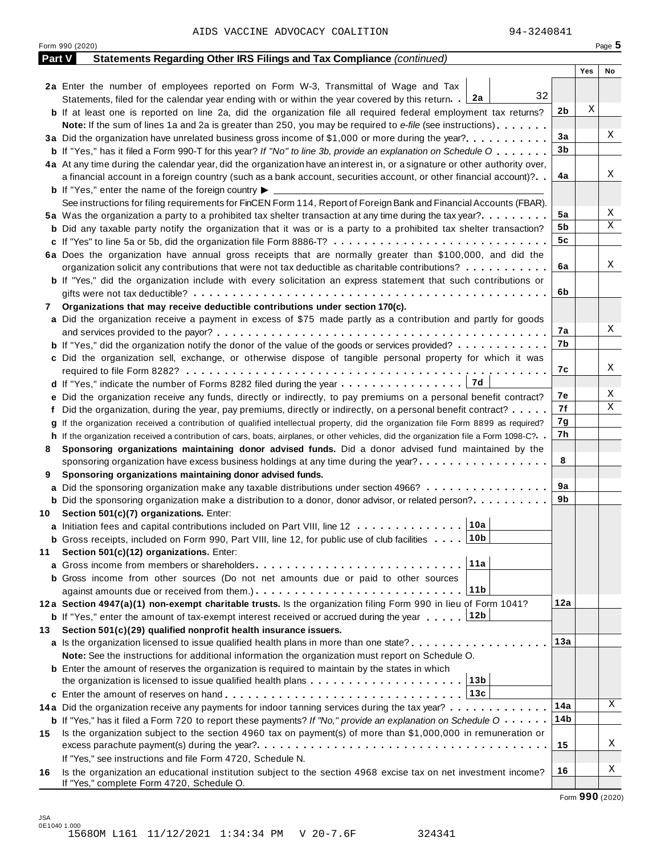|     | Form 990 (2020)                                                                                                                      |         | Page 5 |
|-----|--------------------------------------------------------------------------------------------------------------------------------------|---------|--------|
|     | Part V<br>Statements Regarding Other IRS Filings and Tax Compliance (continued)                                                      |         |        |
|     |                                                                                                                                      | Yes     | No     |
|     | 2a Enter the number of employees reported on Form W-3, Transmittal of Wage and Tax                                                   |         |        |
|     | 32<br>Statements, filed for the calendar year ending with or within the year covered by this return. $2a$                            |         |        |
|     | <b>b</b> If at least one is reported on line 2a, did the organization file all required federal employment tax returns?              | X<br>2b |        |
|     | <b>Note:</b> If the sum of lines 1a and 2a is greater than 250, you may be required to e-file (see instructions).                    |         |        |
|     | 3a Did the organization have unrelated business gross income of \$1,000 or more during the year?                                     | 3a      | Χ      |
|     | <b>b</b> If "Yes," has it filed a Form 990-T for this year? If "No" to line 3b, provide an explanation on Schedule O                 | 3b      |        |
|     | 4a At any time during the calendar year, did the organization have an interest in, or a signature or other authority over,           |         |        |
|     | a financial account in a foreign country (such as a bank account, securities account, or other financial account)?                   | 4a      | Χ      |
|     | <b>b</b> If "Yes," enter the name of the foreign country $\blacktriangleright$                                                       |         |        |
|     | See instructions for filing requirements for FinCEN Form 114, Report of Foreign Bank and Financial Accounts (FBAR).                  |         |        |
|     | 5a Was the organization a party to a prohibited tax shelter transaction at any time during the tax year?                             | 5a      | Χ      |
|     | <b>b</b> Did any taxable party notify the organization that it was or is a party to a prohibited tax shelter transaction?            | 5b      | Χ      |
|     | c If "Yes" to line 5a or 5b, did the organization file Form 8886-T?                                                                  | 5c      |        |
|     | 6a Does the organization have annual gross receipts that are normally greater than \$100,000, and did the                            |         |        |
|     | organization solicit any contributions that were not tax deductible as charitable contributions?                                     | 6a      | Χ      |
|     | <b>b</b> If "Yes," did the organization include with every solicitation an express statement that such contributions or              |         |        |
|     |                                                                                                                                      | 6b      |        |
| 7   | Organizations that may receive deductible contributions under section 170(c).                                                        |         |        |
|     | a Did the organization receive a payment in excess of \$75 made partly as a contribution and partly for goods                        |         |        |
|     |                                                                                                                                      | 7а      | Χ      |
|     | <b>b</b> If "Yes," did the organization notify the donor of the value of the goods or services provided?                             | 7b      |        |
|     | c Did the organization sell, exchange, or otherwise dispose of tangible personal property for which it was                           |         |        |
|     |                                                                                                                                      | 7с      | Χ      |
|     | 7d<br>d If "Yes," indicate the number of Forms 8282 filed during the year                                                            |         |        |
|     | e Did the organization receive any funds, directly or indirectly, to pay premiums on a personal benefit contract?                    | 7е      | Χ      |
|     | f Did the organization, during the year, pay premiums, directly or indirectly, on a personal benefit contract?                       | 7f      | Χ      |
|     | g If the organization received a contribution of qualified intellectual property, did the organization file Form 8899 as required?   | 7g      |        |
|     | h If the organization received a contribution of cars, boats, airplanes, or other vehicles, did the organization file a Form 1098-C? | 7h      |        |
| 8   | Sponsoring organizations maintaining donor advised funds. Did a donor advised fund maintained by the                                 |         |        |
|     | sponsoring organization have excess business holdings at any time during the year?                                                   | 8       |        |
| 9   | Sponsoring organizations maintaining donor advised funds.                                                                            |         |        |
|     | a Did the sponsoring organization make any taxable distributions under section 4966?                                                 | 9а      |        |
|     | <b>b</b> Did the sponsoring organization make a distribution to a donor, donor advisor, or related person?                           | 9b      |        |
|     | 10 Section 501(c)(7) organizations. Enter:                                                                                           |         |        |
|     | 10a <br>a Initiation fees and capital contributions included on Part VIII, line 12                                                   |         |        |
|     | 10b<br><b>b</b> Gross receipts, included on Form 990, Part VIII, line 12, for public use of club facilities                          |         |        |
| 11  | Section 501(c)(12) organizations. Enter:                                                                                             |         |        |
|     | 11a                                                                                                                                  |         |        |
|     | b Gross income from other sources (Do not net amounts due or paid to other sources                                                   |         |        |
|     | 11 <sub>b</sub>                                                                                                                      |         |        |
|     | 12a Section 4947(a)(1) non-exempt charitable trusts. Is the organization filing Form 990 in lieu of Form 1041?                       | 12a     |        |
|     | 12b<br><b>b</b> If "Yes," enter the amount of tax-exempt interest received or accrued during the year                                |         |        |
| 13. | Section 501(c)(29) qualified nonprofit health insurance issuers.                                                                     |         |        |
|     | <b>a</b> Is the organization licensed to issue qualified health plans in more than one state? <b>and interest and interest</b>       | 13а     |        |
|     | Note: See the instructions for additional information the organization must report on Schedule O.                                    |         |        |
|     | <b>b</b> Enter the amount of reserves the organization is required to maintain by the states in which                                |         |        |
|     | 13b<br>the organization is licensed to issue qualified health plans $\ldots \ldots \ldots \ldots \ldots \ldots \ldots$               |         |        |
|     | 13c                                                                                                                                  |         |        |
|     | 14a Did the organization receive any payments for indoor tanning services during the tax year?                                       | 14a     | Χ      |
|     | <b>b</b> If "Yes," has it filed a Form 720 to report these payments? If "No," provide an explanation on Schedule O                   | 14b     |        |
| 15  | Is the organization subject to the section 4960 tax on payment(s) of more than \$1,000,000 in remuneration or                        |         |        |
|     |                                                                                                                                      | 15      | Χ      |
|     | If "Yes," see instructions and file Form 4720, Schedule N.                                                                           |         |        |
| 16  | Is the organization an educational institution subject to the section 4968 excise tax on net investment income?                      | 16      | Χ      |
|     | If "Yes," complete Form 4720, Schedule O.                                                                                            |         |        |

Form **990** (2020)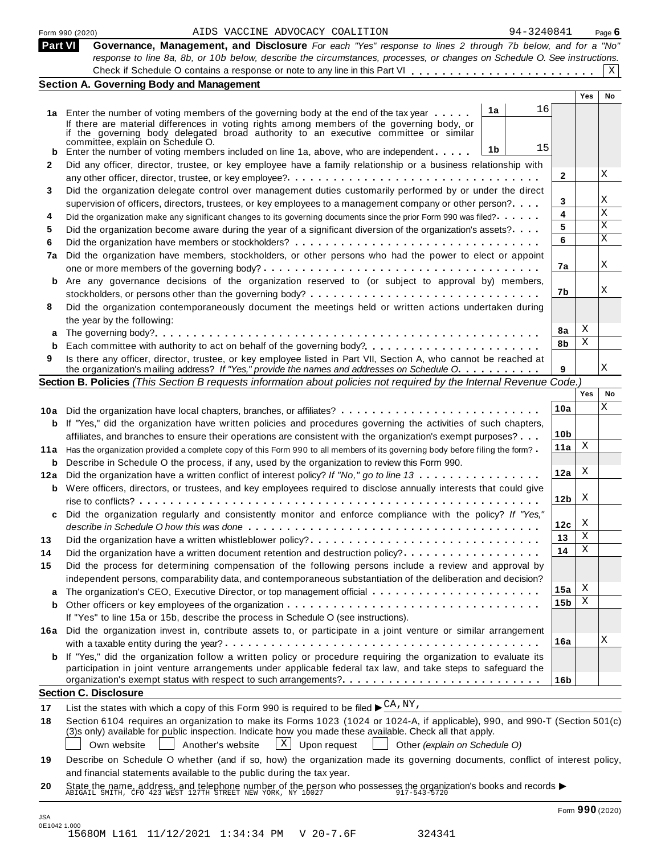|         | 94-3240841<br>AIDS VACCINE ADVOCACY COALITION<br>Form 990 (2020)                                                                                                                                                   |                 |            | Page $6$  |
|---------|--------------------------------------------------------------------------------------------------------------------------------------------------------------------------------------------------------------------|-----------------|------------|-----------|
| Part VI | Governance, Management, and Disclosure For each "Yes" response to lines 2 through 7b below, and for a "No"                                                                                                         |                 |            |           |
|         | response to line 8a, 8b, or 10b below, describe the circumstances, processes, or changes on Schedule O. See instructions.                                                                                          |                 |            |           |
|         |                                                                                                                                                                                                                    |                 |            | X         |
|         | <b>Section A. Governing Body and Management</b>                                                                                                                                                                    |                 |            |           |
|         |                                                                                                                                                                                                                    |                 | <b>Yes</b> | <b>No</b> |
|         | 16<br>1a<br>1a Enter the number of voting members of the governing body at the end of the tax year                                                                                                                 |                 |            |           |
|         | If there are material differences in voting rights among members of the governing body, or                                                                                                                         |                 |            |           |
|         | if the governing body delegated broad authority to an executive committee or similar<br>committee, explain on Schedule O.                                                                                          |                 |            |           |
| b       | 15<br>1b<br>Enter the number of voting members included on line 1a, above, who are independent                                                                                                                     |                 |            |           |
| 2       | Did any officer, director, trustee, or key employee have a family relationship or a business relationship with                                                                                                     |                 |            |           |
|         |                                                                                                                                                                                                                    | $\mathbf{2}$    |            | X         |
| 3       | Did the organization delegate control over management duties customarily performed by or under the direct                                                                                                          |                 |            |           |
|         | supervision of officers, directors, trustees, or key employees to a management company or other person?                                                                                                            | 3               |            | Χ         |
| 4       | Did the organization make any significant changes to its governing documents since the prior Form 990 was filed?                                                                                                   | 4               |            | Χ         |
| 5       | Did the organization become aware during the year of a significant diversion of the organization's assets?                                                                                                         | 5               |            | X         |
| 6       |                                                                                                                                                                                                                    | 6               |            | X         |
| 7a      | Did the organization have members, stockholders, or other persons who had the power to elect or appoint                                                                                                            |                 |            |           |
|         |                                                                                                                                                                                                                    | 7а              |            | X         |
|         | b Are any governance decisions of the organization reserved to (or subject to approval by) members,                                                                                                                |                 |            |           |
|         | stockholders, or persons other than the governing body? $\dots \dots \dots \dots \dots \dots \dots \dots \dots \dots \dots \dots$                                                                                  | 7b              |            | Χ         |
| 8       | Did the organization contemporaneously document the meetings held or written actions undertaken during                                                                                                             |                 |            |           |
|         |                                                                                                                                                                                                                    |                 |            |           |
|         | the year by the following:                                                                                                                                                                                         | 8a              | Χ          |           |
| a       |                                                                                                                                                                                                                    | 8b              | Χ          |           |
| 9       | Is there any officer, director, trustee, or key employee listed in Part VII, Section A, who cannot be reached at                                                                                                   |                 |            |           |
|         | the organization's mailing address? If "Yes," provide the names and addresses on Schedule O.                                                                                                                       | 9               |            | Χ         |
|         | Section B. Policies (This Section B requests information about policies not required by the Internal Revenue Code.)                                                                                                |                 |            |           |
|         |                                                                                                                                                                                                                    |                 | Yes        | No        |
|         |                                                                                                                                                                                                                    | 10a             |            | Χ         |
|         | 10a Did the organization have local chapters, branches, or affiliates?                                                                                                                                             |                 |            |           |
|         | <b>b</b> If "Yes," did the organization have written policies and procedures governing the activities of such chapters,                                                                                            | 10 <sub>b</sub> |            |           |
|         | affiliates, and branches to ensure their operations are consistent with the organization's exempt purposes?                                                                                                        | 11a             | Χ          |           |
|         | 11a Has the organization provided a complete copy of this Form 990 to all members of its governing body before filing the form?                                                                                    |                 |            |           |
| b       | Describe in Schedule O the process, if any, used by the organization to review this Form 990.                                                                                                                      | 12a             | X          |           |
| 12a     | Did the organization have a written conflict of interest policy? If "No," go to line 13                                                                                                                            |                 |            |           |
|         | <b>b</b> Were officers, directors, or trustees, and key employees required to disclose annually interests that could give                                                                                          | 12 <sub>b</sub> | X          |           |
|         |                                                                                                                                                                                                                    |                 |            |           |
|         | Did the organization regularly and consistently monitor and enforce compliance with the policy? If "Yes,"                                                                                                          |                 | X          |           |
|         |                                                                                                                                                                                                                    | 12c             | Χ          |           |
| 13      | Did the organization have a written whistleblower policy?                                                                                                                                                          | 13              | Χ          |           |
| 14      | Did the organization have a written document retention and destruction policy?                                                                                                                                     | 14              |            |           |
| 15      | Did the process for determining compensation of the following persons include a review and approval by                                                                                                             |                 |            |           |
|         | independent persons, comparability data, and contemporaneous substantiation of the deliberation and decision?                                                                                                      |                 |            |           |
| a       |                                                                                                                                                                                                                    | 15a             | Χ          |           |
| b       |                                                                                                                                                                                                                    | 15 <sub>b</sub> | Χ          |           |
|         | If "Yes" to line 15a or 15b, describe the process in Schedule O (see instructions).                                                                                                                                |                 |            |           |
|         | 16a Did the organization invest in, contribute assets to, or participate in a joint venture or similar arrangement                                                                                                 |                 |            |           |
|         |                                                                                                                                                                                                                    | 16a             |            | Χ         |
|         | <b>b</b> If "Yes," did the organization follow a written policy or procedure requiring the organization to evaluate its                                                                                            |                 |            |           |
|         | participation in joint venture arrangements under applicable federal tax law, and take steps to safeguard the                                                                                                      |                 |            |           |
|         |                                                                                                                                                                                                                    | 16 <sub>b</sub> |            |           |
|         | <b>Section C. Disclosure</b>                                                                                                                                                                                       |                 |            |           |
| 17      | List the states with which a copy of this Form 990 is required to be filed $\blacktriangleright \frac{CA}{N}NY$ ,                                                                                                  |                 |            |           |
| 18      | Section 6104 requires an organization to make its Forms 1023 (1024 or 1024-A, if applicable), 990, and 990-T (Section 501(c)                                                                                       |                 |            |           |
|         | (3)s only) available for public inspection. Indicate how you made these available. Check all that apply.                                                                                                           |                 |            |           |
|         | $X \mid$<br>Upon request<br>Own website<br>Another's website<br>Other (explain on Schedule O)                                                                                                                      |                 |            |           |
| 19      | Describe on Schedule O whether (and if so, how) the organization made its governing documents, conflict of interest policy,                                                                                        |                 |            |           |
|         | and financial statements available to the public during the tax year.                                                                                                                                              |                 |            |           |
| 20      | State the name, address, and telephone number of the person who possesses the organization's books and records $\blacktriangleright$<br>ABIGAIL SMITH, CFO 423 WEST 127TH STREET NEW YORK, NY 10027<br>17-543-5720 |                 |            |           |
|         |                                                                                                                                                                                                                    |                 |            |           |
|         |                                                                                                                                                                                                                    |                 |            |           |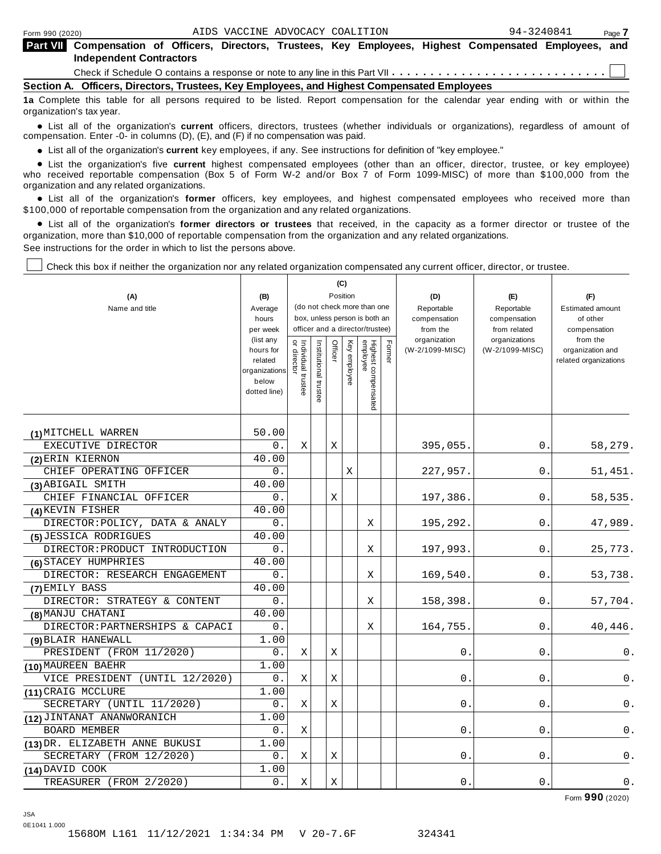| <b>Part VII</b> Compensation of Officers, Directors, Trustees, Key Employees, Highest Compensated Employees, and |  |  |  |  |  |  |  |  |  |  |
|------------------------------------------------------------------------------------------------------------------|--|--|--|--|--|--|--|--|--|--|
| <b>Independent Contractors</b>                                                                                   |  |  |  |  |  |  |  |  |  |  |
|                                                                                                                  |  |  |  |  |  |  |  |  |  |  |

**Section A. Officers, Directors, Trustees, Key Employees, and Highest Compensated Employees**

**1a** Complete this table for all persons required to be listed. Report compensation for the calendar year ending with or within the organization's tax year.

anization's lax year.<br>● List all of the organization's **current** officers, directors, trustees (whether individuals or organizations), regardless of amount of<br>nnensation Enter -0- in columns (D) (E) and (E) if no compensa compensation. Enter -0- in columns (D), (E), and (F) if no compensation was paid.

• List all of the organization's current key employees, if any. See instructions for definition of "key employee."

■ List all of the organization's current key employees, if any. See instructions for definition of "key employee."<br>■ List the organization's five current highest compensated employees (other than an officer, director, tru who received reportable compensation (Box 5 of Form W-2 and/or Box 7 of Form 1099-MISC) of more than \$100,000 from the

organization and any related organizations.<br>• List all of the organization's **former** officers, key employees, and highest compensated employees who received more than<br>\$1.00.000 of reportable componention from the erganiza \$100,000 of reportable compensation from the organization and any related organizations.

% List all of the organization's **former directors or trustees** that received, in the capacity as a former director or trustee of the organization, more than \$10,000 of reportable compensation from the organization and any related organizations. See instructions for the order in which to list the persons above.

Check this box if neither the organization nor any related organization compensated any current officer, director, or trustee.

|                                 |                        | (C)                                                              |                      |          |          |                                 |        |                          |                               |                          |
|---------------------------------|------------------------|------------------------------------------------------------------|----------------------|----------|----------|---------------------------------|--------|--------------------------|-------------------------------|--------------------------|
| (A)                             | (B)                    |                                                                  |                      | Position |          |                                 |        | (D)                      | (E)                           | (F)                      |
| Name and title                  | Average                |                                                                  |                      |          |          | (do not check more than one     |        | Reportable               | Reportable                    | <b>Estimated amount</b>  |
|                                 | hours                  | box, unless person is both an<br>officer and a director/trustee) |                      |          |          |                                 |        | compensation             | compensation                  | of other                 |
|                                 | per week<br>(list any  |                                                                  |                      |          |          |                                 |        | from the<br>organization | from related<br>organizations | compensation<br>from the |
|                                 | hours for              | Individual trustee<br>or director                                | nstitutional trustee | Officer  | Key      |                                 | Former | (W-2/1099-MISC)          | (W-2/1099-MISC)               | organization and         |
|                                 | related                |                                                                  |                      |          | employee |                                 |        |                          |                               | related organizations    |
|                                 | organizations<br>below |                                                                  |                      |          |          |                                 |        |                          |                               |                          |
|                                 | dotted line)           |                                                                  |                      |          |          |                                 |        |                          |                               |                          |
|                                 |                        |                                                                  |                      |          |          | Highest compensated<br>employee |        |                          |                               |                          |
|                                 |                        |                                                                  |                      |          |          |                                 |        |                          |                               |                          |
| (1) MITCHELL WARREN             | 50.00                  |                                                                  |                      |          |          |                                 |        |                          |                               |                          |
| EXECUTIVE DIRECTOR              | 0.                     | Χ                                                                |                      | Χ        |          |                                 |        | 395,055.                 | 0.                            | 58,279.                  |
| (2) ERIN KIERNON                | 40.00                  |                                                                  |                      |          |          |                                 |        |                          |                               |                          |
| CHIEF OPERATING OFFICER         | 0.                     |                                                                  |                      |          | Χ        |                                 |        | 227,957.                 | 0.                            | 51,451.                  |
| (3) ABIGAIL SMITH               | 40.00                  |                                                                  |                      |          |          |                                 |        |                          |                               |                          |
| CHIEF FINANCIAL OFFICER         | 0.                     |                                                                  |                      | Χ        |          |                                 |        | 197,386                  | 0.                            | 58,535.                  |
| (4) KEVIN FISHER                | 40.00                  |                                                                  |                      |          |          |                                 |        |                          |                               |                          |
| DIRECTOR: POLICY, DATA & ANALY  | 0.                     |                                                                  |                      |          |          | Χ                               |        | 195,292.                 | 0.                            | 47,989.                  |
| (5) JESSICA RODRIGUES           | 40.00                  |                                                                  |                      |          |          |                                 |        |                          |                               |                          |
| DIRECTOR: PRODUCT INTRODUCTION  | $0$ .                  |                                                                  |                      |          |          | Χ                               |        | 197,993.                 | 0.                            | 25,773.                  |
| (6) STACEY HUMPHRIES            | 40.00                  |                                                                  |                      |          |          |                                 |        |                          |                               |                          |
| DIRECTOR: RESEARCH ENGAGEMENT   | 0.                     |                                                                  |                      |          |          | Χ                               |        | 169,540.                 | 0.                            | 53,738.                  |
| (7) EMILY BASS                  | 40.00                  |                                                                  |                      |          |          |                                 |        |                          |                               |                          |
| DIRECTOR: STRATEGY & CONTENT    | $0$ .                  |                                                                  |                      |          |          | X                               |        | 158,398.                 | 0                             | 57,704.                  |
| (8) MANJU CHATANI               | 40.00                  |                                                                  |                      |          |          |                                 |        |                          |                               |                          |
| DIRECTOR: PARTNERSHIPS & CAPACI | 0.                     |                                                                  |                      |          |          | Χ                               |        | 164,755                  | $\Omega$ .                    | 40,446.                  |
| (9) BLAIR HANEWALL              | 1.00                   |                                                                  |                      |          |          |                                 |        |                          |                               |                          |
| PRESIDENT (FROM 11/2020)        | 0.                     | Χ                                                                |                      | X        |          |                                 |        | 0                        | 0.                            | 0.                       |
| (10) MAUREEN BAEHR              | 1.00                   |                                                                  |                      |          |          |                                 |        |                          |                               |                          |
| VICE PRESIDENT (UNTIL 12/2020)  | 0.                     | Χ                                                                |                      | Χ        |          |                                 |        | 0                        | 0                             | 0.                       |
| (11) CRAIG MCCLURE              | 1.00                   |                                                                  |                      |          |          |                                 |        |                          |                               |                          |
| SECRETARY (UNTIL 11/2020)       | 0.                     | Χ                                                                |                      | Χ        |          |                                 |        | 0.                       | 0                             | 0.                       |
| (12) JINTANAT ANANWORANICH      | 1.00                   |                                                                  |                      |          |          |                                 |        |                          |                               |                          |
| <b>BOARD MEMBER</b>             | 0.                     | X                                                                |                      |          |          |                                 |        | 0                        | 0                             | 0.                       |
| (13) DR. ELIZABETH ANNE BUKUSI  | 1.00                   |                                                                  |                      |          |          |                                 |        |                          |                               |                          |
| SECRETARY (FROM 12/2020)        | 0.                     | Χ                                                                |                      | Χ        |          |                                 |        | 0                        | 0                             | $\mathsf 0$ .            |
| $(14)$ DAVID COOK               | 1.00                   |                                                                  |                      |          |          |                                 |        |                          |                               |                          |
| TREASURER (FROM 2/2020)         | 0.                     | Χ                                                                |                      | Χ        |          |                                 |        | О.                       | 0                             | 0.                       |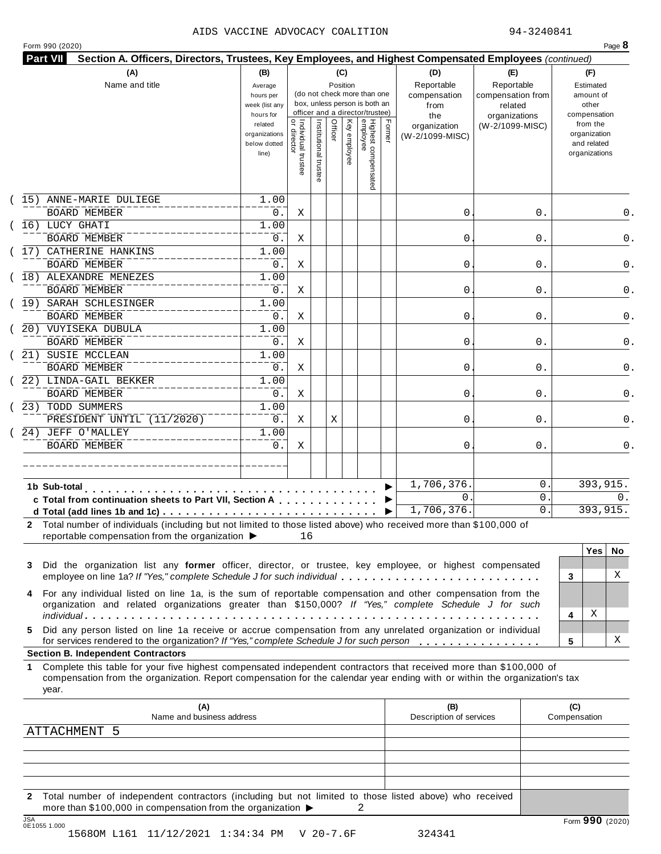#### AIDS VACCINE ADVOCACY COALITION 94-3240841

|    | 15) ANNE-MARIE DULIEGE<br><b>BOARD MEMBER</b><br>(16) LUCY GHATI<br><b>BOARD MEMBER</b><br>17) CATHERINE HANKINS<br><b>BOARD MEMBER</b><br>18) ALEXANDRE MENEZES<br><b>BOARD MEMBER</b><br>(19) SARAH SCHLESINGER<br><b>BOARD MEMBER</b><br>20) VUYISEKA DUBULA<br><b>BOARD MEMBER</b>         | related<br>organizations<br>below dotted<br>line)<br>1.00<br>0.<br>1.00<br>0.<br>1.00<br>0.<br>1.00<br>0.<br>1.00<br>0.<br>1.00 | <br>  Individual trustee<br>  or director<br>Χ<br>Χ<br>Χ<br>Χ | Institutional trustee | Officer | Key employee | Highest compensated<br>employee | Former | organization<br>(W-2/1099-MISC)<br>0<br>0 | (W-2/1099-MISC)<br>0.<br>0. | from the<br>organization<br>and related<br>organizations<br>0.<br>0. |
|----|------------------------------------------------------------------------------------------------------------------------------------------------------------------------------------------------------------------------------------------------------------------------------------------------|---------------------------------------------------------------------------------------------------------------------------------|---------------------------------------------------------------|-----------------------|---------|--------------|---------------------------------|--------|-------------------------------------------|-----------------------------|----------------------------------------------------------------------|
|    |                                                                                                                                                                                                                                                                                                |                                                                                                                                 |                                                               |                       |         |              |                                 |        |                                           |                             |                                                                      |
|    |                                                                                                                                                                                                                                                                                                |                                                                                                                                 |                                                               |                       |         |              |                                 |        |                                           |                             |                                                                      |
|    |                                                                                                                                                                                                                                                                                                |                                                                                                                                 |                                                               |                       |         |              |                                 |        |                                           |                             |                                                                      |
|    |                                                                                                                                                                                                                                                                                                |                                                                                                                                 |                                                               |                       |         |              |                                 |        |                                           |                             |                                                                      |
|    |                                                                                                                                                                                                                                                                                                |                                                                                                                                 |                                                               |                       |         |              |                                 |        |                                           |                             |                                                                      |
|    |                                                                                                                                                                                                                                                                                                |                                                                                                                                 |                                                               |                       |         |              |                                 |        | 0                                         | 0.                          | 0.                                                                   |
|    |                                                                                                                                                                                                                                                                                                |                                                                                                                                 |                                                               |                       |         |              |                                 |        |                                           |                             |                                                                      |
|    |                                                                                                                                                                                                                                                                                                |                                                                                                                                 |                                                               |                       |         |              |                                 |        | 0                                         | 0.                          | 0.                                                                   |
|    |                                                                                                                                                                                                                                                                                                |                                                                                                                                 |                                                               |                       |         |              |                                 |        |                                           |                             |                                                                      |
|    |                                                                                                                                                                                                                                                                                                |                                                                                                                                 | Χ                                                             |                       |         |              |                                 |        | 0                                         | 0.                          | 0.                                                                   |
|    |                                                                                                                                                                                                                                                                                                |                                                                                                                                 |                                                               |                       |         |              |                                 |        |                                           |                             |                                                                      |
|    |                                                                                                                                                                                                                                                                                                | 0.                                                                                                                              | Χ                                                             |                       |         |              |                                 |        | 0                                         | 0.                          | 0.                                                                   |
|    | 21) SUSIE MCCLEAN                                                                                                                                                                                                                                                                              | 1.00                                                                                                                            |                                                               |                       |         |              |                                 |        |                                           |                             |                                                                      |
|    | <b>BOARD MEMBER</b>                                                                                                                                                                                                                                                                            | $0$ .                                                                                                                           | Χ                                                             |                       |         |              |                                 |        | 0                                         | 0.                          | 0.                                                                   |
|    | 22) LINDA-GAIL BEKKER                                                                                                                                                                                                                                                                          | 1.00                                                                                                                            |                                                               |                       |         |              |                                 |        |                                           |                             |                                                                      |
|    | <b>BOARD MEMBER</b>                                                                                                                                                                                                                                                                            | 0.                                                                                                                              | Χ                                                             |                       |         |              |                                 |        | 0                                         | 0.                          | 0.                                                                   |
|    | 23) TODD SUMMERS                                                                                                                                                                                                                                                                               | 1.00                                                                                                                            |                                                               |                       |         |              |                                 |        |                                           |                             |                                                                      |
|    | PRESIDENT UNTIL (11/2020)                                                                                                                                                                                                                                                                      | $0$ .                                                                                                                           | Χ                                                             |                       | Χ       |              |                                 |        | 0                                         | 0.                          | 0.                                                                   |
|    | 24) JEFF O'MALLEY                                                                                                                                                                                                                                                                              | 1.00                                                                                                                            |                                                               |                       |         |              |                                 |        |                                           |                             |                                                                      |
|    | <b>BOARD MEMBER</b>                                                                                                                                                                                                                                                                            | $0$ .                                                                                                                           | Χ                                                             |                       |         |              |                                 |        | 0                                         | 0.                          | 0.                                                                   |
|    |                                                                                                                                                                                                                                                                                                |                                                                                                                                 |                                                               |                       |         |              |                                 |        |                                           |                             |                                                                      |
|    |                                                                                                                                                                                                                                                                                                |                                                                                                                                 |                                                               |                       |         |              |                                 |        | 1,706,376                                 | 0                           | 393,915.                                                             |
|    | 1b Sub-total<br>c Total from continuation sheets to Part VII, Section A                                                                                                                                                                                                                        |                                                                                                                                 |                                                               |                       |         |              |                                 |        | $\mathsf{O}$ .                            | 0                           | $0$ .                                                                |
|    |                                                                                                                                                                                                                                                                                                |                                                                                                                                 |                                                               |                       |         |              |                                 | ▶      | 1,706,376.                                | $\mathsf{O}$ .              | 393,915.                                                             |
| 3  | 2 Total number of individuals (including but not limited to those listed above) who received more than \$100,000 of<br>reportable compensation from the organization ▶<br>Did the organization list any former officer, director, or trustee, key employee, or highest compensated             |                                                                                                                                 | 16                                                            |                       |         |              |                                 |        |                                           |                             | <b>Yes</b><br>No.                                                    |
| 4  | employee on line 1a? If "Yes," complete Schedule J for such individual<br>For any individual listed on line 1a, is the sum of reportable compensation and other compensation from the<br>organization and related organizations greater than \$150,000? If "Yes," complete Schedule J for such |                                                                                                                                 |                                                               |                       |         |              |                                 |        |                                           |                             | X<br>3                                                               |
|    |                                                                                                                                                                                                                                                                                                |                                                                                                                                 |                                                               |                       |         |              |                                 |        |                                           |                             | Χ<br>4                                                               |
| 5. | Did any person listed on line 1a receive or accrue compensation from any unrelated organization or individual<br>for services rendered to the organization? If "Yes," complete Schedule J for such person                                                                                      |                                                                                                                                 |                                                               |                       |         |              |                                 |        |                                           |                             | Χ<br>5                                                               |
|    | <b>Section B. Independent Contractors</b>                                                                                                                                                                                                                                                      |                                                                                                                                 |                                                               |                       |         |              |                                 |        |                                           |                             |                                                                      |
| 1  | Complete this table for your five highest compensated independent contractors that received more than \$100,000 of<br>compensation from the organization. Report compensation for the calendar year ending with or within the organization's tax<br>year.                                      |                                                                                                                                 |                                                               |                       |         |              |                                 |        |                                           |                             |                                                                      |
|    | (A)<br>Name and business address                                                                                                                                                                                                                                                               |                                                                                                                                 |                                                               |                       |         |              |                                 |        | (B)<br>Description of services            |                             | (C)<br>Compensation                                                  |
|    | <b>ATTACHMENT</b><br>-5                                                                                                                                                                                                                                                                        |                                                                                                                                 |                                                               |                       |         |              |                                 |        |                                           |                             |                                                                      |
|    |                                                                                                                                                                                                                                                                                                |                                                                                                                                 |                                                               |                       |         |              |                                 |        |                                           |                             |                                                                      |
|    |                                                                                                                                                                                                                                                                                                |                                                                                                                                 |                                                               |                       |         |              |                                 |        |                                           |                             |                                                                      |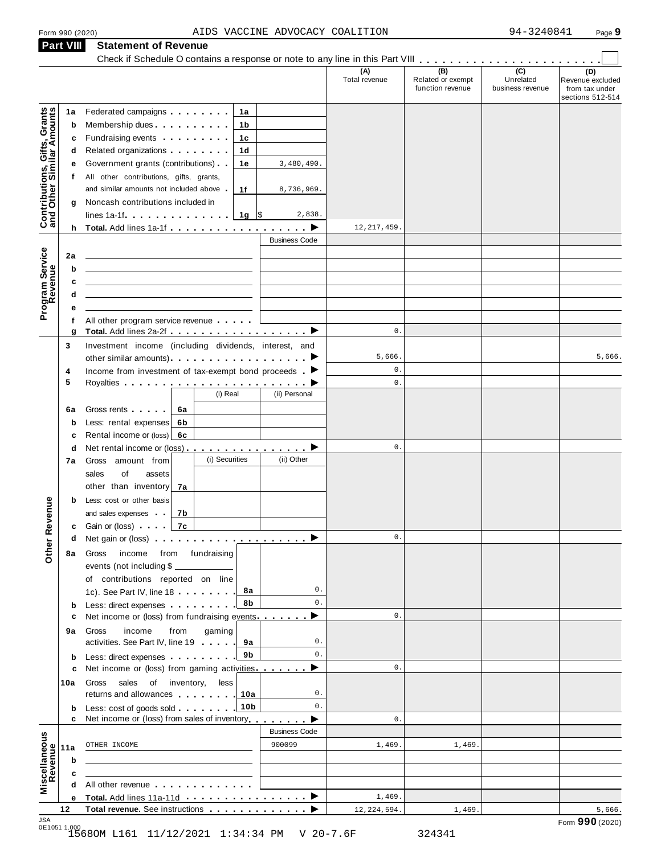**Part VIII Statement of Revenue**

#### Form <sup>990</sup> (2020) Page **9** AIDS VACCINE ADVOCACY COALITION 94-3240841

|                                                           | <b>Part VIII</b> | Statement of Revenue                                                                                                                                                                                                                       |                           |                      |                                              |                                                 |                                                               |
|-----------------------------------------------------------|------------------|--------------------------------------------------------------------------------------------------------------------------------------------------------------------------------------------------------------------------------------------|---------------------------|----------------------|----------------------------------------------|-------------------------------------------------|---------------------------------------------------------------|
|                                                           |                  |                                                                                                                                                                                                                                            |                           | (A)<br>Total revenue | (B)<br>Related or exempt<br>function revenue | $\overline{C}$<br>Unrelated<br>business revenue | (D)<br>Revenue excluded<br>from tax under<br>sections 512-514 |
|                                                           | 1a               | Federated campaigns <b>Federated</b><br>1a                                                                                                                                                                                                 |                           |                      |                                              |                                                 |                                                               |
|                                                           | b                | Membership dues expansion of the state of the state of the state of the state of the state of the state of the<br>1b                                                                                                                       |                           |                      |                                              |                                                 |                                                               |
|                                                           | с                | Fundraising events <b>Example 2</b> is a set of the set of the set of the set of the set of the set of the set of the set of the set of the set of the set of the set of the set of the set of the set of the set of the set of the<br>1с  |                           |                      |                                              |                                                 |                                                               |
|                                                           | d                | Related organizations <b>and the set of the set of the set of the set of the set of the set of the set of the set of the set of the set of the set of the set of the set of the set of the set of the set of the set of the set </b><br>1d |                           |                      |                                              |                                                 |                                                               |
|                                                           | е                | Government grants (contributions)<br>1е                                                                                                                                                                                                    | 3,480,490.                |                      |                                              |                                                 |                                                               |
|                                                           | t.               | All other contributions, gifts, grants,                                                                                                                                                                                                    |                           |                      |                                              |                                                 |                                                               |
|                                                           |                  | and similar amounts not included above.<br>1f                                                                                                                                                                                              | 8,736,969.                |                      |                                              |                                                 |                                                               |
|                                                           | g                | Noncash contributions included in                                                                                                                                                                                                          |                           |                      |                                              |                                                 |                                                               |
| Contributions, Gifts, Grants<br>and Other Similar Amounts |                  | lines 1a-1f $\ldots$ $\ldots$ $\ldots$ $\frac{1}{9}$ \$                                                                                                                                                                                    | 2,838.                    |                      |                                              |                                                 |                                                               |
|                                                           |                  | h Total. Add lines 1a-1f $\ldots$ , $\ldots$ , $\ldots$ , $\blacktriangleright$                                                                                                                                                            |                           | 12, 217, 459         |                                              |                                                 |                                                               |
|                                                           |                  |                                                                                                                                                                                                                                            | <b>Business Code</b>      |                      |                                              |                                                 |                                                               |
|                                                           | 2a               |                                                                                                                                                                                                                                            |                           |                      |                                              |                                                 |                                                               |
|                                                           | b                |                                                                                                                                                                                                                                            |                           |                      |                                              |                                                 |                                                               |
|                                                           | c                |                                                                                                                                                                                                                                            |                           |                      |                                              |                                                 |                                                               |
| Program Service                                           | d                |                                                                                                                                                                                                                                            |                           |                      |                                              |                                                 |                                                               |
|                                                           | е                |                                                                                                                                                                                                                                            |                           |                      |                                              |                                                 |                                                               |
|                                                           | f                | All other program service revenue                                                                                                                                                                                                          |                           |                      |                                              |                                                 |                                                               |
|                                                           | g                | Total. Add lines 2a-2f ▶                                                                                                                                                                                                                   |                           | $\mathsf{0}$ .       |                                              |                                                 |                                                               |
|                                                           | 3                | Investment income (including dividends, interest, and                                                                                                                                                                                      |                           |                      |                                              |                                                 |                                                               |
|                                                           |                  |                                                                                                                                                                                                                                            |                           | 5,666.               |                                              |                                                 | 5,666.                                                        |
|                                                           | 4                | Income from investment of tax-exempt bond proceeds $\blacktriangleright$                                                                                                                                                                   |                           | $\mathbf 0$ .        |                                              |                                                 |                                                               |
|                                                           | 5                |                                                                                                                                                                                                                                            |                           | $\mathbf 0$ .        |                                              |                                                 |                                                               |
|                                                           |                  | (i) Real                                                                                                                                                                                                                                   | (ii) Personal             |                      |                                              |                                                 |                                                               |
|                                                           | 6a               | Gross rents  <br>6а                                                                                                                                                                                                                        |                           |                      |                                              |                                                 |                                                               |
|                                                           | b                | Less: rental expenses<br>6b                                                                                                                                                                                                                |                           |                      |                                              |                                                 |                                                               |
|                                                           | c                | Rental income or (loss)<br>6с                                                                                                                                                                                                              |                           |                      |                                              |                                                 |                                                               |
|                                                           | d                | Net rental income or (loss) ▶                                                                                                                                                                                                              |                           | $\mathbf 0$ .        |                                              |                                                 |                                                               |
|                                                           | 7а               | (i) Securities<br>Gross amount from                                                                                                                                                                                                        | (ii) Other                |                      |                                              |                                                 |                                                               |
|                                                           |                  | sales<br>of<br>assets                                                                                                                                                                                                                      |                           |                      |                                              |                                                 |                                                               |
|                                                           |                  | other than inventory<br>7а                                                                                                                                                                                                                 |                           |                      |                                              |                                                 |                                                               |
|                                                           | b                | Less: cost or other basis                                                                                                                                                                                                                  |                           |                      |                                              |                                                 |                                                               |
| evenue                                                    |                  | and sales expenses<br>7b                                                                                                                                                                                                                   |                           |                      |                                              |                                                 |                                                               |
|                                                           |                  | <b>c</b> Gain or (loss)<br>7c                                                                                                                                                                                                              |                           |                      |                                              |                                                 |                                                               |
|                                                           | d                | Net gain or (loss) $\cdots$ $\cdots$ $\cdots$ $\cdots$ $\cdots$ $\cdots$ $\blacktriangleright$                                                                                                                                             |                           | $0$ .                |                                              |                                                 |                                                               |
| Other <sub>R</sub>                                        |                  |                                                                                                                                                                                                                                            |                           |                      |                                              |                                                 |                                                               |
|                                                           | 8a               | from fundraising<br>Gross<br>income                                                                                                                                                                                                        |                           |                      |                                              |                                                 |                                                               |
|                                                           |                  | events (not including \$                                                                                                                                                                                                                   |                           |                      |                                              |                                                 |                                                               |
|                                                           |                  | of contributions reported on line<br>8а                                                                                                                                                                                                    | 0.                        |                      |                                              |                                                 |                                                               |
|                                                           |                  | 1c). See Part IV, line 18<br>8b                                                                                                                                                                                                            | 0.                        |                      |                                              |                                                 |                                                               |
|                                                           | b<br>c           | Less: direct expenses<br>Net income or (loss) from fundraising events                                                                                                                                                                      | ▸                         | $0$ .                |                                              |                                                 |                                                               |
|                                                           |                  |                                                                                                                                                                                                                                            |                           |                      |                                              |                                                 |                                                               |
|                                                           | 9а               | income<br>from<br>gaming<br>Gross<br>activities. See Part IV, line 19<br>9а                                                                                                                                                                | 0.                        |                      |                                              |                                                 |                                                               |
|                                                           |                  | 9b                                                                                                                                                                                                                                         | 0.                        |                      |                                              |                                                 |                                                               |
|                                                           | b                | Net income or (loss) from gaming activities                                                                                                                                                                                                | ▸                         | $0$ .                |                                              |                                                 |                                                               |
|                                                           | c                |                                                                                                                                                                                                                                            |                           |                      |                                              |                                                 |                                                               |
|                                                           | 10a              | sales<br>of inventory,<br>less<br>Gross                                                                                                                                                                                                    | 0.                        |                      |                                              |                                                 |                                                               |
|                                                           |                  | returns and allowances<br>10a                                                                                                                                                                                                              | 0.                        |                      |                                              |                                                 |                                                               |
|                                                           | b<br>c           | Less: cost of goods sold 10b<br>Net income or (loss) from sales of inventory                                                                                                                                                               |                           | $0$ .                |                                              |                                                 |                                                               |
|                                                           |                  |                                                                                                                                                                                                                                            | ▸<br><b>Business Code</b> |                      |                                              |                                                 |                                                               |
|                                                           |                  |                                                                                                                                                                                                                                            |                           |                      |                                              |                                                 |                                                               |
|                                                           | 11a              | OTHER INCOME                                                                                                                                                                                                                               | 900099                    | 1,469.               | 1,469                                        |                                                 |                                                               |
|                                                           | b                |                                                                                                                                                                                                                                            |                           |                      |                                              |                                                 |                                                               |
| Miscellaneous<br>Revenue                                  | c                |                                                                                                                                                                                                                                            |                           |                      |                                              |                                                 |                                                               |
|                                                           | d                | All other revenue entitled and the state of the state of the state of the state of the state of the state of the state of the state of the state of the state of the state of the state of the state of the state of the state             |                           |                      |                                              |                                                 |                                                               |
|                                                           | е                |                                                                                                                                                                                                                                            |                           | 1,469.               |                                              |                                                 |                                                               |
| 10A                                                       | 12               | Total revenue. See instructions                                                                                                                                                                                                            |                           | 12, 224, 594.        | 1,469                                        |                                                 | 5,666.                                                        |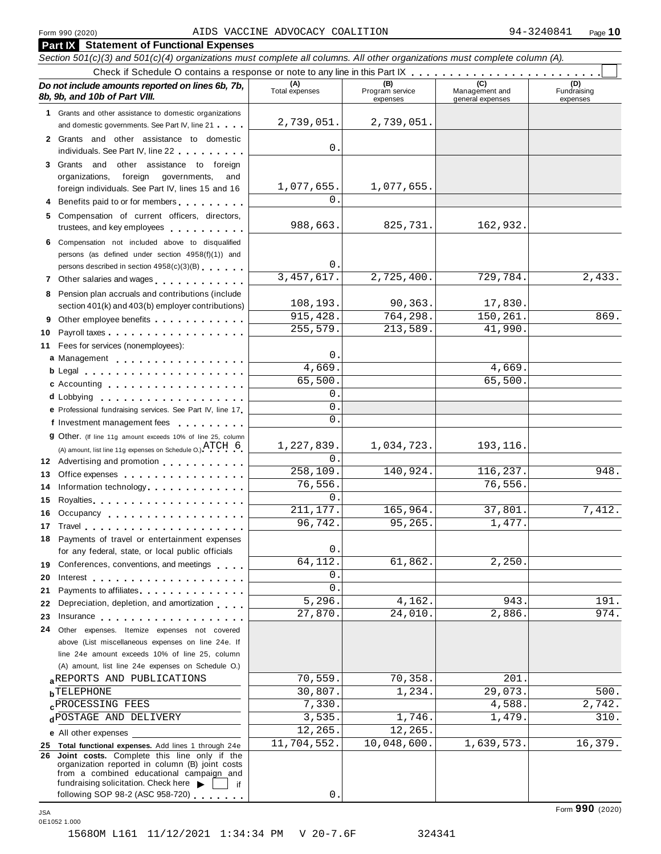#### Form <sup>990</sup> (2020) Page **10** AIDS VACCINE ADVOCACY COALITION 94-3240841

|          | <b>Part IX</b> Statement of Functional Expenses                                                                                                                                                                                      |                       |                                    |                                           |                                |
|----------|--------------------------------------------------------------------------------------------------------------------------------------------------------------------------------------------------------------------------------------|-----------------------|------------------------------------|-------------------------------------------|--------------------------------|
|          | Section 501(c)(3) and 501(c)(4) organizations must complete all columns. All other organizations must complete column (A).                                                                                                           |                       |                                    |                                           |                                |
|          |                                                                                                                                                                                                                                      |                       |                                    |                                           |                                |
|          | Do not include amounts reported on lines 6b, 7b,<br>8b, 9b, and 10b of Part VIII.                                                                                                                                                    | (A)<br>Total expenses | (B)<br>Program service<br>expenses | (C)<br>Management and<br>general expenses | (D)<br>Fundraising<br>expenses |
|          | 1 Grants and other assistance to domestic organizations                                                                                                                                                                              |                       |                                    |                                           |                                |
|          | and domestic governments. See Part IV, line 21                                                                                                                                                                                       | 2,739,051.            | 2,739,051.                         |                                           |                                |
|          | 2 Grants and other assistance to domestic                                                                                                                                                                                            |                       |                                    |                                           |                                |
|          | individuals. See Part IV, line 22                                                                                                                                                                                                    | 0.                    |                                    |                                           |                                |
|          | 3 Grants and other assistance to foreign                                                                                                                                                                                             |                       |                                    |                                           |                                |
|          | foreign governments,<br>organizations,<br>and                                                                                                                                                                                        | 1,077,655.            | 1,077,655.                         |                                           |                                |
|          | foreign individuals. See Part IV, lines 15 and 16<br>Benefits paid to or for members                                                                                                                                                 | 0.                    |                                    |                                           |                                |
|          |                                                                                                                                                                                                                                      |                       |                                    |                                           |                                |
| 5        | Compensation of current officers, directors,<br>trustees, and key employees                                                                                                                                                          | 988,663.              | 825,731.                           | 162,932.                                  |                                |
|          | 6 Compensation not included above to disqualified                                                                                                                                                                                    |                       |                                    |                                           |                                |
|          | persons (as defined under section 4958(f)(1)) and                                                                                                                                                                                    | 0.                    |                                    |                                           |                                |
|          | persons described in section 4958(c)(3)(B)                                                                                                                                                                                           | 3, 457, 617.          | 2,725,400.                         | 729,784.                                  | 2,433.                         |
|          | 7 Other salaries and wages                                                                                                                                                                                                           |                       |                                    |                                           |                                |
| 8        | Pension plan accruals and contributions (include                                                                                                                                                                                     | 108,193.              | 90,363.                            | 17,830.                                   |                                |
|          | section 401(k) and 403(b) employer contributions)                                                                                                                                                                                    | 915, 428.             | 764,298.                           | 150,261.                                  | 869.                           |
|          | Other employee benefits                                                                                                                                                                                                              | 255,579.              | 213,589.                           | 41,990                                    |                                |
| 10<br>11 | Fees for services (nonemployees):                                                                                                                                                                                                    |                       |                                    |                                           |                                |
|          | a Management                                                                                                                                                                                                                         | 0.                    |                                    |                                           |                                |
|          |                                                                                                                                                                                                                                      | 4,669.                |                                    | 4,669.                                    |                                |
|          | c Accounting                                                                                                                                                                                                                         | 65,500.               |                                    | 65,500.                                   |                                |
|          |                                                                                                                                                                                                                                      | 0.                    |                                    |                                           |                                |
|          | e Professional fundraising services. See Part IV, line 17                                                                                                                                                                            | $0$ .                 |                                    |                                           |                                |
|          | f Investment management fees<br><u>.</u>                                                                                                                                                                                             | 0.                    |                                    |                                           |                                |
|          | 9 Other. (If line 11g amount exceeds 10% of line 25, column                                                                                                                                                                          |                       |                                    |                                           |                                |
|          | (A) amount, list line 11g expenses on Schedule O.) $\text{ATCH} \quad 6$                                                                                                                                                             | 1,227,839.            | 1,034,723.                         | 193,116.                                  |                                |
|          | 12 Advertising and promotion                                                                                                                                                                                                         | 0.                    |                                    |                                           |                                |
| 13       | Office expenses example and the set of the set of the set of the set of the set of the set of the set of the set of the set of the set of the set of the set of the set of the set of the set of the set of the set of the set       | 258,109.              | 140,924.                           | 116,237.                                  | 948.                           |
| 14       | Information technology.                                                                                                                                                                                                              | 76,556.               |                                    | 76,556.                                   |                                |
| 15       |                                                                                                                                                                                                                                      | 0.                    |                                    |                                           |                                |
| 16       | Occupancy                                                                                                                                                                                                                            | 211, 177.             | 165,964.                           | 37,801.                                   | 7,412.                         |
| 17       |                                                                                                                                                                                                                                      | 96,742.               | 95,265.                            | 1,477.                                    |                                |
| 18       | Payments of travel or entertainment expenses                                                                                                                                                                                         |                       |                                    |                                           |                                |
|          | for any federal, state, or local public officials                                                                                                                                                                                    | 0.                    |                                    |                                           |                                |
| 19       | Conferences, conventions, and meetings                                                                                                                                                                                               | 64,112.               | 61,862.                            | 2,250                                     |                                |
| 20       | Interest the contract of the contract of the contract of the contract of the contract of the contract of the contract of the contract of the contract of the contract of the contract of the contract of the contract of the c       | 0.<br>0.              |                                    |                                           |                                |
| 21       | Payments to affiliates                                                                                                                                                                                                               | 5,296.                | 4,162.                             | 943.                                      | 191.                           |
| 22       | Depreciation, depletion, and amortization                                                                                                                                                                                            | 27,870.               | 24,010.                            | 2,886.                                    | 974.                           |
| 23       | Insurance <b>in the set of the set of the set of the set of the set of the set of the set of the set of the set of the set of the set of the set of the set of the set of the set of the set of the set of the set of the set of</b> |                       |                                    |                                           |                                |
| 24       | Other expenses. Itemize expenses not covered<br>above (List miscellaneous expenses on line 24e. If                                                                                                                                   |                       |                                    |                                           |                                |
|          | line 24e amount exceeds 10% of line 25, column                                                                                                                                                                                       |                       |                                    |                                           |                                |
|          | (A) amount, list line 24e expenses on Schedule O.)                                                                                                                                                                                   |                       |                                    |                                           |                                |
|          | aREPORTS AND PUBLICATIONS                                                                                                                                                                                                            | 70,559.               | 70,358.                            | 201                                       |                                |
|          | <b>b</b> TELEPHONE                                                                                                                                                                                                                   | 30,807.               | 1,234.                             | 29,073.                                   | 500.                           |
|          | <b>CPROCESSING FEES</b>                                                                                                                                                                                                              | 7,330.                |                                    | 4,588.                                    | 2,742.                         |
|          | dPOSTAGE AND DELIVERY                                                                                                                                                                                                                | 3,535.                | 1,746.                             | 1,479                                     | 310.                           |
|          | e All other expenses                                                                                                                                                                                                                 | 12,265.               | 12,265.                            |                                           |                                |
|          | 25 Total functional expenses. Add lines 1 through 24e                                                                                                                                                                                | 11,704,552.           | $\overline{10}$ , 048, 600.        | 1,639,573.                                | 16,379.                        |
|          | 26 Joint costs. Complete this line only if the<br>organization reported in column (B) joint costs<br>from a combined educational campaign and<br>fundraising solicitation. Check here<br>if                                          |                       |                                    |                                           |                                |
|          | following SOP 98-2 (ASC 958-720)                                                                                                                                                                                                     | 0.                    |                                    |                                           |                                |

0E1052 1.000

Form **990** (2020) JSA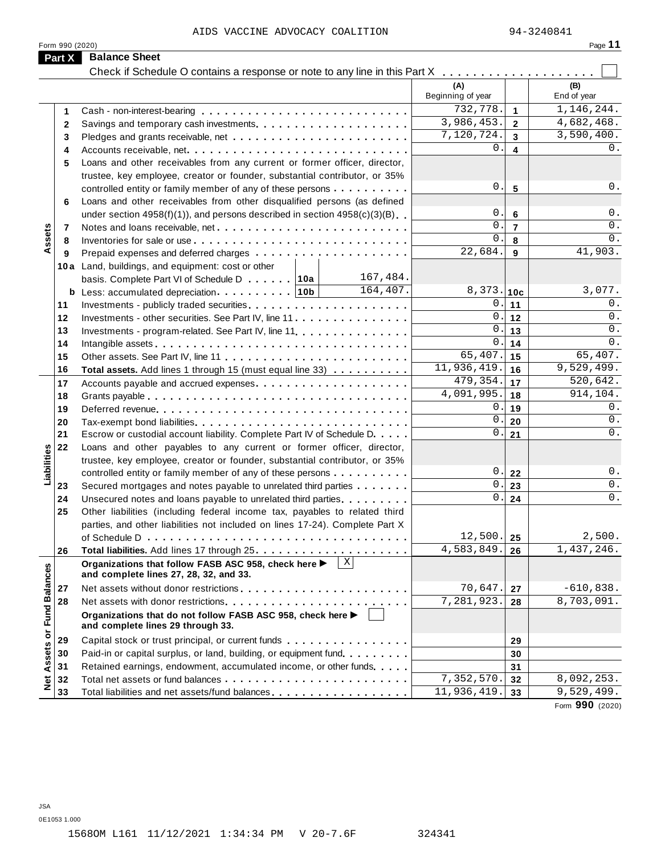| 16<br>ĸ<br>بر د |  |  |
|-----------------|--|--|
|                 |  |  |

|                      | Form 990 (2020) |                                                                                                                   |           |                          |                | Page 11            |
|----------------------|-----------------|-------------------------------------------------------------------------------------------------------------------|-----------|--------------------------|----------------|--------------------|
|                      | Part X          | <b>Balance Sheet</b>                                                                                              |           |                          |                |                    |
|                      |                 | Check if Schedule O contains a response or note to any line in this Part X                                        |           |                          |                |                    |
|                      |                 |                                                                                                                   |           | (A)<br>Beginning of year |                | (B)<br>End of year |
|                      | 1               |                                                                                                                   |           | 732,778.                 | $\mathbf{1}$   | 1,146,244.         |
|                      | 2               |                                                                                                                   |           | 3,986,453.               | $\mathbf{2}$   | 4,682,468.         |
|                      | 3               |                                                                                                                   |           | 7,120,724.               | $\mathbf{3}$   | 3,590,400.         |
|                      | 4               |                                                                                                                   | $0$ .     | $\overline{\mathbf{4}}$  | 0.             |                    |
|                      | 5               | Loans and other receivables from any current or former officer, director,                                         |           |                          |                |                    |
|                      |                 | trustee, key employee, creator or founder, substantial contributor, or 35%                                        |           |                          |                |                    |
|                      |                 | controlled entity or family member of any of these persons                                                        |           | 0.                       | $5\phantom{1}$ | 0.                 |
|                      | 6               | Loans and other receivables from other disqualified persons (as defined                                           |           |                          |                |                    |
|                      |                 | under section $4958(f)(1)$ , and persons described in section $4958(c)(3)(B)$                                     |           | О.                       | $\bf 6$        | 0.                 |
|                      | 7               |                                                                                                                   |           | $\mathbf{0}$ .           | $\overline{7}$ | 0.                 |
| Assets               | 8               |                                                                                                                   |           | $\Omega$ .               | 8              | 0.                 |
|                      | 9               |                                                                                                                   |           | 22,684.                  | 9              | 41,903.            |
|                      |                 | 10a Land, buildings, and equipment: cost or other                                                                 |           |                          |                |                    |
|                      |                 | basis. Complete Part VI of Schedule D 10a                                                                         | 167,484.  |                          |                |                    |
|                      |                 |                                                                                                                   | 164, 407. | 8,373.                   | 10c            | 3,077.             |
|                      |                 |                                                                                                                   |           | $\mathbf 0$ .            | 11             | 0.                 |
|                      | 11              |                                                                                                                   |           | $\mathbf{0}$ .           |                | 0.                 |
|                      | 12              | Investments - other securities. See Part IV, line 11.                                                             |           | 0.                       | $12$           | 0.                 |
|                      | 13              | Investments - program-related. See Part IV, line 11.                                                              |           | $\mathbf{0}$ .           | 13             | 0.                 |
|                      | 14              |                                                                                                                   |           | 65,407.                  | 14             | 65,407.            |
|                      | 15              |                                                                                                                   |           | 11,936,419.              | 15             | 9,529,499.         |
|                      | 16              | Total assets. Add lines 1 through 15 (must equal line 33)                                                         |           | 479,354.                 | 16             | 520,642.           |
|                      | 17              |                                                                                                                   |           | 4,091,995.               | 17             | 914,104.           |
|                      | 18              |                                                                                                                   |           | 0.                       | 18             |                    |
|                      | 19              |                                                                                                                   |           | $\mathbf 0$ .            | 19             | 0.                 |
|                      | 20              |                                                                                                                   |           | $\mathbf{0}$ .           | 20             | 0.                 |
|                      | 21              | Escrow or custodial account liability. Complete Part IV of Schedule D.                                            |           |                          | 21             | 0.                 |
| Liabilities          | 22              | Loans and other payables to any current or former officer, director,                                              |           |                          |                |                    |
|                      |                 | trustee, key employee, creator or founder, substantial contributor, or 35%                                        |           |                          |                |                    |
|                      |                 | controlled entity or family member of any of these persons                                                        |           | 0.                       | 22             | 0.                 |
|                      | 23              | Secured mortgages and notes payable to unrelated third parties                                                    |           | 0.                       | 23             | 0.                 |
|                      | 24              | Unsecured notes and loans payable to unrelated third parties                                                      |           | 0.                       | 24             | 0.                 |
|                      | 25              | Other liabilities (including federal income tax, payables to related third                                        |           |                          |                |                    |
|                      |                 | parties, and other liabilities not included on lines 17-24). Complete Part X                                      |           |                          |                |                    |
|                      |                 |                                                                                                                   |           | 12,500.                  | 25             | 2,500.             |
|                      | 26              |                                                                                                                   |           | 4,583,849.               | 26             | 1,437,246.         |
|                      |                 | $\vert x \vert$<br>Organizations that follow FASB ASC 958, check here ><br>and complete lines 27, 28, 32, and 33. |           |                          |                |                    |
|                      | 27              |                                                                                                                   |           | 70,647.                  | 27             | $-610,838.$        |
|                      | 28              |                                                                                                                   |           | 7,281,923.               | 28             | 8,703,091.         |
| <b>Fund Balances</b> |                 | Organizations that do not follow FASB ASC 958, check here ▶<br>and complete lines 29 through 33.                  |           |                          |                |                    |
|                      | 29              | Capital stock or trust principal, or current funds                                                                |           |                          | 29             |                    |
|                      | 30              | Paid-in or capital surplus, or land, building, or equipment fund.                                                 |           |                          | 30             |                    |
|                      | 31              | Retained earnings, endowment, accumulated income, or other funds                                                  |           |                          | 31             |                    |
| Net Assets or        | 32              |                                                                                                                   |           | 7,352,570.               | 32             | 8,092,253.         |
|                      | 33              | Total liabilities and net assets/fund balances                                                                    |           | 11,936,419.              | 33             | 9,529,499.         |
|                      |                 |                                                                                                                   |           |                          |                |                    |

Form **990** (2020)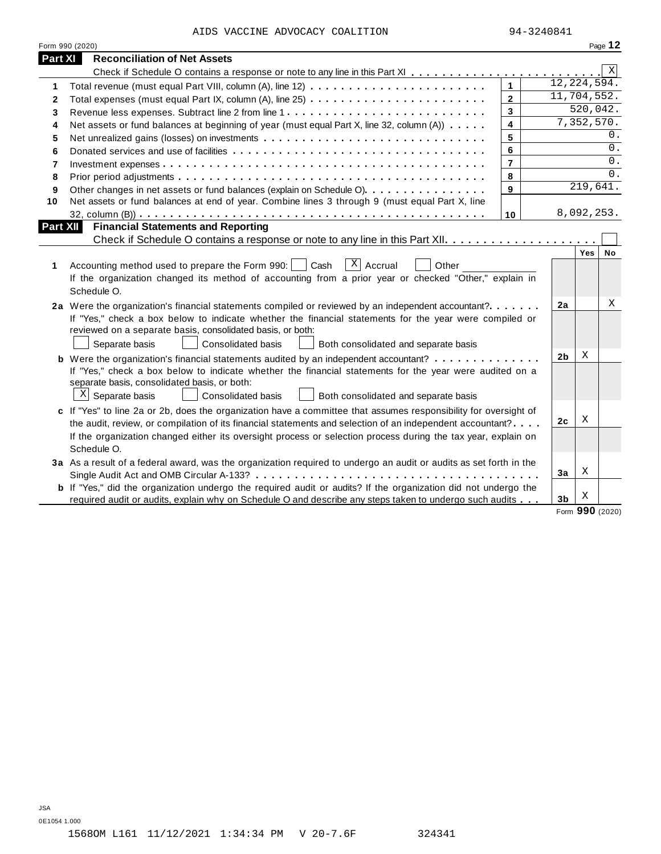AIDS VACCINE ADVOCACY COALITION 94-3240841

|                 | Form 990 (2020)                                                                                                                                                                                                                                                                                                                                            |                |                |                  | Page 12 |
|-----------------|------------------------------------------------------------------------------------------------------------------------------------------------------------------------------------------------------------------------------------------------------------------------------------------------------------------------------------------------------------|----------------|----------------|------------------|---------|
| Part XI         | <b>Reconciliation of Net Assets</b>                                                                                                                                                                                                                                                                                                                        |                |                |                  |         |
|                 |                                                                                                                                                                                                                                                                                                                                                            |                |                |                  | Χ       |
| 1               |                                                                                                                                                                                                                                                                                                                                                            | $\mathbf{1}$   | 12, 224, 594.  |                  |         |
| $\mathbf{2}$    |                                                                                                                                                                                                                                                                                                                                                            | $\overline{2}$ | 11,704,552.    |                  |         |
| 3               |                                                                                                                                                                                                                                                                                                                                                            | 3              |                | 520,042.         |         |
| 4               | Net assets or fund balances at beginning of year (must equal Part X, line 32, column (A))                                                                                                                                                                                                                                                                  | 4              |                | 7,352,570.       |         |
| 5               | Net unrealized gains (losses) on investments                                                                                                                                                                                                                                                                                                               | 5              |                |                  | 0.      |
| 6               |                                                                                                                                                                                                                                                                                                                                                            | 6              |                |                  | 0.      |
| $\overline{7}$  |                                                                                                                                                                                                                                                                                                                                                            | $\overline{7}$ |                |                  | 0.      |
| 8               |                                                                                                                                                                                                                                                                                                                                                            | 8              |                |                  | $0$ .   |
| 9               | Other changes in net assets or fund balances (explain on Schedule O).                                                                                                                                                                                                                                                                                      | 9              |                | 219,641.         |         |
| 10              | Net assets or fund balances at end of year. Combine lines 3 through 9 (must equal Part X, line                                                                                                                                                                                                                                                             |                |                |                  |         |
|                 |                                                                                                                                                                                                                                                                                                                                                            | 10             |                | 8,092,253.       |         |
| <b>Part XII</b> | <b>Financial Statements and Reporting</b>                                                                                                                                                                                                                                                                                                                  |                |                |                  |         |
|                 |                                                                                                                                                                                                                                                                                                                                                            |                |                |                  |         |
| 1               | $\overline{X}$ Accrual<br>Cash<br>Accounting method used to prepare the Form 990:  <br>Other<br>If the organization changed its method of accounting from a prior year or checked "Other," explain in<br>Schedule O.                                                                                                                                       |                |                | Yes <sup>1</sup> | No      |
|                 | 2a Were the organization's financial statements compiled or reviewed by an independent accountant?<br>If "Yes," check a box below to indicate whether the financial statements for the year were compiled or<br>reviewed on a separate basis, consolidated basis, or both:<br>Separate basis<br>Consolidated basis<br>Both consolidated and separate basis |                | 2a             |                  | Χ       |
|                 | <b>b</b> Were the organization's financial statements audited by an independent accountant?                                                                                                                                                                                                                                                                |                | 2 <sub>b</sub> | Χ                |         |
|                 | If "Yes," check a box below to indicate whether the financial statements for the year were audited on a<br>separate basis, consolidated basis, or both:<br>$X$ Separate basis<br>Consolidated basis<br>Both consolidated and separate basis                                                                                                                |                |                |                  |         |
|                 | c If "Yes" to line 2a or 2b, does the organization have a committee that assumes responsibility for oversight of                                                                                                                                                                                                                                           |                |                |                  |         |
|                 | the audit, review, or compilation of its financial statements and selection of an independent accountant?                                                                                                                                                                                                                                                  |                | 2c             | Χ                |         |
|                 | If the organization changed either its oversight process or selection process during the tax year, explain on<br>Schedule O.                                                                                                                                                                                                                               |                |                |                  |         |
|                 | 3a As a result of a federal award, was the organization required to undergo an audit or audits as set forth in the                                                                                                                                                                                                                                         |                |                |                  |         |
|                 |                                                                                                                                                                                                                                                                                                                                                            |                | 3a             | Χ                |         |
|                 | <b>b</b> If "Yes," did the organization undergo the required audit or audits? If the organization did not undergo the                                                                                                                                                                                                                                      |                |                |                  |         |
|                 | required audit or audits, explain why on Schedule O and describe any steps taken to undergo such audits                                                                                                                                                                                                                                                    |                | 3 <sub>b</sub> | Х                |         |

Form **990** (2020)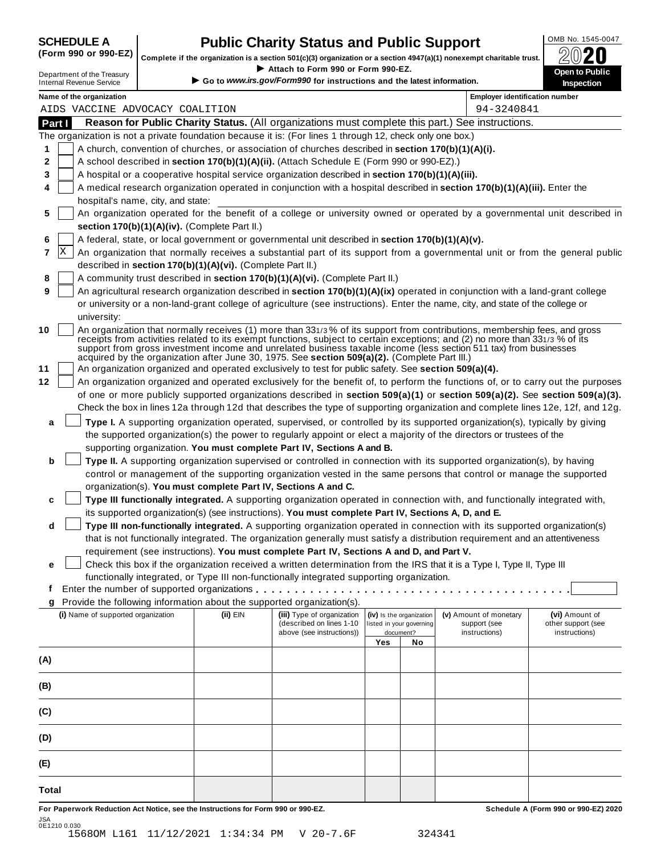## **CHEDULE A Public Charity Status and Public Support**  $\frac{100\text{dB No. }1545-0047}{000\text{dB No.}}$

(Form 990 or 990-EZ) complete if the organization is a section 501(c)(3) organization or a section 4947(a)(1) nonexempt charitable trust.  $2020$ 

|        |                                                                                                                                                                                                                                                     |                                                                                                                                                                                                                                                           |                                                                                                                              | Complete if the organization is a section 501(c)(3) organization or a section $4947(a)(1)$ nonexempt charitable trust. |     |                          |                                                                                                                                                                                                                                                           | BWŁU                                                                                                                             |  |  |  |
|--------|-----------------------------------------------------------------------------------------------------------------------------------------------------------------------------------------------------------------------------------------------------|-----------------------------------------------------------------------------------------------------------------------------------------------------------------------------------------------------------------------------------------------------------|------------------------------------------------------------------------------------------------------------------------------|------------------------------------------------------------------------------------------------------------------------|-----|--------------------------|-----------------------------------------------------------------------------------------------------------------------------------------------------------------------------------------------------------------------------------------------------------|----------------------------------------------------------------------------------------------------------------------------------|--|--|--|
|        | Department of the Treasury<br><b>Internal Revenue Service</b>                                                                                                                                                                                       |                                                                                                                                                                                                                                                           |                                                                                                                              | Attach to Form 990 or Form 990-EZ.<br>Go to www.irs.gov/Form990 for instructions and the latest information.           |     |                          |                                                                                                                                                                                                                                                           | Open to Public<br>Inspection                                                                                                     |  |  |  |
|        | Name of the organization                                                                                                                                                                                                                            |                                                                                                                                                                                                                                                           |                                                                                                                              |                                                                                                                        |     |                          | <b>Employer identification number</b>                                                                                                                                                                                                                     |                                                                                                                                  |  |  |  |
|        | AIDS VACCINE ADVOCACY COALITION                                                                                                                                                                                                                     |                                                                                                                                                                                                                                                           |                                                                                                                              |                                                                                                                        |     |                          | 94-3240841                                                                                                                                                                                                                                                |                                                                                                                                  |  |  |  |
| Part I |                                                                                                                                                                                                                                                     |                                                                                                                                                                                                                                                           |                                                                                                                              |                                                                                                                        |     |                          | Reason for Public Charity Status. (All organizations must complete this part.) See instructions.                                                                                                                                                          |                                                                                                                                  |  |  |  |
|        |                                                                                                                                                                                                                                                     |                                                                                                                                                                                                                                                           |                                                                                                                              | The organization is not a private foundation because it is: (For lines 1 through 12, check only one box.)              |     |                          |                                                                                                                                                                                                                                                           |                                                                                                                                  |  |  |  |
| 1      |                                                                                                                                                                                                                                                     |                                                                                                                                                                                                                                                           |                                                                                                                              | A church, convention of churches, or association of churches described in section 170(b)(1)(A)(i).                     |     |                          |                                                                                                                                                                                                                                                           |                                                                                                                                  |  |  |  |
| 2      |                                                                                                                                                                                                                                                     |                                                                                                                                                                                                                                                           | A school described in section 170(b)(1)(A)(ii). (Attach Schedule E (Form 990 or 990-EZ).)                                    |                                                                                                                        |     |                          |                                                                                                                                                                                                                                                           |                                                                                                                                  |  |  |  |
| 3      | A hospital or a cooperative hospital service organization described in section 170(b)(1)(A)(iii).                                                                                                                                                   |                                                                                                                                                                                                                                                           |                                                                                                                              |                                                                                                                        |     |                          |                                                                                                                                                                                                                                                           |                                                                                                                                  |  |  |  |
| 4      |                                                                                                                                                                                                                                                     |                                                                                                                                                                                                                                                           |                                                                                                                              |                                                                                                                        |     |                          | A medical research organization operated in conjunction with a hospital described in section 170(b)(1)(A)(iii). Enter the                                                                                                                                 |                                                                                                                                  |  |  |  |
|        | hospital's name, city, and state:                                                                                                                                                                                                                   |                                                                                                                                                                                                                                                           |                                                                                                                              |                                                                                                                        |     |                          |                                                                                                                                                                                                                                                           |                                                                                                                                  |  |  |  |
| 5      |                                                                                                                                                                                                                                                     |                                                                                                                                                                                                                                                           |                                                                                                                              |                                                                                                                        |     |                          |                                                                                                                                                                                                                                                           | An organization operated for the benefit of a college or university owned or operated by a governmental unit described in        |  |  |  |
|        |                                                                                                                                                                                                                                                     |                                                                                                                                                                                                                                                           | section 170(b)(1)(A)(iv). (Complete Part II.)                                                                                |                                                                                                                        |     |                          |                                                                                                                                                                                                                                                           |                                                                                                                                  |  |  |  |
| 6      | A federal, state, or local government or governmental unit described in section 170(b)(1)(A)(v).                                                                                                                                                    |                                                                                                                                                                                                                                                           |                                                                                                                              |                                                                                                                        |     |                          |                                                                                                                                                                                                                                                           |                                                                                                                                  |  |  |  |
| 7      | X                                                                                                                                                                                                                                                   |                                                                                                                                                                                                                                                           | An organization that normally receives a substantial part of its support from a governmental unit or from the general public |                                                                                                                        |     |                          |                                                                                                                                                                                                                                                           |                                                                                                                                  |  |  |  |
|        |                                                                                                                                                                                                                                                     |                                                                                                                                                                                                                                                           | described in section 170(b)(1)(A)(vi). (Complete Part II.)                                                                   |                                                                                                                        |     |                          |                                                                                                                                                                                                                                                           |                                                                                                                                  |  |  |  |
| 8      |                                                                                                                                                                                                                                                     |                                                                                                                                                                                                                                                           |                                                                                                                              | A community trust described in section 170(b)(1)(A)(vi). (Complete Part II.)                                           |     |                          |                                                                                                                                                                                                                                                           |                                                                                                                                  |  |  |  |
| 9      |                                                                                                                                                                                                                                                     |                                                                                                                                                                                                                                                           |                                                                                                                              |                                                                                                                        |     |                          | An agricultural research organization described in section 170(b)(1)(A)(ix) operated in conjunction with a land-grant college                                                                                                                             |                                                                                                                                  |  |  |  |
|        |                                                                                                                                                                                                                                                     |                                                                                                                                                                                                                                                           |                                                                                                                              |                                                                                                                        |     |                          | or university or a non-land-grant college of agriculture (see instructions). Enter the name, city, and state of the college or                                                                                                                            |                                                                                                                                  |  |  |  |
|        | university:                                                                                                                                                                                                                                         |                                                                                                                                                                                                                                                           |                                                                                                                              |                                                                                                                        |     |                          |                                                                                                                                                                                                                                                           |                                                                                                                                  |  |  |  |
| 10     |                                                                                                                                                                                                                                                     |                                                                                                                                                                                                                                                           |                                                                                                                              |                                                                                                                        |     |                          | An organization that normally receives (1) more than 331/3% of its support from contributions, membership fees, and gross<br>receipts from activities related to its exempt functions, subject to certain exceptions; and (2) no more than 331/3 % of its |                                                                                                                                  |  |  |  |
|        |                                                                                                                                                                                                                                                     |                                                                                                                                                                                                                                                           |                                                                                                                              |                                                                                                                        |     |                          | support from gross investment income and unrelated business taxable income (less section 511 tax) from businesses                                                                                                                                         |                                                                                                                                  |  |  |  |
|        |                                                                                                                                                                                                                                                     |                                                                                                                                                                                                                                                           |                                                                                                                              | acquired by the organization after June 30, 1975. See section 509(a)(2). (Complete Part III.)                          |     |                          |                                                                                                                                                                                                                                                           |                                                                                                                                  |  |  |  |
| 11     |                                                                                                                                                                                                                                                     |                                                                                                                                                                                                                                                           |                                                                                                                              | An organization organized and operated exclusively to test for public safety. See section 509(a)(4).                   |     |                          |                                                                                                                                                                                                                                                           |                                                                                                                                  |  |  |  |
| 12     |                                                                                                                                                                                                                                                     |                                                                                                                                                                                                                                                           |                                                                                                                              |                                                                                                                        |     |                          |                                                                                                                                                                                                                                                           | An organization organized and operated exclusively for the benefit of, to perform the functions of, or to carry out the purposes |  |  |  |
|        | of one or more publicly supported organizations described in section 509(a)(1) or section 509(a)(2). See section 509(a)(3).                                                                                                                         |                                                                                                                                                                                                                                                           |                                                                                                                              |                                                                                                                        |     |                          |                                                                                                                                                                                                                                                           |                                                                                                                                  |  |  |  |
|        | Check the box in lines 12a through 12d that describes the type of supporting organization and complete lines 12e, 12f, and 12g.                                                                                                                     |                                                                                                                                                                                                                                                           |                                                                                                                              |                                                                                                                        |     |                          |                                                                                                                                                                                                                                                           |                                                                                                                                  |  |  |  |
| a      | Type I. A supporting organization operated, supervised, or controlled by its supported organization(s), typically by giving<br>the supported organization(s) the power to regularly appoint or elect a majority of the directors or trustees of the |                                                                                                                                                                                                                                                           |                                                                                                                              |                                                                                                                        |     |                          |                                                                                                                                                                                                                                                           |                                                                                                                                  |  |  |  |
|        |                                                                                                                                                                                                                                                     |                                                                                                                                                                                                                                                           |                                                                                                                              |                                                                                                                        |     |                          |                                                                                                                                                                                                                                                           |                                                                                                                                  |  |  |  |
|        |                                                                                                                                                                                                                                                     |                                                                                                                                                                                                                                                           |                                                                                                                              | supporting organization. You must complete Part IV, Sections A and B.                                                  |     |                          |                                                                                                                                                                                                                                                           |                                                                                                                                  |  |  |  |
| b      |                                                                                                                                                                                                                                                     | Type II. A supporting organization supervised or controlled in connection with its supported organization(s), by having                                                                                                                                   |                                                                                                                              |                                                                                                                        |     |                          |                                                                                                                                                                                                                                                           |                                                                                                                                  |  |  |  |
|        |                                                                                                                                                                                                                                                     | control or management of the supporting organization vested in the same persons that control or manage the supported                                                                                                                                      |                                                                                                                              |                                                                                                                        |     |                          |                                                                                                                                                                                                                                                           |                                                                                                                                  |  |  |  |
|        |                                                                                                                                                                                                                                                     |                                                                                                                                                                                                                                                           |                                                                                                                              | organization(s). You must complete Part IV, Sections A and C.                                                          |     |                          |                                                                                                                                                                                                                                                           |                                                                                                                                  |  |  |  |
| c      |                                                                                                                                                                                                                                                     |                                                                                                                                                                                                                                                           |                                                                                                                              |                                                                                                                        |     |                          | Type III functionally integrated. A supporting organization operated in connection with, and functionally integrated with,                                                                                                                                |                                                                                                                                  |  |  |  |
|        |                                                                                                                                                                                                                                                     |                                                                                                                                                                                                                                                           |                                                                                                                              | its supported organization(s) (see instructions). You must complete Part IV, Sections A, D, and E.                     |     |                          |                                                                                                                                                                                                                                                           |                                                                                                                                  |  |  |  |
| d      |                                                                                                                                                                                                                                                     | Type III non-functionally integrated. A supporting organization operated in connection with its supported organization(s)<br>that is not functionally integrated. The organization generally must satisfy a distribution requirement and an attentiveness |                                                                                                                              |                                                                                                                        |     |                          |                                                                                                                                                                                                                                                           |                                                                                                                                  |  |  |  |
|        |                                                                                                                                                                                                                                                     |                                                                                                                                                                                                                                                           |                                                                                                                              |                                                                                                                        |     |                          |                                                                                                                                                                                                                                                           |                                                                                                                                  |  |  |  |
|        |                                                                                                                                                                                                                                                     |                                                                                                                                                                                                                                                           |                                                                                                                              | requirement (see instructions). You must complete Part IV, Sections A and D, and Part V.                               |     |                          |                                                                                                                                                                                                                                                           |                                                                                                                                  |  |  |  |
| е      |                                                                                                                                                                                                                                                     |                                                                                                                                                                                                                                                           |                                                                                                                              | functionally integrated, or Type III non-functionally integrated supporting organization.                              |     |                          | Check this box if the organization received a written determination from the IRS that it is a Type I, Type II, Type III                                                                                                                                   |                                                                                                                                  |  |  |  |
| t      |                                                                                                                                                                                                                                                     |                                                                                                                                                                                                                                                           |                                                                                                                              |                                                                                                                        |     |                          |                                                                                                                                                                                                                                                           |                                                                                                                                  |  |  |  |
| g      |                                                                                                                                                                                                                                                     |                                                                                                                                                                                                                                                           |                                                                                                                              | Provide the following information about the supported organization(s).                                                 |     |                          |                                                                                                                                                                                                                                                           |                                                                                                                                  |  |  |  |
|        | (i) Name of supported organization                                                                                                                                                                                                                  |                                                                                                                                                                                                                                                           | (ii) EIN                                                                                                                     | (iii) Type of organization                                                                                             |     | (iv) Is the organization | (v) Amount of monetary                                                                                                                                                                                                                                    | (vi) Amount of                                                                                                                   |  |  |  |
|        |                                                                                                                                                                                                                                                     |                                                                                                                                                                                                                                                           |                                                                                                                              | (described on lines 1-10                                                                                               |     | listed in your governing | support (see                                                                                                                                                                                                                                              | other support (see                                                                                                               |  |  |  |
|        |                                                                                                                                                                                                                                                     |                                                                                                                                                                                                                                                           |                                                                                                                              | above (see instructions))                                                                                              | Yes | document?<br>No          | instructions)                                                                                                                                                                                                                                             | instructions)                                                                                                                    |  |  |  |
|        |                                                                                                                                                                                                                                                     |                                                                                                                                                                                                                                                           |                                                                                                                              |                                                                                                                        |     |                          |                                                                                                                                                                                                                                                           |                                                                                                                                  |  |  |  |
| (A)    |                                                                                                                                                                                                                                                     |                                                                                                                                                                                                                                                           |                                                                                                                              |                                                                                                                        |     |                          |                                                                                                                                                                                                                                                           |                                                                                                                                  |  |  |  |
|        |                                                                                                                                                                                                                                                     |                                                                                                                                                                                                                                                           |                                                                                                                              |                                                                                                                        |     |                          |                                                                                                                                                                                                                                                           |                                                                                                                                  |  |  |  |
| (B)    |                                                                                                                                                                                                                                                     |                                                                                                                                                                                                                                                           |                                                                                                                              |                                                                                                                        |     |                          |                                                                                                                                                                                                                                                           |                                                                                                                                  |  |  |  |
| (C)    |                                                                                                                                                                                                                                                     |                                                                                                                                                                                                                                                           |                                                                                                                              |                                                                                                                        |     |                          |                                                                                                                                                                                                                                                           |                                                                                                                                  |  |  |  |
|        |                                                                                                                                                                                                                                                     |                                                                                                                                                                                                                                                           |                                                                                                                              |                                                                                                                        |     |                          |                                                                                                                                                                                                                                                           |                                                                                                                                  |  |  |  |
| (D)    |                                                                                                                                                                                                                                                     |                                                                                                                                                                                                                                                           |                                                                                                                              |                                                                                                                        |     |                          |                                                                                                                                                                                                                                                           |                                                                                                                                  |  |  |  |
|        |                                                                                                                                                                                                                                                     |                                                                                                                                                                                                                                                           |                                                                                                                              |                                                                                                                        |     |                          |                                                                                                                                                                                                                                                           |                                                                                                                                  |  |  |  |
| (E)    |                                                                                                                                                                                                                                                     |                                                                                                                                                                                                                                                           |                                                                                                                              |                                                                                                                        |     |                          |                                                                                                                                                                                                                                                           |                                                                                                                                  |  |  |  |
|        |                                                                                                                                                                                                                                                     |                                                                                                                                                                                                                                                           |                                                                                                                              |                                                                                                                        |     |                          |                                                                                                                                                                                                                                                           |                                                                                                                                  |  |  |  |

For Paperwork Reduction Act Notice, see the Instructions for Form 990 or 990-EZ. Schedule A (Form 990 or 990-EZ) 2020 JSA 0E1210 0.030 1568OM L161 11/12/2021 1:34:34 PM V 20-7.6F 324341

**Total**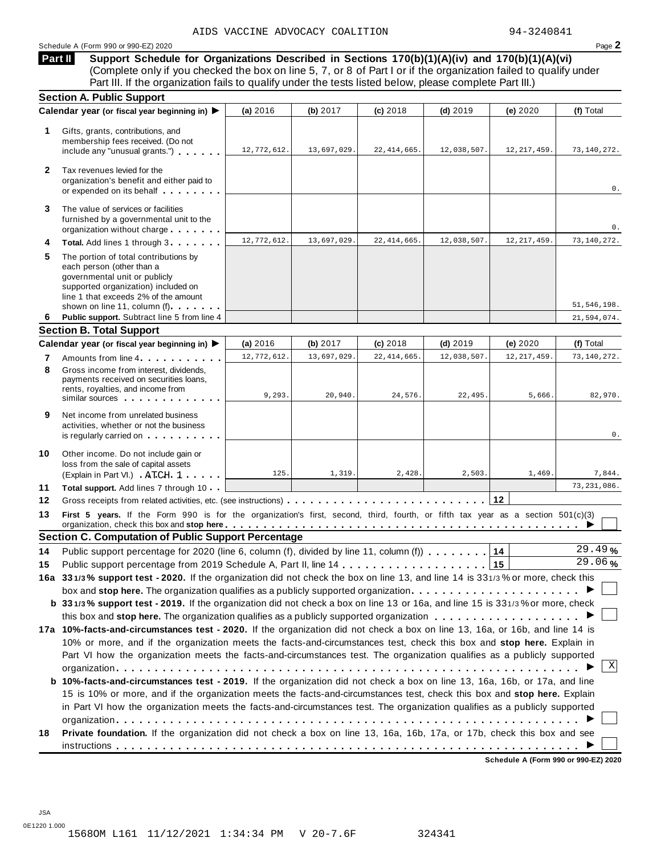#### Schedule <sup>A</sup> (Form <sup>990</sup> or 990-EZ) <sup>2020</sup> Page **2**

**Support Schedule for Organizations Described in Sections 170(b)(1)(A)(iv) and 170(b)(1)(A)(vi)** Complete only if you checked the box on line 5, 7, or 8 of Part I or if the organization failed to qualify under Part III. If the organization fails to qualify under the tests listed below, please complete Part III.) **Part II**

|              | <b>Section A. Public Support</b>                                                                                                                                                                                                                                                                               |             |             |               |             |               |               |
|--------------|----------------------------------------------------------------------------------------------------------------------------------------------------------------------------------------------------------------------------------------------------------------------------------------------------------------|-------------|-------------|---------------|-------------|---------------|---------------|
|              | Calendar year (or fiscal year beginning in) ▶                                                                                                                                                                                                                                                                  | (a) 2016    | (b) 2017    | $(c)$ 2018    | $(d)$ 2019  | (e) $2020$    | (f) Total     |
| 1            | Gifts, grants, contributions, and<br>membership fees received. (Do not<br>include any "unusual grants.")                                                                                                                                                                                                       | 12,772,612. | 13,697,029. | 22, 414, 665. | 12,038,507. | 12, 217, 459. | 73,140,272.   |
| $\mathbf{2}$ | Tax revenues levied for the<br>organization's benefit and either paid to<br>or expended on its behalf                                                                                                                                                                                                          |             |             |               |             |               | 0.            |
| 3            | The value of services or facilities<br>furnished by a governmental unit to the<br>organization without charge                                                                                                                                                                                                  |             |             |               |             |               | 0.            |
| 4            | Total. Add lines 1 through 3                                                                                                                                                                                                                                                                                   | 12,772,612. | 13,697,029. | 22, 414, 665. | 12,038,507. | 12, 217, 459. | 73, 140, 272. |
| 5            | The portion of total contributions by<br>each person (other than a<br>governmental unit or publicly<br>supported organization) included on<br>line 1 that exceeds 2% of the amount<br>shown on line 11, column (f)                                                                                             |             |             |               |             |               | 51, 546, 198. |
| 6            | Public support. Subtract line 5 from line 4                                                                                                                                                                                                                                                                    |             |             |               |             |               | 21,594,074.   |
|              | <b>Section B. Total Support</b>                                                                                                                                                                                                                                                                                |             |             |               |             |               |               |
|              | Calendar year (or fiscal year beginning in) ▶                                                                                                                                                                                                                                                                  | (a) 2016    | (b) $2017$  | (c) 2018      | $(d)$ 2019  | (e) $2020$    | (f) Total     |
| 7            | Amounts from line 4                                                                                                                                                                                                                                                                                            | 12,772,612. | 13,697,029. | 22, 414, 665. | 12,038,507  | 12, 217, 459. | 73,140,272.   |
| 8            | Gross income from interest, dividends,<br>payments received on securities loans,<br>rents, royalties, and income from<br>similar sources experiences                                                                                                                                                           | 9,293.      | 20.940.     | 24,576.       | 22,495.     | 5,666.        | 82,970.       |
| 9            | Net income from unrelated business<br>activities, whether or not the business<br>is regularly carried on the contract of the state of the state of the state of the state of the state of the state of the state of the state of the state of the state of the state of the state of the state of the state of |             |             |               |             |               | 0.            |
| 10           | Other income. Do not include gain or<br>loss from the sale of capital assets<br>(Explain in Part VI.) ATCH 1                                                                                                                                                                                                   | 125.        | 1,319.      | 2,428         | 2,503.      | 1,469.        | 7,844.        |
| 11           | Total support. Add lines 7 through 10                                                                                                                                                                                                                                                                          |             |             |               |             |               | 73, 231, 086. |
| $12 \,$      |                                                                                                                                                                                                                                                                                                                |             |             |               |             | 12            |               |
| 13           | First 5 years. If the Form 990 is for the organization's first, second, third, fourth, or fifth tax year as a section 501(c)(3)                                                                                                                                                                                |             |             |               |             |               |               |
|              | <b>Section C. Computation of Public Support Percentage</b>                                                                                                                                                                                                                                                     |             |             |               |             |               |               |
| 14           | Public support percentage for 2020 (line 6, column (f), divided by line 11, column (f)                                                                                                                                                                                                                         |             |             |               |             | 14            | 29.49%        |
| 15           | Public support percentage from 2019 Schedule A, Part II, line 14                                                                                                                                                                                                                                               |             |             |               |             | 15            | 29.06%        |
|              | 16a 331/3% support test - 2020. If the organization did not check the box on line 13, and line 14 is 331/3% or more, check this                                                                                                                                                                                |             |             |               |             |               |               |
|              |                                                                                                                                                                                                                                                                                                                |             |             |               |             |               |               |
|              | b 331/3% support test - 2019. If the organization did not check a box on line 13 or 16a, and line 15 is 331/3% or more, check                                                                                                                                                                                  |             |             |               |             |               |               |
|              |                                                                                                                                                                                                                                                                                                                |             |             |               |             |               |               |
|              | 17a 10%-facts-and-circumstances test - 2020. If the organization did not check a box on line 13, 16a, or 16b, and line 14 is                                                                                                                                                                                   |             |             |               |             |               |               |
|              | 10% or more, and if the organization meets the facts-and-circumstances test, check this box and stop here. Explain in                                                                                                                                                                                          |             |             |               |             |               |               |
|              | Part VI how the organization meets the facts-and-circumstances test. The organization qualifies as a publicly supported                                                                                                                                                                                        |             |             |               |             |               |               |
|              |                                                                                                                                                                                                                                                                                                                |             |             |               |             |               | Χ             |
|              | b 10%-facts-and-circumstances test - 2019. If the organization did not check a box on line 13, 16a, 16b, or 17a, and line                                                                                                                                                                                      |             |             |               |             |               |               |
|              | 15 is 10% or more, and if the organization meets the facts-and-circumstances test, check this box and stop here. Explain                                                                                                                                                                                       |             |             |               |             |               |               |
|              | in Part VI how the organization meets the facts-and-circumstances test. The organization qualifies as a publicly supported                                                                                                                                                                                     |             |             |               |             |               |               |
|              |                                                                                                                                                                                                                                                                                                                |             |             |               |             |               |               |
|              |                                                                                                                                                                                                                                                                                                                |             |             |               |             |               |               |
| 18           | Private foundation. If the organization did not check a box on line 13, 16a, 16b, 17a, or 17b, check this box and see                                                                                                                                                                                          |             |             |               |             |               |               |

**Schedule A (Form 990 or 990-EZ) 2020**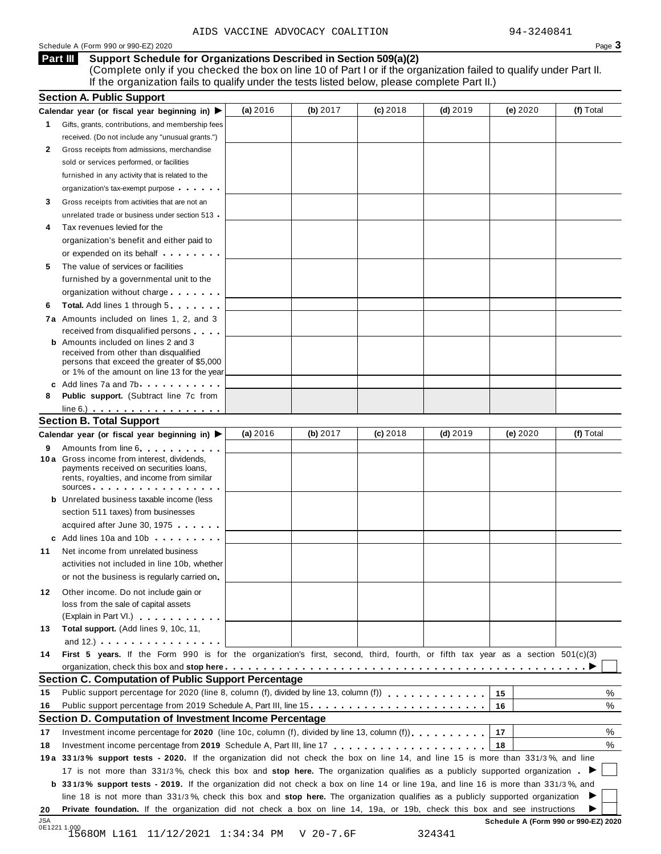#### Schedule A (Form 990 or 990-EZ) 2020 Page  $3$

#### **Support Schedule for Organizations Described in Section 509(a)(2) Part III**

(Complete only if you checked the box on line 10 of Part I or if the organization failed to qualify under Part II. If the organization fails to qualify under the tests listed below, please complete Part II.)

|                            | <b>Section A. Public Support</b>                                                                                                                                                                                                                           |          |          |            |            |          |                  |
|----------------------------|------------------------------------------------------------------------------------------------------------------------------------------------------------------------------------------------------------------------------------------------------------|----------|----------|------------|------------|----------|------------------|
|                            | Calendar year (or fiscal year beginning in) $\blacktriangleright$                                                                                                                                                                                          | (a) 2016 | (b) 2017 | $(c)$ 2018 | $(d)$ 2019 | (e) 2020 | (f) Total        |
| 1.                         | Gifts, grants, contributions, and membership fees                                                                                                                                                                                                          |          |          |            |            |          |                  |
|                            | received. (Do not include any "unusual grants.")                                                                                                                                                                                                           |          |          |            |            |          |                  |
| 2                          | Gross receipts from admissions, merchandise                                                                                                                                                                                                                |          |          |            |            |          |                  |
|                            | sold or services performed, or facilities                                                                                                                                                                                                                  |          |          |            |            |          |                  |
|                            | furnished in any activity that is related to the                                                                                                                                                                                                           |          |          |            |            |          |                  |
|                            | organization's tax-exempt purpose                                                                                                                                                                                                                          |          |          |            |            |          |                  |
| 3                          | Gross receipts from activities that are not an                                                                                                                                                                                                             |          |          |            |            |          |                  |
|                            | unrelated trade or business under section 513                                                                                                                                                                                                              |          |          |            |            |          |                  |
| 4                          | Tax revenues levied for the                                                                                                                                                                                                                                |          |          |            |            |          |                  |
|                            | organization's benefit and either paid to                                                                                                                                                                                                                  |          |          |            |            |          |                  |
|                            | or expended on its behalf <b>contained</b> on $\theta$                                                                                                                                                                                                     |          |          |            |            |          |                  |
| 5                          | The value of services or facilities                                                                                                                                                                                                                        |          |          |            |            |          |                  |
|                            | furnished by a governmental unit to the                                                                                                                                                                                                                    |          |          |            |            |          |                  |
|                            | organization without charge                                                                                                                                                                                                                                |          |          |            |            |          |                  |
| 6                          | <b>Total.</b> Add lines 1 through 5                                                                                                                                                                                                                        |          |          |            |            |          |                  |
|                            | 7a Amounts included on lines 1, 2, and 3                                                                                                                                                                                                                   |          |          |            |            |          |                  |
|                            | received from disqualified persons                                                                                                                                                                                                                         |          |          |            |            |          |                  |
|                            | <b>b</b> Amounts included on lines 2 and 3                                                                                                                                                                                                                 |          |          |            |            |          |                  |
|                            | received from other than disqualified                                                                                                                                                                                                                      |          |          |            |            |          |                  |
|                            | persons that exceed the greater of \$5,000                                                                                                                                                                                                                 |          |          |            |            |          |                  |
|                            | or 1% of the amount on line 13 for the year<br>c Add lines 7a and 7b                                                                                                                                                                                       |          |          |            |            |          |                  |
| 8                          | <b>Public support.</b> (Subtract line 7c from                                                                                                                                                                                                              |          |          |            |            |          |                  |
|                            | $line 6.)$                                                                                                                                                                                                                                                 |          |          |            |            |          |                  |
|                            | <b>Section B. Total Support</b>                                                                                                                                                                                                                            |          |          |            |            |          |                  |
|                            | Calendar year (or fiscal year beginning in) ▶                                                                                                                                                                                                              | (a) 2016 | (b) 2017 | $(c)$ 2018 | $(d)$ 2019 | (e) 2020 | (f) Total        |
|                            |                                                                                                                                                                                                                                                            |          |          |            |            |          |                  |
| 9                          | Amounts from line 6<br>10 a Gross income from interest, dividends,                                                                                                                                                                                         |          |          |            |            |          |                  |
|                            | payments received on securities loans,                                                                                                                                                                                                                     |          |          |            |            |          |                  |
|                            | rents, royalties, and income from similar                                                                                                                                                                                                                  |          |          |            |            |          |                  |
|                            | SOUICES                                                                                                                                                                                                                                                    |          |          |            |            |          |                  |
|                            | <b>b</b> Unrelated business taxable income (less                                                                                                                                                                                                           |          |          |            |            |          |                  |
|                            | section 511 taxes) from businesses                                                                                                                                                                                                                         |          |          |            |            |          |                  |
|                            | acquired after June 30, 1975                                                                                                                                                                                                                               |          |          |            |            |          |                  |
|                            | c Add lines 10a and 10b                                                                                                                                                                                                                                    |          |          |            |            |          |                  |
| 11                         | Net income from unrelated business                                                                                                                                                                                                                         |          |          |            |            |          |                  |
|                            | activities not included in line 10b, whether                                                                                                                                                                                                               |          |          |            |            |          |                  |
|                            | or not the business is regularly carried on                                                                                                                                                                                                                |          |          |            |            |          |                  |
| 12.                        | Other income. Do not include gain or                                                                                                                                                                                                                       |          |          |            |            |          |                  |
|                            | loss from the sale of capital assets                                                                                                                                                                                                                       |          |          |            |            |          |                  |
|                            | (Explain in Part VI.)                                                                                                                                                                                                                                      |          |          |            |            |          |                  |
| 13                         | Total support. (Add lines 9, 10c, 11,                                                                                                                                                                                                                      |          |          |            |            |          |                  |
|                            |                                                                                                                                                                                                                                                            |          |          |            |            |          |                  |
|                            | and $12.$ ) $\cdots$ $\cdots$ $\cdots$ $\cdots$ $\cdots$                                                                                                                                                                                                   |          |          |            |            |          |                  |
|                            | First 5 years. If the Form 990 is for the organization's first, second, third, fourth, or fifth tax year as a section 501(c)(3)                                                                                                                            |          |          |            |            |          |                  |
|                            |                                                                                                                                                                                                                                                            |          |          |            |            |          |                  |
|                            | <b>Section C. Computation of Public Support Percentage</b>                                                                                                                                                                                                 |          |          |            |            |          |                  |
|                            | Public support percentage for 2020 (line 8, column (f), divided by line 13, column (f)                                                                                                                                                                     |          |          |            |            | 15       |                  |
|                            | Public support percentage from 2019 Schedule A, Part III, line 15                                                                                                                                                                                          |          |          |            |            | 16       |                  |
|                            |                                                                                                                                                                                                                                                            |          |          |            |            |          |                  |
|                            | Section D. Computation of Investment Income Percentage                                                                                                                                                                                                     |          |          |            |            | 17       |                  |
|                            | Investment income percentage for 2020 (line 10c, column (f), divided by line 13, column (f)).                                                                                                                                                              |          |          |            |            | 18       |                  |
|                            |                                                                                                                                                                                                                                                            |          |          |            |            |          |                  |
|                            | 19a 331/3% support tests - 2020. If the organization did not check the box on line 14, and line 15 is more than 331/3%, and line                                                                                                                           |          |          |            |            |          |                  |
| 14<br>15<br>16<br>17<br>18 | 17 is not more than 331/3%, check this box and stop here. The organization qualifies as a publicly supported organization.                                                                                                                                 |          |          |            |            |          |                  |
|                            | b 331/3% support tests - 2019. If the organization did not check a box on line 14 or line 19a, and line 16 is more than 331/3%, and                                                                                                                        |          |          |            |            |          |                  |
| 20                         | line 18 is not more than 331/3%, check this box and stop here. The organization qualifies as a publicly supported organization<br>Private foundation. If the organization did not check a box on line 14, 19a, or 19b, check this box and see instructions |          |          |            |            |          | %<br>%<br>%<br>% |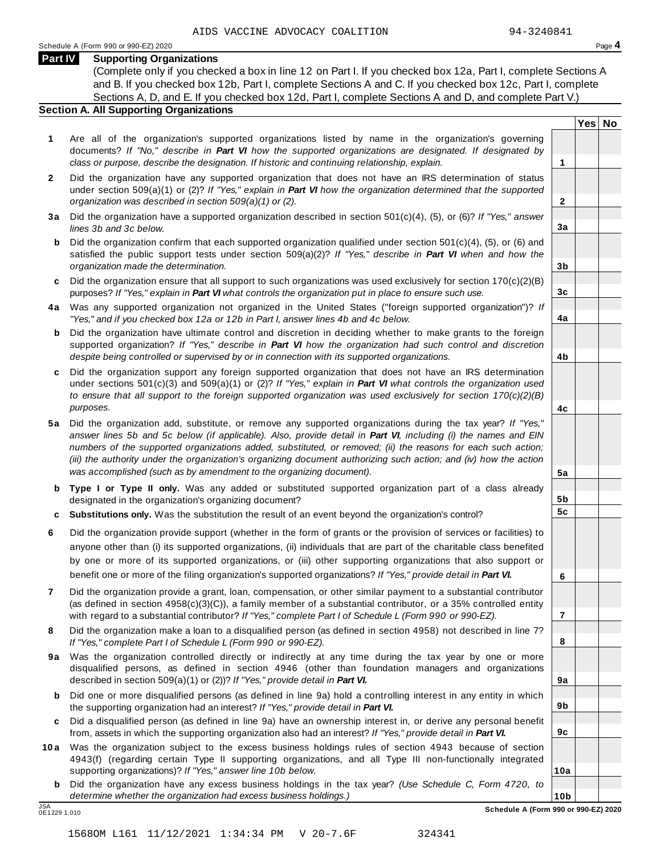**Yes No**

**2**

**3a**

**3b**

**3c**

**4a**

**4b**

**4c**

**5a**

**5b 5c**

**6**

**7**

**8**

**9a**

**9b**

**9c**

**10a**

#### **Part IV Supporting Organizations**

(Complete only if you checked a box in line 12 on Part I. If you checked box 12a, Part I, complete Sections A and B. If you checked box 12b, Part I, complete Sections A and C. If you checked box 12c, Part I, complete Sections A, D, and E. If you checked box 12d, Part I, complete Sections A and D, and complete Part V.)

#### **Section A. All Supporting Organizations**

- **1** Are all of the organization's supported organizations listed by name in the organization's governing documents? *If "No," describe in Part VI how the supported organizations are designated. If designated by class or purpose, describe the designation. If historic and continuing relationship, explain.* **1**
- **2** Did the organization have any supported organization that does not have an IRS determination of status under section 509(a)(1) or (2)? *If"Yes," explain in Part VI how the organization determined that the supported organization was described in section 509(a)(1) or (2).*
- **3 a** Did the organization have a supported organization described in section 501(c)(4), (5), or (6)? *If "Yes," answer lines 3b and 3c below.*
- **b** Did the organization confirm that each supported organization qualified under section 501(c)(4), (5), or (6) and | satisfied the public support tests under section 509(a)(2)? *If "Yes," describe in Part VI when and how the organization made the determination.*
- **c** Did the organization ensure that all support to such organizations was used exclusively for section 170(c)(2)(B) purposes? *If"Yes," explain in Part VI what controls the organization put in place to ensure such use.*
- **4 a** Was any supported organization not organized in the United States ("foreign supported organization")? *If "Yes," and if you checked box 12a or 12b in Part I, answer lines 4b and 4c below.*
- **b** Did the organization have ultimate control and discretion in deciding whether to make grants to the foreign | supported organization? *If "Yes," describe in Part VI how the organization had such control and discretion despite being controlled or supervised by or in connection with its supported organizations.*
- **c** Did the organization support any foreign supported organization that does not have an IRS determination | under sections 501(c)(3) and 509(a)(1) or (2)? *If "Yes," explain in Part VI what controls the organization used to ensure that all support to the foreign supported organization was used exclusively for section 170(c)(2)(B) purposes.*
- **5 a** Did the organization add, substitute, or remove any supported organizations during the tax year? *If "Yes,"* answer lines 5b and 5c below (if applicable). Also, provide detail in Part VI, including (i) the names and EIN *numbers of the supported organizations added, substituted, or removed; (ii) the reasons for each such action;* (iii) the authority under the organization's organizing document authorizing such action; and (iv) how the action *was accomplished (such as by amendment to the organizing document).*
- **b Type I or Type II only.** Was any added or substituted supported organization part of a class already designated in the organization's organizing document?
- **c Substitutions only.** Was the substitution the result of an event beyond the organization's control?
- **6** Did the organization provide support (whether in the form of grants or the provision of services or facilities) to anyone other than (i) its supported organizations, (ii) individuals that are part of the charitable class benefited by one or more of its supported organizations, or (iii) other supporting organizations that also support or benefit one or more of the filing organization's supported organizations? *If"Yes," provide detail in Part VI.*
- **7** Did the organization provide a grant, loan, compensation, or other similar payment to a substantial contributor (as defined in section 4958(c)(3)(C)), a family member of a substantial contributor, or a 35% controlled entity with regard to a substantial contributor? *If"Yes," complete Part I of Schedule L (Form 990 or 990-EZ).*
- **8** Did the organization make a loan to a disqualified person (as defined in section 4958) not described in line 7? *If "Yes," complete Part I of Schedule L (Form 990 or 990-EZ).*
- **9a** Was the organization controlled directly or indirectly at any time during the tax year by one or more | disqualified persons, as defined in section 4946 (other than foundation managers and organizations described in section 509(a)(1) or (2))? *If"Yes," provide detail in Part VI.*
- **b** Did one or more disqualified persons (as defined in line 9a) hold a controlling interest in any entity in which | the supporting organization had an interest? *If"Yes," provide detail in Part VI.*
- **c** Did a disqualified person (as defined in line 9a) have an ownership interest in, or derive any personal benefit from, assets in which the supporting organization also had an interest? *If"Yes," provide detail in Part VI.*
- **10a** Was the organization subject to the excess business holdings rules of section 4943 because of section | 4943(f) (regarding certain Type II supporting organizations, and all Type III non-functionally integrated supporting organizations)? *If"Yes," answer line 10b below.*
	- **b** Did the organization have any excess business holdings in the tax year? *(Use Schedule C, Form 4720, to determine whether the organization had excess business holdings.)*

0E1229 1.010

**10b** JSA **Schedule A (Form 990 or 990-EZ) 2020**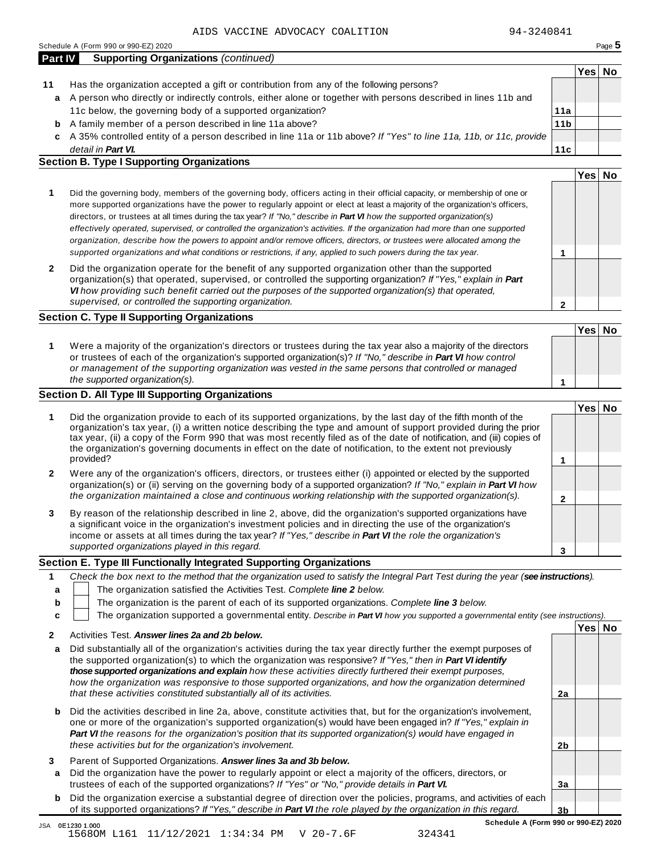|--|

|         | Schedule A (Form 990 or 990-EZ) 2020                                                                               |                 |      | Page 5 |
|---------|--------------------------------------------------------------------------------------------------------------------|-----------------|------|--------|
| Part IV | <b>Supporting Organizations (continued)</b>                                                                        |                 |      |        |
|         |                                                                                                                    |                 | Yes⊺ | No     |
| 11      | Has the organization accepted a gift or contribution from any of the following persons?                            |                 |      |        |
| a       | A person who directly or indirectly controls, either alone or together with persons described in lines 11b and     |                 |      |        |
|         | 11c below, the governing body of a supported organization?                                                         | 11a             |      |        |
| b       | A family member of a person described in line 11a above?                                                           | 11 <sub>b</sub> |      |        |
| c       | A 35% controlled entity of a person described in line 11a or 11b above? If "Yes" to line 11a, 11b, or 11c, provide |                 |      |        |
|         | detail in <b>Part VI.</b>                                                                                          | 11c             |      |        |
|         | <b>Section B. Type I Supporting Organizations</b>                                                                  |                 |      |        |

|                                                                                                                                                                                                                                                                                                                                                                                                                                                                                                                                                                                                                                                                                                                                                                                 |   | Yesl |  |
|---------------------------------------------------------------------------------------------------------------------------------------------------------------------------------------------------------------------------------------------------------------------------------------------------------------------------------------------------------------------------------------------------------------------------------------------------------------------------------------------------------------------------------------------------------------------------------------------------------------------------------------------------------------------------------------------------------------------------------------------------------------------------------|---|------|--|
| Did the governing body, members of the governing body, officers acting in their official capacity, or membership of one or<br>more supported organizations have the power to regularly appoint or elect at least a majority of the organization's officers,<br>directors, or trustees at all times during the tax year? If "No," describe in <b>Part VI</b> how the supported organization(s)<br>effectively operated, supervised, or controlled the organization's activities. If the organization had more than one supported<br>organization, describe how the powers to appoint and/or remove officers, directors, or trustees were allocated among the<br>supported organizations and what conditions or restrictions, if any, applied to such powers during the tax year. |   |      |  |
| Did the organization operate for the benefit of any supported organization other than the supported<br>organization(s) that operated, supervised, or controlled the supporting organization? If "Yes," explain in Part<br>VI how providing such benefit carried out the purposes of the supported organization(s) that operated,<br>supervised, or controlled the supporting organization.                                                                                                                                                                                                                                                                                                                                                                                      | ົ |      |  |

#### **Section C. Type II Supporting Organizations**

**1 Yes No 1** Were a majority of the organization's directors or trustees during the tax year also a majority of the directors or trustees of each of the organization's supported organization(s)? *If"No," describe in Part VI how control or management of the supporting organization was vested in the same persons that controlled or managed the supported organization(s).*

#### **Section D. All Type III Supporting Organizations**

|              |                                                                                                                                                                                                                                                                                                                                                                                                                                                                                          | Yes⊺ |  |
|--------------|------------------------------------------------------------------------------------------------------------------------------------------------------------------------------------------------------------------------------------------------------------------------------------------------------------------------------------------------------------------------------------------------------------------------------------------------------------------------------------------|------|--|
| 1            | Did the organization provide to each of its supported organizations, by the last day of the fifth month of the<br>organization's tax year, (i) a written notice describing the type and amount of support provided during the prior<br>tax year, (ii) a copy of the Form 990 that was most recently filed as of the date of notification, and (iii) copies of<br>the organization's governing documents in effect on the date of notification, to the extent not previously<br>provided? |      |  |
| $\mathbf{2}$ | Were any of the organization's officers, directors, or trustees either (i) appointed or elected by the supported<br>organization(s) or (ii) serving on the governing body of a supported organization? If "No," explain in Part VI how<br>the organization maintained a close and continuous working relationship with the supported organization(s).                                                                                                                                    |      |  |
| 3            | By reason of the relationship described in line 2, above, did the organization's supported organizations have<br>a significant voice in the organization's investment policies and in directing the use of the organization's<br>income or assets at all times during the tax year? If "Yes," describe in Part VI the role the organization's                                                                                                                                            |      |  |
|              | supported organizations played in this regard.                                                                                                                                                                                                                                                                                                                                                                                                                                           |      |  |

#### **Section E. Type III Functionally Integrated Supporting Organizations**

|   | Check the box next to the method that the organization used to satisfy the Integral Part Test during the year (see instructions). |  |  |  |  |  |  |
|---|-----------------------------------------------------------------------------------------------------------------------------------|--|--|--|--|--|--|
| a | The organization satisfied the Activities Test. Complete line 2 below.                                                            |  |  |  |  |  |  |
| b | The organization is the parent of each of its supported organizations. Complete line 3 below.                                     |  |  |  |  |  |  |
|   | The organization supported a governmental entity. Describe in Part VI how you supported a governmental entity (see instructions). |  |  |  |  |  |  |
|   | Yesl                                                                                                                              |  |  |  |  |  |  |
|   | Activities Test. Answer lines 2a and 2b below.                                                                                    |  |  |  |  |  |  |

| a      | Did substantially all of the organization's activities during the tax year directly further the exempt purposes of<br>the supported organization(s) to which the organization was responsive? If "Yes," then in Part VI identify<br>those supported organizations and explain how these activities directly furthered their exempt purposes,<br>how the organization was responsive to those supported organizations, and how the organization determined |                |  |
|--------|-----------------------------------------------------------------------------------------------------------------------------------------------------------------------------------------------------------------------------------------------------------------------------------------------------------------------------------------------------------------------------------------------------------------------------------------------------------|----------------|--|
|        | that these activities constituted substantially all of its activities.                                                                                                                                                                                                                                                                                                                                                                                    | 2a             |  |
|        | <b>b</b> Did the activities described in line 2a, above, constitute activities that, but for the organization's involvement,<br>one or more of the organization's supported organization(s) would have been engaged in? If "Yes," explain in<br>Part VI the reasons for the organization's position that its supported organization(s) would have engaged in                                                                                              |                |  |
|        | these activities but for the organization's involvement.                                                                                                                                                                                                                                                                                                                                                                                                  | 2 <sub>b</sub> |  |
| 3<br>a | Parent of Supported Organizations. Answer lines 3a and 3b below.<br>Did the organization have the power to regularly appoint or elect a majority of the officers, directors, or                                                                                                                                                                                                                                                                           |                |  |
|        | trustees of each of the supported organizations? If "Yes" or "No," provide details in Part VI.                                                                                                                                                                                                                                                                                                                                                            | Зa             |  |

**b** Did the organization exercise a substantial degree of direction over the policies, programs, and activities of each of its supported organizations? *If"Yes," describe in Part VI the role played by the organization in this regard.*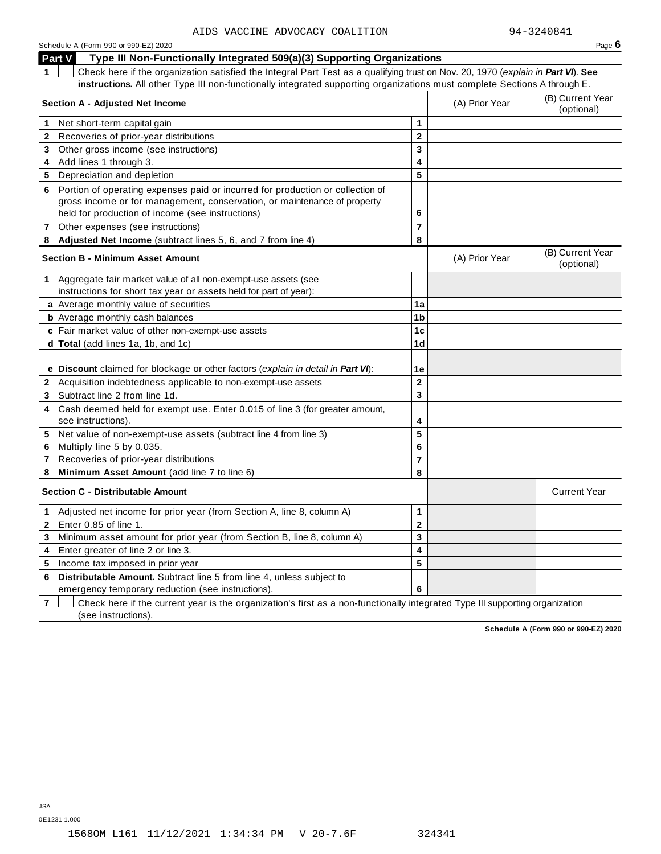| Schedule A (Form 990 or 990-EZ) 2020 | Page $6$ |
|--------------------------------------|----------|
|--------------------------------------|----------|

**Part V Type III Non-Functionally Integrated 509(a)(3) Supporting Organizations**

**1** Check here if the organization satisfied the Integral Part Test as a qualifying trust on Nov. 20, 1970 (*explain in Part VI*). **See instructions.** All other Type III non-functionally integrated supporting organizations must complete Sections A through E.

| <b>Section A - Adjusted Net Income</b> |                                                                                                   |                         | (A) Prior Year | (B) Current Year<br>(optional) |
|----------------------------------------|---------------------------------------------------------------------------------------------------|-------------------------|----------------|--------------------------------|
|                                        | 1 Net short-term capital gain                                                                     | 1                       |                |                                |
|                                        | 2 Recoveries of prior-year distributions                                                          | $\mathbf{2}$            |                |                                |
|                                        | 3 Other gross income (see instructions)                                                           | $\mathbf{3}$            |                |                                |
|                                        | 4 Add lines 1 through 3.                                                                          | 4                       |                |                                |
| 5.                                     | Depreciation and depletion                                                                        | 5                       |                |                                |
|                                        | 6 Portion of operating expenses paid or incurred for production or collection of                  |                         |                |                                |
|                                        | gross income or for management, conservation, or maintenance of property                          |                         |                |                                |
|                                        | held for production of income (see instructions)                                                  | 6                       |                |                                |
| $\mathbf{7}$                           | Other expenses (see instructions)                                                                 | $\overline{7}$          |                |                                |
|                                        | 8 Adjusted Net Income (subtract lines 5, 6, and 7 from line 4)                                    | 8                       |                |                                |
|                                        | <b>Section B - Minimum Asset Amount</b>                                                           |                         | (A) Prior Year | (B) Current Year<br>(optional) |
| 1.                                     | Aggregate fair market value of all non-exempt-use assets (see                                     |                         |                |                                |
|                                        | instructions for short tax year or assets held for part of year):                                 |                         |                |                                |
|                                        | a Average monthly value of securities                                                             | 1a                      |                |                                |
|                                        | <b>b</b> Average monthly cash balances                                                            | 1 <sub>b</sub>          |                |                                |
|                                        | c Fair market value of other non-exempt-use assets                                                | 1 <sub>c</sub>          |                |                                |
|                                        | d Total (add lines 1a, 1b, and 1c)                                                                | 1 <sub>d</sub>          |                |                                |
|                                        |                                                                                                   |                         |                |                                |
|                                        | e Discount claimed for blockage or other factors (explain in detail in Part VI):                  | 1e                      |                |                                |
|                                        | 2 Acquisition indebtedness applicable to non-exempt-use assets                                    | $\overline{2}$          |                |                                |
|                                        | 3 Subtract line 2 from line 1d.                                                                   | $\overline{\mathbf{3}}$ |                |                                |
| 4                                      | Cash deemed held for exempt use. Enter 0.015 of line 3 (for greater amount,<br>see instructions). | 4                       |                |                                |
| 5.                                     | Net value of non-exempt-use assets (subtract line 4 from line 3)                                  | 5                       |                |                                |
| 6                                      | Multiply line 5 by 0.035.                                                                         | 6                       |                |                                |
| 7                                      | Recoveries of prior-year distributions                                                            | $\overline{7}$          |                |                                |
| 8                                      | Minimum Asset Amount (add line 7 to line 6)                                                       | 8                       |                |                                |
|                                        | <b>Section C - Distributable Amount</b>                                                           |                         |                | <b>Current Year</b>            |
| $\mathbf 1$                            | Adjusted net income for prior year (from Section A, line 8, column A)                             | $\mathbf 1$             |                |                                |
| $\mathbf{2}$                           | Enter 0.85 of line 1.                                                                             | $\mathbf{2}$            |                |                                |
| 3                                      | Minimum asset amount for prior year (from Section B, line 8, column A)                            | 3                       |                |                                |
| 4                                      | Enter greater of line 2 or line 3.                                                                | 4                       |                |                                |
| 5.                                     | Income tax imposed in prior year                                                                  | 5                       |                |                                |
| 6                                      | Distributable Amount. Subtract line 5 from line 4, unless subject to                              |                         |                |                                |
|                                        | emergency temporary reduction (see instructions).                                                 | 6                       |                |                                |

**7** Check here if the current year is the organization's first as a non-functionally integrated Type III supporting organization (see instructions).

**Schedule A (Form 990 or 990-EZ) 2020**

JSA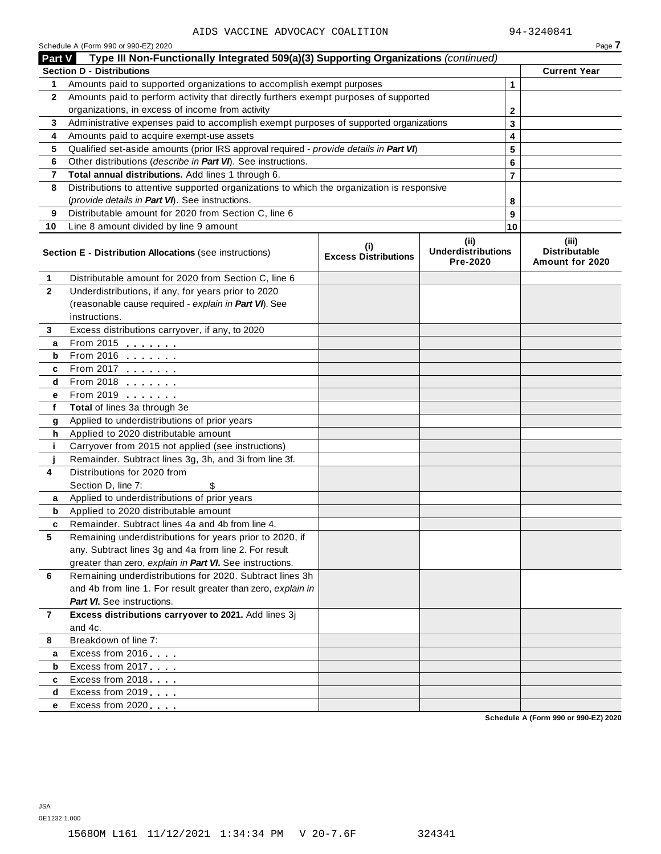|                | AIDS VACCINE ADVOCACY COALITION                                                            |                                    |                                               |                | 94-3240841                                       |
|----------------|--------------------------------------------------------------------------------------------|------------------------------------|-----------------------------------------------|----------------|--------------------------------------------------|
|                | Schedule A (Form 990 or 990-EZ) 2020                                                       |                                    |                                               |                | Page 7                                           |
| Part V         | Type III Non-Functionally Integrated 509(a)(3) Supporting Organizations (continued)        |                                    |                                               |                |                                                  |
|                | <b>Section D - Distributions</b>                                                           |                                    |                                               |                | <b>Current Year</b>                              |
| 1              | Amounts paid to supported organizations to accomplish exempt purposes                      |                                    |                                               | 1              |                                                  |
| $\mathbf{2}$   | Amounts paid to perform activity that directly furthers exempt purposes of supported       |                                    |                                               |                |                                                  |
|                | organizations, in excess of income from activity                                           |                                    |                                               | 2              |                                                  |
| 3              | Administrative expenses paid to accomplish exempt purposes of supported organizations      |                                    |                                               | 3              |                                                  |
| 4              | Amounts paid to acquire exempt-use assets                                                  |                                    |                                               | 4              |                                                  |
| 5              | Qualified set-aside amounts (prior IRS approval required - provide details in Part VI)     |                                    |                                               | 5              |                                                  |
| 6              | Other distributions (describe in Part VI). See instructions.                               |                                    |                                               | 6              |                                                  |
| $\overline{7}$ | Total annual distributions. Add lines 1 through 6.                                         |                                    |                                               | $\overline{7}$ |                                                  |
| 8              | Distributions to attentive supported organizations to which the organization is responsive |                                    |                                               |                |                                                  |
|                | (provide details in Part VI). See instructions.                                            |                                    |                                               | 8              |                                                  |
| 9              | Distributable amount for 2020 from Section C, line 6                                       |                                    |                                               | 9              |                                                  |
| 10             | Line 8 amount divided by line 9 amount                                                     |                                    |                                               | 10             |                                                  |
|                | Section E - Distribution Allocations (see instructions)                                    | (i)<br><b>Excess Distributions</b> | (ii)<br><b>Underdistributions</b><br>Pre-2020 |                | (iii)<br><b>Distributable</b><br>Amount for 2020 |
| 1              | Distributable amount for 2020 from Section C, line 6                                       |                                    |                                               |                |                                                  |
| $\mathbf{2}$   | Underdistributions, if any, for years prior to 2020                                        |                                    |                                               |                |                                                  |
|                | (reasonable cause required - explain in Part VI). See                                      |                                    |                                               |                |                                                  |
|                | instructions.                                                                              |                                    |                                               |                |                                                  |
| 3              | Excess distributions carryover, if any, to 2020                                            |                                    |                                               |                |                                                  |
| a              | From 2015 <b></b>                                                                          |                                    |                                               |                |                                                  |
| b              | From 2016 <b>Figure 1.1</b>                                                                |                                    |                                               |                |                                                  |
| c              | From 2017                                                                                  |                                    |                                               |                |                                                  |
| d              | From 2018                                                                                  |                                    |                                               |                |                                                  |
| е              | From 2019                                                                                  |                                    |                                               |                |                                                  |
| f              | Total of lines 3a through 3e                                                               |                                    |                                               |                |                                                  |
| g              | Applied to underdistributions of prior years                                               |                                    |                                               |                |                                                  |
| h              | Applied to 2020 distributable amount                                                       |                                    |                                               |                |                                                  |
| j.             | Carryover from 2015 not applied (see instructions)                                         |                                    |                                               |                |                                                  |
|                | Remainder. Subtract lines 3g, 3h, and 3i from line 3f.                                     |                                    |                                               |                |                                                  |
| 4              | Distributions for 2020 from                                                                |                                    |                                               |                |                                                  |
|                | Section D, line 7:<br>\$                                                                   |                                    |                                               |                |                                                  |
|                | Applied to underdistributions of prior years                                               |                                    |                                               |                |                                                  |
| b              | Applied to 2020 distributable amount                                                       |                                    |                                               |                |                                                  |
| c              | Remainder, Subtract lines 4a and 4b from line 4.                                           |                                    |                                               |                |                                                  |
| 5              | Remaining underdistributions for years prior to 2020, if                                   |                                    |                                               |                |                                                  |
|                | any. Subtract lines 3g and 4a from line 2. For result                                      |                                    |                                               |                |                                                  |
|                | greater than zero, explain in Part VI. See instructions.                                   |                                    |                                               |                |                                                  |
| 6              | Remaining underdistributions for 2020. Subtract lines 3h                                   |                                    |                                               |                |                                                  |
|                | and 4b from line 1. For result greater than zero, explain in                               |                                    |                                               |                |                                                  |
|                | <b>Part VI.</b> See instructions.                                                          |                                    |                                               |                |                                                  |
| $\overline{7}$ | Excess distributions carryover to 2021. Add lines 3j                                       |                                    |                                               |                |                                                  |
|                | and 4c.                                                                                    |                                    |                                               |                |                                                  |
| 8              | Breakdown of line 7:                                                                       |                                    |                                               |                |                                                  |
|                |                                                                                            |                                    |                                               |                |                                                  |
| a              | Excess from 2016                                                                           |                                    |                                               |                |                                                  |
| b              | Excess from 2017                                                                           |                                    |                                               |                |                                                  |
| c              | Excess from 2018                                                                           |                                    |                                               |                |                                                  |
| d              | Excess from 2019                                                                           |                                    |                                               |                |                                                  |
| е              | Excess from 2020                                                                           |                                    |                                               |                |                                                  |

**Schedule A (Form 990 or 990-EZ) 2020**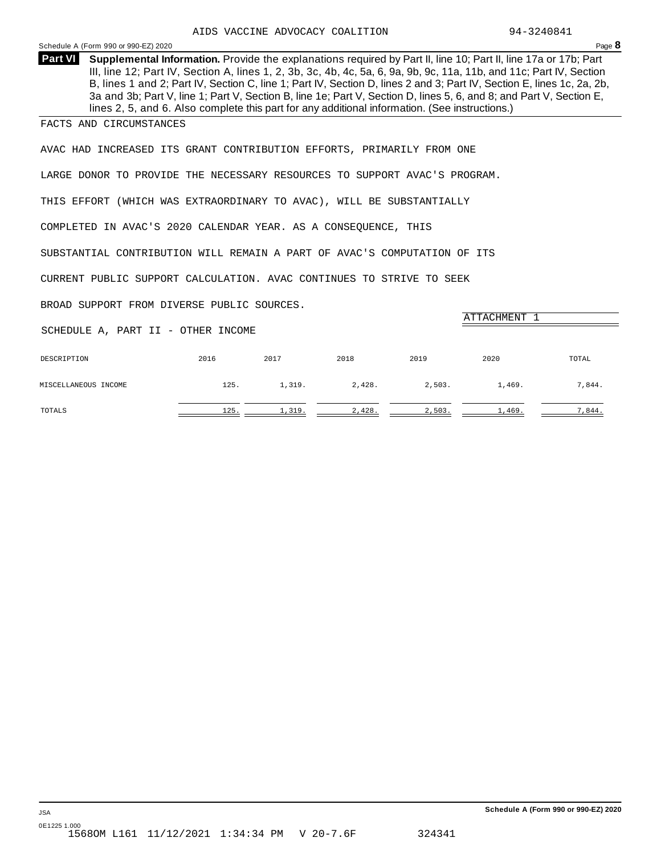<span id="page-19-0"></span>

| Schedule A (Form 990 or 990-EZ) 2020                                                                                                                                                                                                                                                                                                                                                                                                                                                                                                                                                                         |      |        |        |        |        | Page 8 |
|--------------------------------------------------------------------------------------------------------------------------------------------------------------------------------------------------------------------------------------------------------------------------------------------------------------------------------------------------------------------------------------------------------------------------------------------------------------------------------------------------------------------------------------------------------------------------------------------------------------|------|--------|--------|--------|--------|--------|
| <b>Part VI</b><br>Supplemental Information. Provide the explanations required by Part II, line 10; Part II, line 17a or 17b; Part<br>III, line 12; Part IV, Section A, lines 1, 2, 3b, 3c, 4b, 4c, 5a, 6, 9a, 9b, 9c, 11a, 11b, and 11c; Part IV, Section<br>B, lines 1 and 2; Part IV, Section C, line 1; Part IV, Section D, lines 2 and 3; Part IV, Section E, lines 1c, 2a, 2b,<br>3a and 3b; Part V, line 1; Part V, Section B, line 1e; Part V, Section D, lines 5, 6, and 8; and Part V, Section E,<br>lines 2, 5, and 6. Also complete this part for any additional information. (See instructions.) |      |        |        |        |        |        |
| FACTS AND CIRCUMSTANCES                                                                                                                                                                                                                                                                                                                                                                                                                                                                                                                                                                                      |      |        |        |        |        |        |
| AVAC HAD INCREASED ITS GRANT CONTRIBUTION EFFORTS, PRIMARILY FROM ONE                                                                                                                                                                                                                                                                                                                                                                                                                                                                                                                                        |      |        |        |        |        |        |
| LARGE DONOR TO PROVIDE THE NECESSARY RESOURCES TO SUPPORT AVAC'S PROGRAM.                                                                                                                                                                                                                                                                                                                                                                                                                                                                                                                                    |      |        |        |        |        |        |
| THIS EFFORT (WHICH WAS EXTRAORDINARY TO AVAC), WILL BE SUBSTANTIALLY                                                                                                                                                                                                                                                                                                                                                                                                                                                                                                                                         |      |        |        |        |        |        |
| COMPLETED IN AVAC'S 2020 CALENDAR YEAR. AS A CONSEQUENCE, THIS                                                                                                                                                                                                                                                                                                                                                                                                                                                                                                                                               |      |        |        |        |        |        |
| SUBSTANTIAL CONTRIBUTION WILL REMAIN A PART OF AVAC'S COMPUTATION OF ITS                                                                                                                                                                                                                                                                                                                                                                                                                                                                                                                                     |      |        |        |        |        |        |
| CURRENT PUBLIC SUPPORT CALCULATION. AVAC CONTINUES TO STRIVE TO SEEK                                                                                                                                                                                                                                                                                                                                                                                                                                                                                                                                         |      |        |        |        |        |        |
| BROAD SUPPORT FROM DIVERSE PUBLIC SOURCES.                                                                                                                                                                                                                                                                                                                                                                                                                                                                                                                                                                   |      |        |        |        |        |        |
| ATTACHMENT 1<br>SCHEDULE A, PART II - OTHER INCOME                                                                                                                                                                                                                                                                                                                                                                                                                                                                                                                                                           |      |        |        |        |        |        |
| DESCRIPTION                                                                                                                                                                                                                                                                                                                                                                                                                                                                                                                                                                                                  | 2016 | 2017   | 2018   | 2019   | 2020   | TOTAL  |
| MISCELLANEOUS INCOME                                                                                                                                                                                                                                                                                                                                                                                                                                                                                                                                                                                         | 125. | 1,319. | 2,428. | 2,503. | 1,469. | 7,844. |

TOTALS 125.  $\frac{125}{2}$   $\frac{1,319}{2}$   $\frac{2,428}{2}$   $\frac{2,503}{2}$   $\frac{1,469}{2}$   $\frac{7,844}{2}$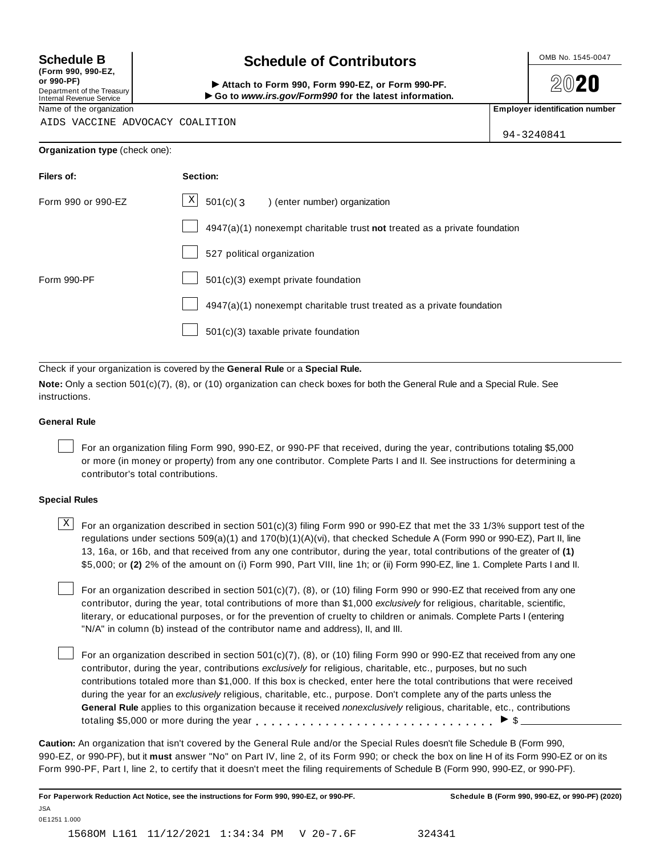**(Form 990, 990-EZ, or 990-PF)** Department of the Treasury<br>Internal Revenue Service

## **Schedule B chedule of Contributors**

(Form 990, 990-EZ,<br>
or 990-PF,<br>
Department of the Treasury **COLOCY**<br>
Internal Revenue Service **COLOCY**<br>
Name of the organization<br>
Name of the organization

**2020** 

AIDS VACCINE ADVOCACY COALITION

| 94-3240841 |  |
|------------|--|

| Organization type (check one): |  |  |  |
|--------------------------------|--|--|--|
|--------------------------------|--|--|--|

| Filers of:         | Section:                                                                    |
|--------------------|-----------------------------------------------------------------------------|
| Form 990 or 990-EZ | $X$ 501(c)(3<br>) (enter number) organization                               |
|                    | $4947(a)(1)$ nonexempt charitable trust not treated as a private foundation |
|                    | 527 political organization                                                  |
| Form 990-PF        | 501(c)(3) exempt private foundation                                         |
|                    | 4947(a)(1) nonexempt charitable trust treated as a private foundation       |
|                    | 501(c)(3) taxable private foundation                                        |

Check if your organization is covered by the **General Rule** or a **Special Rule.**

**Note:** Only a section 501(c)(7), (8), or (10) organization can check boxes for both the General Rule and a Special Rule. See instructions.

#### **General Rule**

For an organization filing Form 990, 990-EZ, or 990-PF that received, during the year, contributions totaling \$5,000 or more (in money or property) from any one contributor. Complete Parts I and II. See instructions for determining a contributor's total contributions.

#### **Special Rules**

 $\text{X}$  For an organization described in section 501(c)(3) filing Form 990 or 990-EZ that met the 33 1/3% support test of the regulations under sections 509(a)(1) and 170(b)(1)(A)(vi), that checked Schedule A (Form 990 or 990-EZ), Part II, line 13, 16a, or 16b, and that received from any one contributor, during the year, total contributions of the greater of **(1)** \$5,000; or **(2)** 2% of the amount on (i) Form 990, Part VIII, line 1h; or (ii) Form 990-EZ, line 1. Complete Parts I and II.

For an organization described in section 501(c)(7), (8), or (10) filing Form 990 or 990-EZ that received from any one contributor, during the year, total contributions of more than \$1,000 *exclusively* for religious, charitable, scientific, literary, or educational purposes, or for the prevention of cruelty to children or animals. Complete Parts I (entering "N/A" in column (b) instead of the contributor name and address), II, and III.

For an organization described in section 501(c)(7), (8), or (10) filing Form 990 or 990-EZ that received from any one contributor, during the year, contributions *exclusively* for religious, charitable, etc., purposes, but no such contributions totaled more than \$1,000. If this box is checked, enter here the total contributions that were received during the year for an *exclusively* religious, charitable, etc., purpose. Don't complete any of the parts unless the **General Rule** applies to this organization because it received *nonexclusively* religious, charitable, etc., contributions totaling \$5,000 or more during the year  $\ldots \ldots \ldots \ldots \ldots \ldots \ldots \ldots \ldots \vdots$ 

**Caution:** An organization that isn't covered by the General Rule and/or the Special Rules doesn't file Schedule B (Form 990, 990-EZ, or 990-PF), but it **must** answer "No" on Part IV, line 2, of its Form 990; or check the box on line H of its Form 990-EZ or on its Form 990-PF, Part I, line 2, to certify that it doesn't meet the filing requirements of Schedule B (Form 990, 990-EZ, or 990-PF).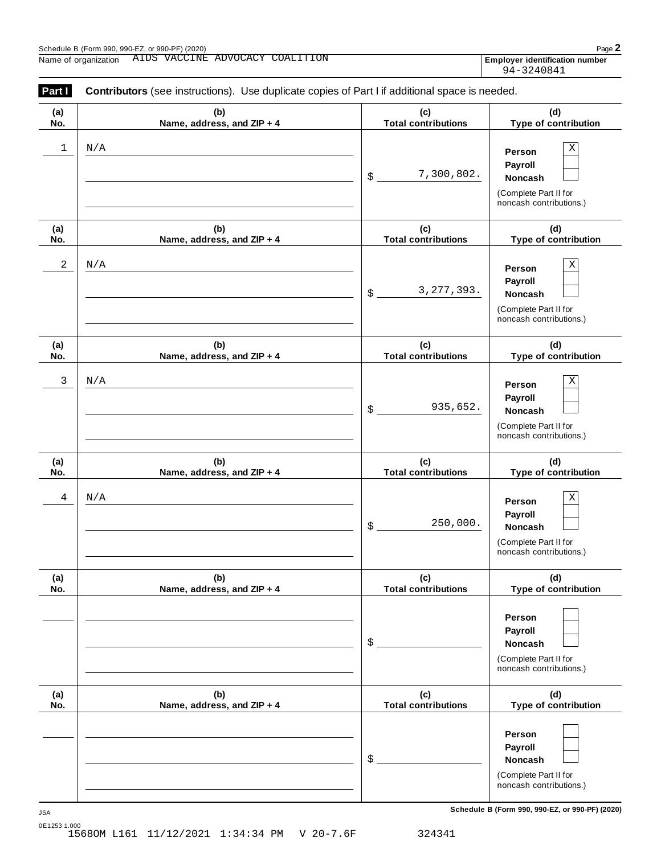**(a) No.**

| Name, address, and ZIP + 4        | (c)<br><b>Total contributions</b> | (d)<br>Type of contribution                                                                                        |
|-----------------------------------|-----------------------------------|--------------------------------------------------------------------------------------------------------------------|
|                                   | 7,300,802.<br>$\frac{1}{2}$       | $\overline{\textbf{X}}$<br>Person<br>Payroll<br><b>Noncash</b><br>(Complete Part II for<br>noncash contributions.) |
| (b)<br>Name, address, and ZIP + 4 | (c)<br><b>Total contributions</b> | (d)<br>Type of contribution                                                                                        |
|                                   | 3, 277, 393.<br>$\frac{1}{2}$     | Χ<br>Person<br>Payroll<br><b>Noncash</b><br>(Complete Part II for<br>noncash contributions.)                       |
| (b)<br>Name, address, and ZIP + 4 | (c)<br><b>Total contributions</b> | (d)<br>Type of contribution                                                                                        |
|                                   | 935,652.<br>$\frac{1}{2}$         | X<br>Person<br>Payroll<br>Noncash<br>(Complete Part II for<br>noncash contributions.)                              |
| (b)<br>Name, address, and ZIP + 4 | (c)<br><b>Total contributions</b> | (d)<br>Type of contribution                                                                                        |
|                                   | 250,000.<br>$\frac{1}{2}$         | Χ<br>Person<br>Payroll<br><b>Noncash</b><br>(Complete Part II for<br>noncash contributions.)                       |
| (b)<br>Name, address, and ZIP + 4 | (c)<br><b>Total contributions</b> | (d)<br>Type of contribution                                                                                        |
|                                   |                                   |                                                                                                                    |

**(b) Name, address, and ZIP + 4**

(Complete Part II for noncash contributions.)

(Complete Part II for noncash contributions.)

**Person Payroll**

**(d) Type of contribution**

\$ **Noncash**

\$ **Noncash**

**(c) Total contributions** 94-3240841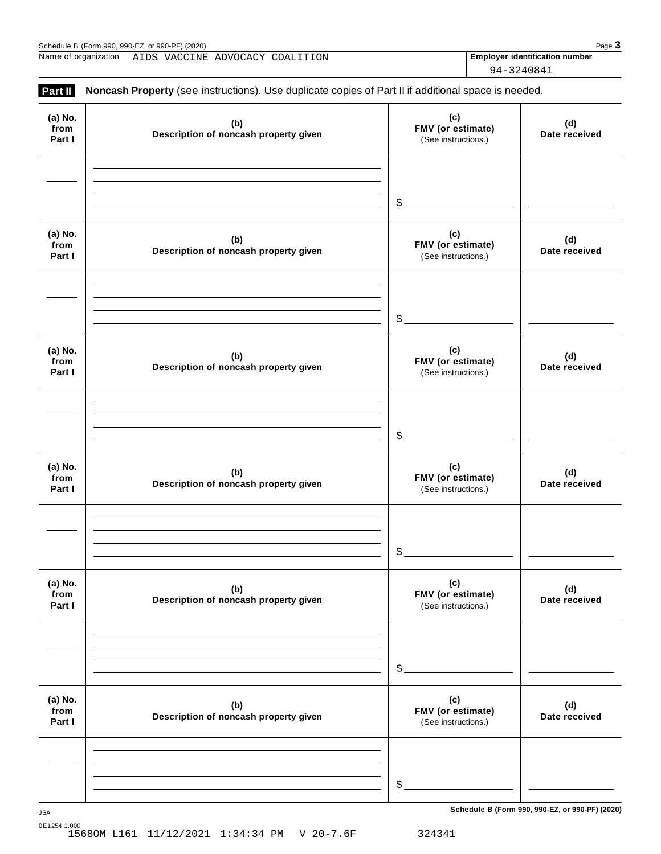Schedule B (Form 990, 990-EZ, or 990-PF) (2020)<br>
Name of organization AIDS VACCINE ADVOCACY COALITION **Page 3 Page 3 Page 3** Name of organization **Employer identification number** AIDS VACCINE ADVOCACY COALITION

94-3240841

| Part II                   | Noncash Property (see instructions). Use duplicate copies of Part II if additional space is needed. |                                                 |                      |
|---------------------------|-----------------------------------------------------------------------------------------------------|-------------------------------------------------|----------------------|
| (a) No.<br>from<br>Part I | (b)<br>Description of noncash property given                                                        | (c)<br>FMV (or estimate)<br>(See instructions.) | (d)<br>Date received |
|                           |                                                                                                     | $\frac{1}{2}$                                   |                      |
| (a) No.<br>from<br>Part I | (b)<br>Description of noncash property given                                                        | (c)<br>FMV (or estimate)<br>(See instructions.) | (d)<br>Date received |
|                           |                                                                                                     | $\frac{1}{2}$                                   |                      |
| (a) No.<br>from<br>Part I | (b)<br>Description of noncash property given                                                        | (c)<br>FMV (or estimate)<br>(See instructions.) | (d)<br>Date received |
|                           |                                                                                                     | $\mathcal{S}_{-}$                               |                      |
| (a) No.<br>from<br>Part I | (b)<br>Description of noncash property given                                                        | (c)<br>FMV (or estimate)<br>(See instructions.) | (d)<br>Date received |
|                           |                                                                                                     | $$^{\circ}$                                     |                      |
| (a) No.<br>from<br>Part I | (b)<br>Description of noncash property given                                                        | (c)<br>FMV (or estimate)<br>(See instructions.) | (d)<br>Date received |
|                           |                                                                                                     | \$                                              |                      |
| (a) No.<br>from<br>Part I | (b)<br>Description of noncash property given                                                        | (c)<br>FMV (or estimate)<br>(See instructions.) | (d)<br>Date received |
|                           |                                                                                                     |                                                 |                      |
|                           |                                                                                                     | $\mathcal{L}$                                   |                      |

**Schedule B (Form 990, 990-EZ, or 990-PF) (2020)** JSA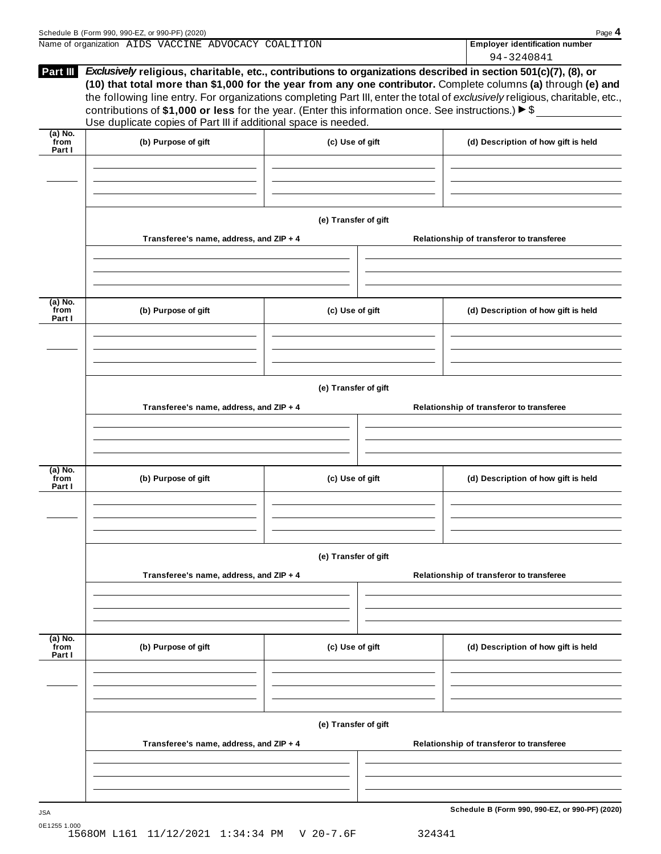|                             | Name of organization AIDS VACCINE ADVOCACY COALITION                                                                                                                                                                                                                                                                                                                                                                                                                                                                                                            |                      |                                          | <b>Employer identification number</b><br>94-3240841 |  |
|-----------------------------|-----------------------------------------------------------------------------------------------------------------------------------------------------------------------------------------------------------------------------------------------------------------------------------------------------------------------------------------------------------------------------------------------------------------------------------------------------------------------------------------------------------------------------------------------------------------|----------------------|------------------------------------------|-----------------------------------------------------|--|
| Part III                    | Exclusively religious, charitable, etc., contributions to organizations described in section 501(c)(7), (8), or<br>(10) that total more than \$1,000 for the year from any one contributor. Complete columns (a) through (e) and<br>the following line entry. For organizations completing Part III, enter the total of exclusively religious, charitable, etc.,<br>contributions of \$1,000 or less for the year. (Enter this information once. See instructions.) $\blacktriangleright$ \$<br>Use duplicate copies of Part III if additional space is needed. |                      |                                          |                                                     |  |
| $(a)$ No.<br>from<br>Part I | (b) Purpose of gift                                                                                                                                                                                                                                                                                                                                                                                                                                                                                                                                             | (c) Use of gift      |                                          | (d) Description of how gift is held                 |  |
|                             |                                                                                                                                                                                                                                                                                                                                                                                                                                                                                                                                                                 | (e) Transfer of gift |                                          |                                                     |  |
|                             | Transferee's name, address, and ZIP + 4                                                                                                                                                                                                                                                                                                                                                                                                                                                                                                                         |                      |                                          | Relationship of transferor to transferee            |  |
| (a) No.<br>from<br>Part I   | (b) Purpose of gift                                                                                                                                                                                                                                                                                                                                                                                                                                                                                                                                             | (c) Use of gift      |                                          | (d) Description of how gift is held                 |  |
|                             | Transferee's name, address, and ZIP + 4                                                                                                                                                                                                                                                                                                                                                                                                                                                                                                                         | (e) Transfer of gift |                                          | Relationship of transferor to transferee            |  |
| $(a)$ No.<br>from<br>Part I | (b) Purpose of gift                                                                                                                                                                                                                                                                                                                                                                                                                                                                                                                                             | (c) Use of gift      |                                          | (d) Description of how gift is held                 |  |
|                             | Transferee's name, address, and ZIP + 4                                                                                                                                                                                                                                                                                                                                                                                                                                                                                                                         | (e) Transfer of gift | Relationship of transferor to transferee |                                                     |  |
|                             |                                                                                                                                                                                                                                                                                                                                                                                                                                                                                                                                                                 |                      |                                          |                                                     |  |
| $(a)$ No.<br>from<br>Part I | (b) Purpose of gift                                                                                                                                                                                                                                                                                                                                                                                                                                                                                                                                             | (c) Use of gift      |                                          | (d) Description of how gift is held                 |  |
|                             | Transferee's name, address, and ZIP + 4                                                                                                                                                                                                                                                                                                                                                                                                                                                                                                                         | (e) Transfer of gift |                                          | Relationship of transferor to transferee            |  |
|                             |                                                                                                                                                                                                                                                                                                                                                                                                                                                                                                                                                                 |                      |                                          |                                                     |  |
|                             |                                                                                                                                                                                                                                                                                                                                                                                                                                                                                                                                                                 |                      |                                          | Schedule B (Form 990, 990-EZ, or 990-PF) (2020)     |  |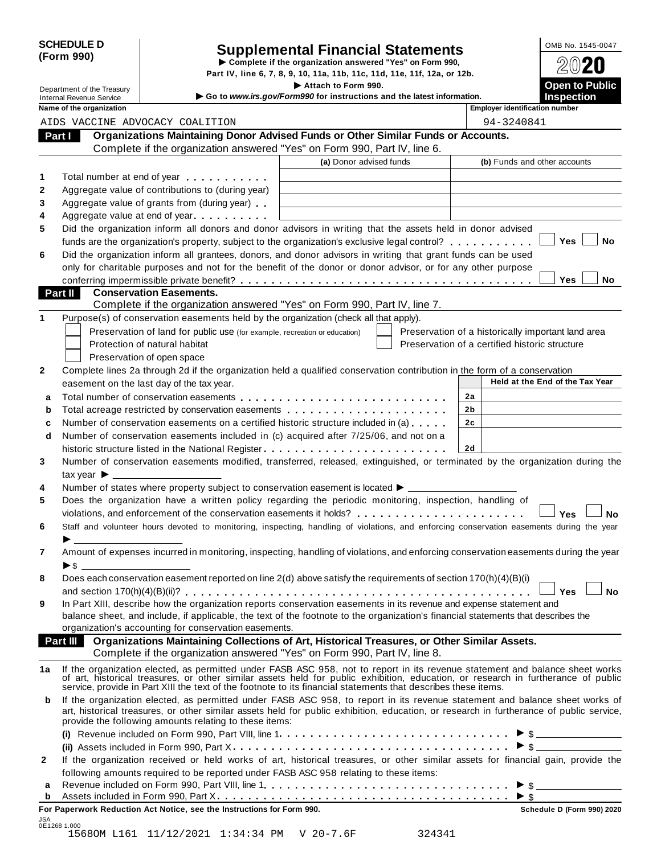|            | <b>SCHEDULE D</b> |
|------------|-------------------|
| (Form 990) |                   |

# CHEDULE D<br>
Supplemental Financial Statements<br>
Complete if the organization answered "Yes" on Form 990,<br>
Part IV, line 6, 7, 8, 9, 10, 11a, 11b, 11c, 11d, 11e, 11f, 12a, or 12b.<br>
Attach to Form 990.<br>
Open to Public

Department of the Treasury<br>Department of the Treasury<br>Control **Public Inches Example 2014 Control in the Intervet intervention** and the latest information

|              | Department of the Treasury                                  |                                                                                                                | Attach to Form 990.<br>Go to www.irs.gov/Form990 for instructions and the latest information.                                                                                                                                                       |                                                    | <b>Open to Public</b><br><b>Inspection</b> |
|--------------|-------------------------------------------------------------|----------------------------------------------------------------------------------------------------------------|-----------------------------------------------------------------------------------------------------------------------------------------------------------------------------------------------------------------------------------------------------|----------------------------------------------------|--------------------------------------------|
|              | <b>Internal Revenue Service</b><br>Name of the organization |                                                                                                                |                                                                                                                                                                                                                                                     | <b>Employer identification number</b>              |                                            |
|              |                                                             | AIDS VACCINE ADVOCACY COALITION                                                                                |                                                                                                                                                                                                                                                     | 94-3240841                                         |                                            |
| Part I       |                                                             |                                                                                                                | Organizations Maintaining Donor Advised Funds or Other Similar Funds or Accounts.                                                                                                                                                                   |                                                    |                                            |
|              |                                                             |                                                                                                                | Complete if the organization answered "Yes" on Form 990, Part IV, line 6.                                                                                                                                                                           |                                                    |                                            |
|              |                                                             |                                                                                                                | (a) Donor advised funds                                                                                                                                                                                                                             | (b) Funds and other accounts                       |                                            |
| 1            |                                                             |                                                                                                                |                                                                                                                                                                                                                                                     |                                                    |                                            |
| 2            |                                                             | Total number at end of year example.                                                                           |                                                                                                                                                                                                                                                     |                                                    |                                            |
| 3            |                                                             | Aggregate value of contributions to (during year)<br>Aggregate value of grants from (during year)              |                                                                                                                                                                                                                                                     |                                                    |                                            |
| 4            |                                                             | Aggregate value at end of year example and a set of the set of the set of the set of the set of the set of the |                                                                                                                                                                                                                                                     |                                                    |                                            |
| 5            |                                                             |                                                                                                                | Did the organization inform all donors and donor advisors in writing that the assets held in donor advised                                                                                                                                          |                                                    |                                            |
|              |                                                             |                                                                                                                | funds are the organization's property, subject to the organization's exclusive legal control?                                                                                                                                                       |                                                    | Yes<br>No                                  |
| 6            |                                                             |                                                                                                                | Did the organization inform all grantees, donors, and donor advisors in writing that grant funds can be used                                                                                                                                        |                                                    |                                            |
|              |                                                             |                                                                                                                | only for charitable purposes and not for the benefit of the donor or donor advisor, or for any other purpose                                                                                                                                        |                                                    |                                            |
|              |                                                             |                                                                                                                |                                                                                                                                                                                                                                                     |                                                    | Yes<br>No                                  |
|              | <b>Part II</b>                                              | <b>Conservation Easements.</b>                                                                                 |                                                                                                                                                                                                                                                     |                                                    |                                            |
|              |                                                             |                                                                                                                | Complete if the organization answered "Yes" on Form 990, Part IV, line 7.                                                                                                                                                                           |                                                    |                                            |
| 1            |                                                             |                                                                                                                | Purpose(s) of conservation easements held by the organization (check all that apply).                                                                                                                                                               |                                                    |                                            |
|              |                                                             | Preservation of land for public use (for example, recreation or education)                                     |                                                                                                                                                                                                                                                     | Preservation of a historically important land area |                                            |
|              |                                                             | Protection of natural habitat                                                                                  |                                                                                                                                                                                                                                                     | Preservation of a certified historic structure     |                                            |
|              |                                                             | Preservation of open space                                                                                     |                                                                                                                                                                                                                                                     |                                                    |                                            |
| $\mathbf{2}$ |                                                             |                                                                                                                | Complete lines 2a through 2d if the organization held a qualified conservation contribution in the form of a conservation                                                                                                                           |                                                    |                                            |
|              |                                                             | easement on the last day of the tax year.                                                                      |                                                                                                                                                                                                                                                     |                                                    | Held at the End of the Tax Year            |
| a            |                                                             |                                                                                                                |                                                                                                                                                                                                                                                     | 2a                                                 |                                            |
| b            |                                                             |                                                                                                                | Total acreage restricted by conservation easements                                                                                                                                                                                                  | 2 <sub>b</sub>                                     |                                            |
| c            |                                                             |                                                                                                                | Number of conservation easements on a certified historic structure included in (a)                                                                                                                                                                  | 2c                                                 |                                            |
| d            |                                                             |                                                                                                                | Number of conservation easements included in (c) acquired after 7/25/06, and not on a                                                                                                                                                               |                                                    |                                            |
|              |                                                             |                                                                                                                | historic structure listed in the National Register                                                                                                                                                                                                  | 2d                                                 |                                            |
| 3            |                                                             |                                                                                                                | Number of conservation easements modified, transferred, released, extinguished, or terminated by the organization during the                                                                                                                        |                                                    |                                            |
|              | $\mathsf{tax}$ year $\blacktriangleright$ ________________  |                                                                                                                |                                                                                                                                                                                                                                                     |                                                    |                                            |
| 4            |                                                             |                                                                                                                | Number of states where property subject to conservation easement is located $\blacktriangleright$ _________                                                                                                                                         |                                                    |                                            |
| 5            |                                                             |                                                                                                                | Does the organization have a written policy regarding the periodic monitoring, inspection, handling of                                                                                                                                              |                                                    |                                            |
|              |                                                             |                                                                                                                | violations, and enforcement of the conservation easements it holds?                                                                                                                                                                                 |                                                    | <b>No</b><br><b>Yes</b>                    |
| 6            |                                                             |                                                                                                                | Staff and volunteer hours devoted to monitoring, inspecting, handling of violations, and enforcing conservation easements during the year                                                                                                           |                                                    |                                            |
|              |                                                             |                                                                                                                |                                                                                                                                                                                                                                                     |                                                    |                                            |
| 7            |                                                             |                                                                                                                | Amount of expenses incurred in monitoring, inspecting, handling of violations, and enforcing conservation easements during the year                                                                                                                 |                                                    |                                            |
|              | ▶\$                                                         |                                                                                                                |                                                                                                                                                                                                                                                     |                                                    |                                            |
| 8            |                                                             |                                                                                                                | Does each conservation easement reported on line 2(d) above satisfy the requirements of section 170(h)(4)(B)(i)                                                                                                                                     |                                                    |                                            |
|              |                                                             |                                                                                                                |                                                                                                                                                                                                                                                     |                                                    | <b>No</b><br>Yes l                         |
| 9            |                                                             |                                                                                                                | In Part XIII, describe how the organization reports conservation easements in its revenue and expense statement and                                                                                                                                 |                                                    |                                            |
|              |                                                             |                                                                                                                | balance sheet, and include, if applicable, the text of the footnote to the organization's financial statements that describes the                                                                                                                   |                                                    |                                            |
|              |                                                             | organization's accounting for conservation easements.                                                          |                                                                                                                                                                                                                                                     |                                                    |                                            |
|              | Part III                                                    |                                                                                                                | Organizations Maintaining Collections of Art, Historical Treasures, or Other Similar Assets.                                                                                                                                                        |                                                    |                                            |
|              |                                                             |                                                                                                                | Complete if the organization answered "Yes" on Form 990, Part IV, line 8.                                                                                                                                                                           |                                                    |                                            |
| 1a           |                                                             |                                                                                                                | If the organization elected, as permitted under FASB ASC 958, not to report in its revenue statement and balance sheet works                                                                                                                        |                                                    |                                            |
|              |                                                             |                                                                                                                | of art, historical treasures, or other similar assets held for public exhibition, education, or research in furtherance of public<br>service, provide in Part XIII the text of the footnote to its financial statements that describes these items. |                                                    |                                            |
| b            |                                                             |                                                                                                                | If the organization elected, as permitted under FASB ASC 958, to report in its revenue statement and balance sheet works of                                                                                                                         |                                                    |                                            |
|              |                                                             |                                                                                                                | art, historical treasures, or other similar assets held for public exhibition, education, or research in furtherance of public service,                                                                                                             |                                                    |                                            |
|              |                                                             | provide the following amounts relating to these items:                                                         |                                                                                                                                                                                                                                                     |                                                    |                                            |
|              |                                                             |                                                                                                                |                                                                                                                                                                                                                                                     |                                                    | $\triangleright$ \$                        |
|              |                                                             |                                                                                                                |                                                                                                                                                                                                                                                     |                                                    | $\triangleright$ \$                        |
| $\mathbf{2}$ |                                                             |                                                                                                                | If the organization received or held works of art, historical treasures, or other similar assets for financial gain, provide the                                                                                                                    |                                                    |                                            |
|              |                                                             |                                                                                                                | following amounts required to be reported under FASB ASC 958 relating to these items:                                                                                                                                                               |                                                    |                                            |
| а            |                                                             |                                                                                                                |                                                                                                                                                                                                                                                     |                                                    | $\triangleright$ \$                        |
| b            |                                                             |                                                                                                                |                                                                                                                                                                                                                                                     | $\triangleright$ \$                                |                                            |
|              |                                                             | For Paperwork Reduction Act Notice, see the Instructions for Form 990.                                         |                                                                                                                                                                                                                                                     |                                                    | Schedule D (Form 990) 2020                 |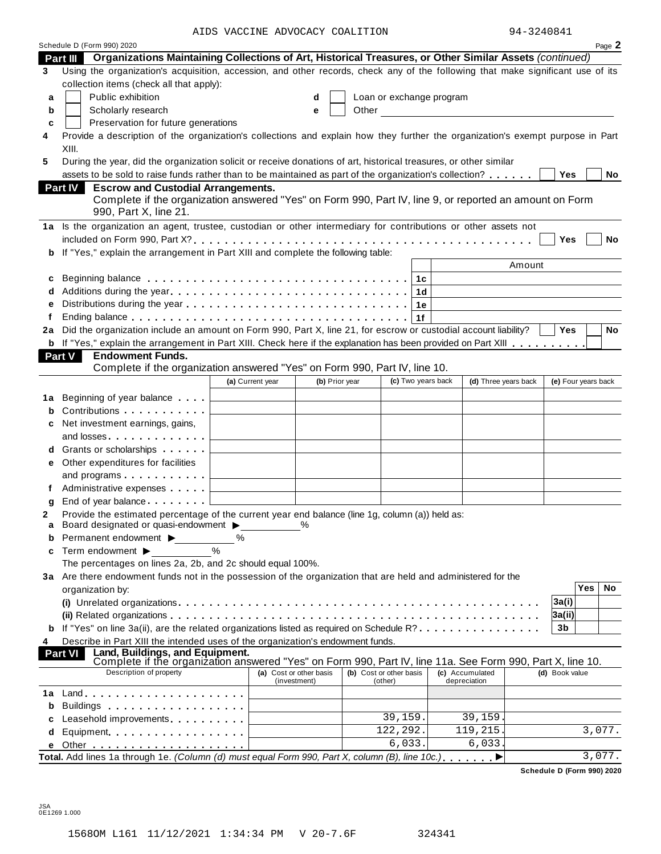AIDS VACCINE ADVOCACY COALITION 94-3240841

| -3240841<br>QΛ |  |
|----------------|--|
|                |  |

|    |                                                                                                                                                                             | AIDS VACCINE ADVOCACI COALIIION |              |                |                          |                |                                              | フォーンムせいOヰエ |                     |            |           |
|----|-----------------------------------------------------------------------------------------------------------------------------------------------------------------------------|---------------------------------|--------------|----------------|--------------------------|----------------|----------------------------------------------|------------|---------------------|------------|-----------|
|    | Schedule D (Form 990) 2020                                                                                                                                                  |                                 |              |                |                          |                |                                              |            |                     |            | Page 2    |
|    | Part III Organizations Maintaining Collections of Art, Historical Treasures, or Other Similar Assets (continued)                                                            |                                 |              |                |                          |                |                                              |            |                     |            |           |
| 3  | Using the organization's acquisition, accession, and other records, check any of the following that make significant use of its<br>collection items (check all that apply): |                                 |              |                |                          |                |                                              |            |                     |            |           |
| a  | Public exhibition                                                                                                                                                           |                                 | d            |                | Loan or exchange program |                |                                              |            |                     |            |           |
| b  | Scholarly research                                                                                                                                                          |                                 | e            | Other          |                          |                | <u> 1980 - Jan Barbara Barbara, maska ka</u> |            |                     |            |           |
| c  | Preservation for future generations                                                                                                                                         |                                 |              |                |                          |                |                                              |            |                     |            |           |
| 4  | Provide a description of the organization's collections and explain how they further the organization's exempt purpose in Part                                              |                                 |              |                |                          |                |                                              |            |                     |            |           |
|    | XIII.                                                                                                                                                                       |                                 |              |                |                          |                |                                              |            |                     |            |           |
| 5  | During the year, did the organization solicit or receive donations of art, historical treasures, or other similar                                                           |                                 |              |                |                          |                |                                              |            |                     |            |           |
|    | assets to be sold to raise funds rather than to be maintained as part of the organization's collection?                                                                     |                                 |              |                |                          |                |                                              |            | <b>Yes</b>          |            | No        |
|    | <b>Part IV</b><br><b>Escrow and Custodial Arrangements.</b>                                                                                                                 |                                 |              |                |                          |                |                                              |            |                     |            |           |
|    | Complete if the organization answered "Yes" on Form 990, Part IV, line 9, or reported an amount on Form                                                                     |                                 |              |                |                          |                |                                              |            |                     |            |           |
|    | 990, Part X, line 21.                                                                                                                                                       |                                 |              |                |                          |                |                                              |            |                     |            |           |
|    | 1a Is the organization an agent, trustee, custodian or other intermediary for contributions or other assets not                                                             |                                 |              |                |                          |                |                                              |            |                     |            |           |
|    |                                                                                                                                                                             |                                 |              |                |                          |                |                                              |            | Yes                 |            | <b>No</b> |
|    | b If "Yes," explain the arrangement in Part XIII and complete the following table:                                                                                          |                                 |              |                |                          |                |                                              |            |                     |            |           |
|    |                                                                                                                                                                             |                                 |              |                |                          |                |                                              | Amount     |                     |            |           |
| c  |                                                                                                                                                                             |                                 |              |                |                          | 1с             |                                              |            |                     |            |           |
| d  |                                                                                                                                                                             |                                 |              |                |                          | 1 <sub>d</sub> |                                              |            |                     |            |           |
|    |                                                                                                                                                                             |                                 |              |                |                          | 1е             |                                              |            |                     |            |           |
|    |                                                                                                                                                                             |                                 |              |                |                          | 1f             |                                              |            |                     |            |           |
| 2a | Did the organization include an amount on Form 990, Part X, line 21, for escrow or custodial account liability?                                                             |                                 |              |                |                          |                |                                              |            | Yes                 |            | <b>No</b> |
|    | <b>b</b> If "Yes," explain the arrangement in Part XIII. Check here if the explanation has been provided on Part XIII                                                       |                                 |              |                |                          |                |                                              |            |                     |            |           |
|    | Part V<br><b>Endowment Funds.</b>                                                                                                                                           |                                 |              |                |                          |                |                                              |            |                     |            |           |
|    | Complete if the organization answered "Yes" on Form 990, Part IV, line 10.                                                                                                  |                                 |              |                |                          |                |                                              |            |                     |            |           |
|    |                                                                                                                                                                             | (a) Current year                |              | (b) Prior year | (c) Two years back       |                | (d) Three years back                         |            | (e) Four years back |            |           |
|    | <b>1a</b> Beginning of year balance                                                                                                                                         |                                 |              |                |                          |                |                                              |            |                     |            |           |
| b  | Contributions                                                                                                                                                               |                                 |              |                |                          |                |                                              |            |                     |            |           |
| с  | Net investment earnings, gains,                                                                                                                                             |                                 |              |                |                          |                |                                              |            |                     |            |           |
|    | and losses                                                                                                                                                                  |                                 |              |                |                          |                |                                              |            |                     |            |           |
|    | d Grants or scholarships                                                                                                                                                    |                                 |              |                |                          |                |                                              |            |                     |            |           |
|    | e Other expenditures for facilities                                                                                                                                         |                                 |              |                |                          |                |                                              |            |                     |            |           |
|    |                                                                                                                                                                             |                                 |              |                |                          |                |                                              |            |                     |            |           |
|    | Administrative expenses                                                                                                                                                     |                                 |              |                |                          |                |                                              |            |                     |            |           |
| g  | End of year balance expansion of                                                                                                                                            |                                 |              |                |                          |                |                                              |            |                     |            |           |
|    | Provide the estimated percentage of the current year end balance (line 1g, column (a)) held as:                                                                             |                                 |              |                |                          |                |                                              |            |                     |            |           |
|    | Board designated or quasi-endowment >                                                                                                                                       |                                 | %            |                |                          |                |                                              |            |                     |            |           |
|    | Permanent endowment >                                                                                                                                                       | ℅                               |              |                |                          |                |                                              |            |                     |            |           |
| c  | Term endowment $\blacktriangleright$                                                                                                                                        |                                 |              |                |                          |                |                                              |            |                     |            |           |
|    | The percentages on lines 2a, 2b, and 2c should equal 100%.                                                                                                                  |                                 |              |                |                          |                |                                              |            |                     |            |           |
|    | 3a Are there endowment funds not in the possession of the organization that are held and administered for the                                                               |                                 |              |                |                          |                |                                              |            |                     |            |           |
|    | organization by:                                                                                                                                                            |                                 |              |                |                          |                |                                              |            |                     | <b>Yes</b> | No        |
|    |                                                                                                                                                                             |                                 |              |                |                          |                |                                              |            | 3a(i)               |            |           |
|    |                                                                                                                                                                             |                                 |              |                |                          |                |                                              |            | 3a(ii)              |            |           |
|    | <b>b</b> If "Yes" on line 3a(ii), are the related organizations listed as required on Schedule R?                                                                           |                                 |              |                |                          |                |                                              |            | 3b                  |            |           |
| 4  | Describe in Part XIII the intended uses of the organization's endowment funds.                                                                                              |                                 |              |                |                          |                |                                              |            |                     |            |           |
|    | Land, Buildings, and Equipment.<br>Part VI<br>Complete if the organization answered "Yes" on Form 990, Part IV, line 11a. See Form 990, Part X, line 10.                    |                                 |              |                |                          |                |                                              |            |                     |            |           |
|    | Description of property                                                                                                                                                     | (a) Cost or other basis         |              |                | (b) Cost or other basis  |                | (c) Accumulated                              |            | (d) Book value      |            |           |
|    |                                                                                                                                                                             |                                 | (investment) |                | (other)                  |                | depreciation                                 |            |                     |            |           |
| 1a | $Land.$                                                                                                                                                                     |                                 |              |                |                          |                |                                              |            |                     |            |           |
|    |                                                                                                                                                                             |                                 |              |                |                          |                |                                              |            |                     |            |           |
|    | Leasehold improvements expansion of                                                                                                                                         |                                 |              |                | 39,159.                  |                | 39, 159.                                     |            |                     |            |           |
|    |                                                                                                                                                                             |                                 |              |                | 122, 292.                |                | 119,215.                                     |            |                     |            | 3,077.    |
|    |                                                                                                                                                                             |                                 |              |                | 6,033.                   |                | 6,033.                                       |            |                     |            |           |
|    | Total. Add lines 1a through 1e. (Column (d) must equal Form 990, Part X, column (B), line 10c.)                                                                             |                                 |              |                |                          |                |                                              |            |                     |            | 3,077.    |

**Schedule D (Form 990) 2020**

JSA 0E1269 1.000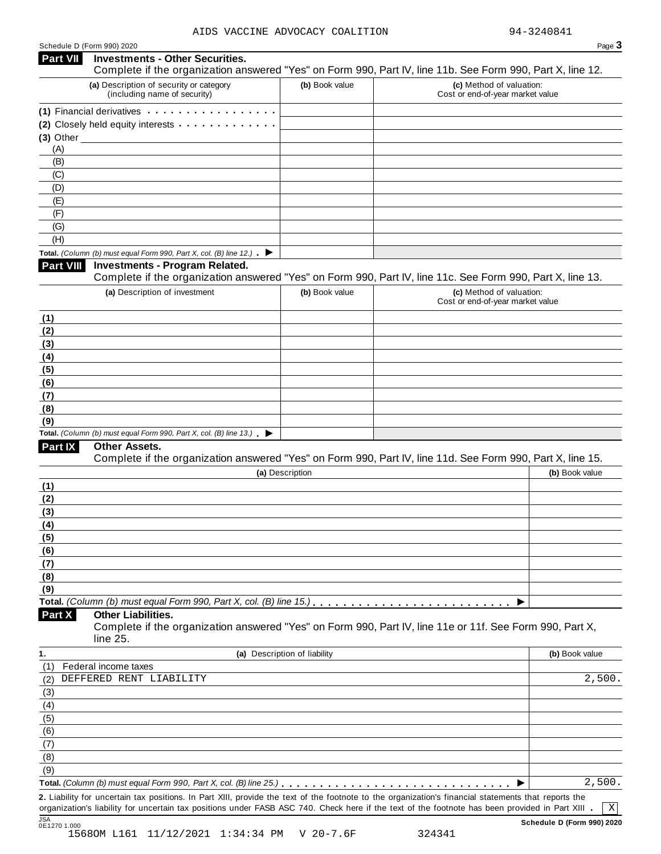| Schedule D (Form 990) 2020 |  |  |  |
|----------------------------|--|--|--|
|----------------------------|--|--|--|

| Part VII   |                                                                                                                                                                                                                                |                              | Page 3                                                                                                                                                         |
|------------|--------------------------------------------------------------------------------------------------------------------------------------------------------------------------------------------------------------------------------|------------------------------|----------------------------------------------------------------------------------------------------------------------------------------------------------------|
|            | <b>Investments - Other Securities.</b>                                                                                                                                                                                         |                              | Complete if the organization answered "Yes" on Form 990, Part IV, line 11b. See Form 990, Part X, line 12.                                                     |
|            | (a) Description of security or category<br>(including name of security)                                                                                                                                                        | (b) Book value               | (c) Method of valuation:<br>Cost or end-of-year market value                                                                                                   |
|            | (1) Financial derivatives expansion of the state of the state of the state of the state of the state of the state of the state of the state of the state of the state of the state of the state of the state of the state of t |                              |                                                                                                                                                                |
|            | (2) Closely held equity interests                                                                                                                                                                                              |                              |                                                                                                                                                                |
|            |                                                                                                                                                                                                                                |                              |                                                                                                                                                                |
| (A)<br>(B) |                                                                                                                                                                                                                                |                              |                                                                                                                                                                |
| (C)        |                                                                                                                                                                                                                                |                              |                                                                                                                                                                |
| (D)        |                                                                                                                                                                                                                                |                              |                                                                                                                                                                |
| (E)        |                                                                                                                                                                                                                                |                              |                                                                                                                                                                |
| (F)        |                                                                                                                                                                                                                                |                              |                                                                                                                                                                |
| (G)        |                                                                                                                                                                                                                                |                              |                                                                                                                                                                |
| (H)        |                                                                                                                                                                                                                                |                              |                                                                                                                                                                |
| Part VIII  | Total. (Column (b) must equal Form 990, Part X, col. (B) line 12.) $\blacktriangleright$<br><b>Investments - Program Related.</b>                                                                                              |                              |                                                                                                                                                                |
|            |                                                                                                                                                                                                                                |                              | Complete if the organization answered "Yes" on Form 990, Part IV, line 11c. See Form 990, Part X, line 13.                                                     |
|            | (a) Description of investment                                                                                                                                                                                                  | (b) Book value               | (c) Method of valuation:                                                                                                                                       |
|            |                                                                                                                                                                                                                                |                              | Cost or end-of-year market value                                                                                                                               |
|            |                                                                                                                                                                                                                                |                              |                                                                                                                                                                |
|            |                                                                                                                                                                                                                                |                              |                                                                                                                                                                |
|            |                                                                                                                                                                                                                                |                              |                                                                                                                                                                |
|            |                                                                                                                                                                                                                                |                              |                                                                                                                                                                |
|            |                                                                                                                                                                                                                                |                              |                                                                                                                                                                |
|            |                                                                                                                                                                                                                                |                              |                                                                                                                                                                |
|            |                                                                                                                                                                                                                                |                              |                                                                                                                                                                |
|            |                                                                                                                                                                                                                                |                              |                                                                                                                                                                |
|            |                                                                                                                                                                                                                                |                              |                                                                                                                                                                |
| (8)<br>(9) | Total. (Column (b) must equal Form 990, Part X, col. (B) line $13$ .)                                                                                                                                                          |                              |                                                                                                                                                                |
| Part IX    | Other Assets.                                                                                                                                                                                                                  |                              |                                                                                                                                                                |
|            |                                                                                                                                                                                                                                |                              | Complete if the organization answered "Yes" on Form 990, Part IV, line 11d. See Form 990, Part X, line 15.                                                     |
| (1)        |                                                                                                                                                                                                                                | (a) Description              | (b) Book value                                                                                                                                                 |
|            |                                                                                                                                                                                                                                |                              |                                                                                                                                                                |
|            |                                                                                                                                                                                                                                |                              |                                                                                                                                                                |
|            |                                                                                                                                                                                                                                |                              |                                                                                                                                                                |
|            |                                                                                                                                                                                                                                |                              |                                                                                                                                                                |
|            |                                                                                                                                                                                                                                |                              |                                                                                                                                                                |
|            |                                                                                                                                                                                                                                |                              |                                                                                                                                                                |
|            |                                                                                                                                                                                                                                |                              |                                                                                                                                                                |
|            |                                                                                                                                                                                                                                |                              |                                                                                                                                                                |
| (4)        | Total. (Column (b) must equal Form 990, Part X, col. (B) line 15.) $\ldots \ldots \ldots \ldots \ldots \ldots \ldots \ldots$                                                                                                   |                              |                                                                                                                                                                |
|            | <b>Other Liabilities.</b>                                                                                                                                                                                                      |                              | Complete if the organization answered "Yes" on Form 990, Part IV, line 11e or 11f. See Form 990, Part X,                                                       |
|            | line 25.                                                                                                                                                                                                                       |                              |                                                                                                                                                                |
|            |                                                                                                                                                                                                                                | (a) Description of liability | (b) Book value                                                                                                                                                 |
|            | Federal income taxes                                                                                                                                                                                                           |                              |                                                                                                                                                                |
|            | DEFFERED RENT LIABILITY                                                                                                                                                                                                        |                              | 2,500.                                                                                                                                                         |
|            |                                                                                                                                                                                                                                |                              |                                                                                                                                                                |
|            |                                                                                                                                                                                                                                |                              |                                                                                                                                                                |
|            |                                                                                                                                                                                                                                |                              |                                                                                                                                                                |
|            |                                                                                                                                                                                                                                |                              |                                                                                                                                                                |
|            |                                                                                                                                                                                                                                |                              |                                                                                                                                                                |
|            |                                                                                                                                                                                                                                |                              |                                                                                                                                                                |
| Part X     |                                                                                                                                                                                                                                |                              | 2,500.<br>2. Liability for uncertain tax positions. In Part XIII, provide the text of the footnote to the organization's financial statements that reports the |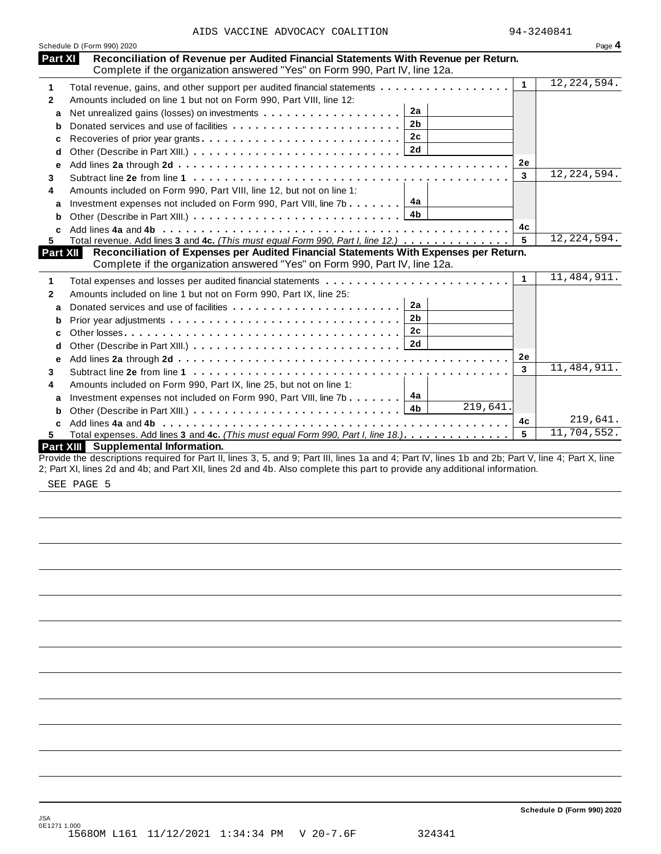|  |  |  |  | AIDS VACCINE ADVOCACY COALITION |
|--|--|--|--|---------------------------------|
|--|--|--|--|---------------------------------|

|              | Schedule D (Form 990) 2020                                                                                                                                         |              | Page 4        |
|--------------|--------------------------------------------------------------------------------------------------------------------------------------------------------------------|--------------|---------------|
| Part XI      | Reconciliation of Revenue per Audited Financial Statements With Revenue per Return.<br>Complete if the organization answered "Yes" on Form 990, Part IV, line 12a. |              |               |
| 1            | Total revenue, gains, and other support per audited financial statements                                                                                           | $\mathbf{1}$ | 12, 224, 594. |
| 2            | Amounts included on line 1 but not on Form 990, Part VIII, line 12:                                                                                                |              |               |
| a            | 2a                                                                                                                                                                 |              |               |
| b            | 2 <sub>b</sub>                                                                                                                                                     |              |               |
| c            | 2c                                                                                                                                                                 |              |               |
| d            |                                                                                                                                                                    |              |               |
| е            |                                                                                                                                                                    | 2e           |               |
| 3            |                                                                                                                                                                    | 3            | 12, 224, 594. |
| 4            | Amounts included on Form 990, Part VIII, line 12, but not on line 1:                                                                                               |              |               |
|              | 4а<br>Investment expenses not included on Form 990, Part VIII, line 7b                                                                                             |              |               |
| a            | 4b                                                                                                                                                                 |              |               |
| b            |                                                                                                                                                                    | 4c           |               |
| 5.           | Total revenue. Add lines 3 and 4c. (This must equal Form 990, Part I, line 12.)                                                                                    | 5            | 12, 224, 594. |
| Part XII     | Reconciliation of Expenses per Audited Financial Statements With Expenses per Return.                                                                              |              |               |
|              | Complete if the organization answered "Yes" on Form 990, Part IV, line 12a.                                                                                        |              |               |
| 1            |                                                                                                                                                                    | $\mathbf{1}$ | 11, 484, 911. |
| $\mathbf{2}$ | Amounts included on line 1 but not on Form 990, Part IX, line 25:                                                                                                  |              |               |
| a            | 2a                                                                                                                                                                 |              |               |
| b            | 2 <sub>b</sub>                                                                                                                                                     |              |               |
| C            | 2c                                                                                                                                                                 |              |               |
|              |                                                                                                                                                                    |              |               |
| d            | 2d                                                                                                                                                                 |              |               |
| е            |                                                                                                                                                                    | 2e           |               |
| 3            |                                                                                                                                                                    | 3            | 11, 484, 911. |
| 4            |                                                                                                                                                                    |              |               |
| a            | Amounts included on Form 990, Part IX, line 25, but not on line 1:<br>4а                                                                                           |              |               |
| b            | Investment expenses not included on Form 990, Part VIII, line 7b $\ldots$<br>219,641.<br>4 <sub>b</sub>                                                            |              |               |
|              |                                                                                                                                                                    | 4c           | 219,641.      |
|              | Total expenses. Add lines 3 and 4c. (This must equal Form 990, Part I, line 18.)                                                                                   | 5            | 11,704,552.   |

Provide the descriptions required for Part II, lines 3, 5, and 9; Part III, lines 1a and 4; Part IV, lines 1b and 2b; Part V, line 4; Part X, line 2; Part XI, lines 2d and 4b; and Part XII, lines 2d and 4b. Also complete this part to provide any additional information.

SEE PAGE 5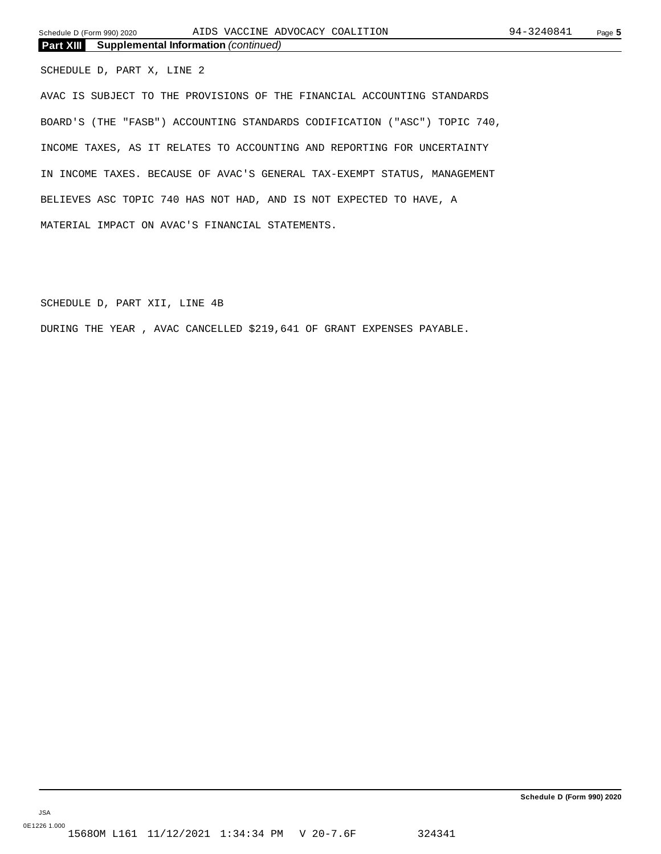SCHEDULE D, PART X, LINE 2

AVAC IS SUBJECT TO THE PROVISIONS OF THE FINANCIAL ACCOUNTING STANDARDS BOARD'S (THE "FASB") ACCOUNTING STANDARDS CODIFICATION ("ASC") TOPIC 740, INCOME TAXES, AS IT RELATES TO ACCOUNTING AND REPORTING FOR UNCERTAINTY IN INCOME TAXES. BECAUSE OF AVAC'S GENERAL TAX-EXEMPT STATUS, MANAGEMENT BELIEVES ASC TOPIC 740 HAS NOT HAD, AND IS NOT EXPECTED TO HAVE, A MATERIAL IMPACT ON AVAC'S FINANCIAL STATEMENTS.

SCHEDULE D, PART XII, LINE 4B

DURING THE YEAR , AVAC CANCELLED \$219,641 OF GRANT EXPENSES PAYABLE.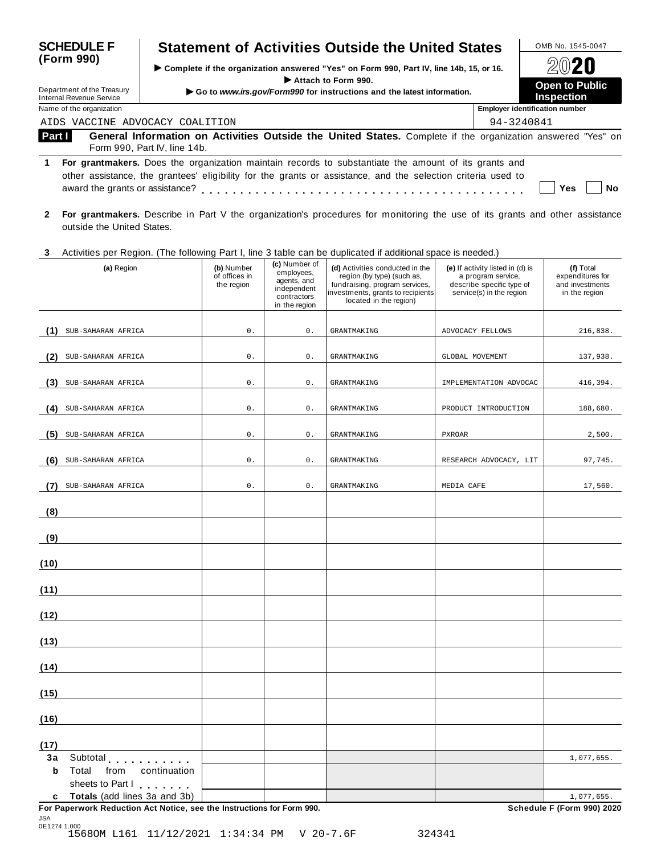| <b>SCHEDULE F</b>                                      | <b>Statement of Activities Outside the United States</b>                                                                                                                                                             | OMB No. 1545-0047                     |                                            |  |
|--------------------------------------------------------|----------------------------------------------------------------------------------------------------------------------------------------------------------------------------------------------------------------------|---------------------------------------|--------------------------------------------|--|
| (Form 990)                                             | ► Complete if the organization answered "Yes" on Form 990, Part IV, line 14b, 15, or 16.                                                                                                                             | 2020                                  |                                            |  |
| Department of the Treasury<br>Internal Revenue Service | $\blacktriangleright$ Attach to Form 990.<br>Go to www.irs.gov/Form990 for instructions and the latest information.                                                                                                  |                                       | <b>Open to Public</b><br><b>Inspection</b> |  |
| Name of the organization                               |                                                                                                                                                                                                                      | <b>Employer identification number</b> |                                            |  |
| AIDS VACCINE ADVOCACY COALITION                        |                                                                                                                                                                                                                      | 94-3240841                            |                                            |  |
| Part I                                                 | General Information on Activities Outside the United States. Complete if the organization answered "Yes" on<br>Form 990. Part IV. line 14b.                                                                          |                                       |                                            |  |
| 1.<br>award the grants or assistance?                  | For grantmakers. Does the organization maintain records to substantiate the amount of its grants and<br>other assistance, the grantees' eligibility for the grants or assistance, and the selection criteria used to |                                       | Yes<br>Nο                                  |  |

**2 For grantmakers.** Describe in Part V the organization's procedures for monitoring the use of its grants and other assistance outside the United States.

#### **3** Activities per Region. (The following Part I, line 3 table can be duplicated ifadditional space is needed.)

|                   | $1.80$ and $1.00$ and $1.00$ and $1.00$ and $1.00$ and $1.00$ and $1.00$ and $1.00$ and $1.00$ and $1.00$ and $1.00$ and $1.00$ and $1.00$ and $1.00$ and $1.00$ and $1.00$ and $1.00$ and $1.00$ and $1.00$ and $1.00$ and<br>(a) Region                                          | (b) Number<br>of offices in<br>the region | (c) Number of<br>employees,<br>agents, and<br>independent<br>contractors<br>in the region | aaphoatoa ii aaaltiorial opass is hosasa./<br>(d) Activities conducted in the<br>region (by type) (such as,<br>fundraising, program services,<br>investments, grants to recipients<br>located in the region) | (e) If activity listed in (d) is<br>a program service,<br>describe specific type of<br>service(s) in the region | (f) Total<br>expenditures for<br>and investments<br>in the region |
|-------------------|------------------------------------------------------------------------------------------------------------------------------------------------------------------------------------------------------------------------------------------------------------------------------------|-------------------------------------------|-------------------------------------------------------------------------------------------|--------------------------------------------------------------------------------------------------------------------------------------------------------------------------------------------------------------|-----------------------------------------------------------------------------------------------------------------|-------------------------------------------------------------------|
| (1)               | SUB-SAHARAN AFRICA                                                                                                                                                                                                                                                                 | 0.                                        | $0$ .                                                                                     | <b>GRANTMAKING</b>                                                                                                                                                                                           | ADVOCACY FELLOWS                                                                                                | 216,838.                                                          |
| (2)               | SUB-SAHARAN AFRICA                                                                                                                                                                                                                                                                 | $0$ .                                     | 0.                                                                                        | <b>GRANTMAKING</b>                                                                                                                                                                                           | GLOBAL MOVEMENT                                                                                                 | 137,938.                                                          |
|                   |                                                                                                                                                                                                                                                                                    |                                           |                                                                                           |                                                                                                                                                                                                              |                                                                                                                 |                                                                   |
| (3)               | SUB-SAHARAN AFRICA                                                                                                                                                                                                                                                                 | $0$ .                                     | $0$ .                                                                                     | <b>GRANTMAKING</b>                                                                                                                                                                                           | IMPLEMENTATION ADVOCAC                                                                                          | 416,394.                                                          |
| (4)               | SUB-SAHARAN AFRICA                                                                                                                                                                                                                                                                 | $\mathsf{0}$ .                            | $0$ .                                                                                     | <b>GRANTMAKING</b>                                                                                                                                                                                           | PRODUCT INTRODUCTION                                                                                            | 188,680.                                                          |
| (5)               | SUB-SAHARAN AFRICA                                                                                                                                                                                                                                                                 | 0.                                        | $0$ .                                                                                     | <b>GRANTMAKING</b>                                                                                                                                                                                           | PXROAR                                                                                                          | 2,500.                                                            |
| (6)               | SUB-SAHARAN AFRICA                                                                                                                                                                                                                                                                 | $\mathsf{0}$ .                            | $0$ .                                                                                     | <b>GRANTMAKING</b>                                                                                                                                                                                           | RESEARCH ADVOCACY, LIT                                                                                          | 97,745.                                                           |
| (7)               | SUB-SAHARAN AFRICA                                                                                                                                                                                                                                                                 | 0.                                        | $0$ .                                                                                     | <b>GRANTMAKING</b>                                                                                                                                                                                           | MEDIA CAFE                                                                                                      | 17,560.                                                           |
| (8)               |                                                                                                                                                                                                                                                                                    |                                           |                                                                                           |                                                                                                                                                                                                              |                                                                                                                 |                                                                   |
| (9)               | <u> 1980 - Johann Barbara, martxa a</u>                                                                                                                                                                                                                                            |                                           |                                                                                           |                                                                                                                                                                                                              |                                                                                                                 |                                                                   |
| (10)              |                                                                                                                                                                                                                                                                                    |                                           |                                                                                           |                                                                                                                                                                                                              |                                                                                                                 |                                                                   |
| (11)              |                                                                                                                                                                                                                                                                                    |                                           |                                                                                           |                                                                                                                                                                                                              |                                                                                                                 |                                                                   |
| (12)              |                                                                                                                                                                                                                                                                                    |                                           |                                                                                           |                                                                                                                                                                                                              |                                                                                                                 |                                                                   |
| (13)              |                                                                                                                                                                                                                                                                                    |                                           |                                                                                           |                                                                                                                                                                                                              |                                                                                                                 |                                                                   |
| (14)              |                                                                                                                                                                                                                                                                                    |                                           |                                                                                           |                                                                                                                                                                                                              |                                                                                                                 |                                                                   |
| (15)              |                                                                                                                                                                                                                                                                                    |                                           |                                                                                           |                                                                                                                                                                                                              |                                                                                                                 |                                                                   |
| (16)              |                                                                                                                                                                                                                                                                                    |                                           |                                                                                           |                                                                                                                                                                                                              |                                                                                                                 |                                                                   |
| (17)              |                                                                                                                                                                                                                                                                                    |                                           |                                                                                           |                                                                                                                                                                                                              |                                                                                                                 |                                                                   |
| 3a<br>$\mathbf b$ | Subtotal experience and the set of the set of the set of the set of the set of the set of the set of the set of the set of the set of the set of the set of the set of the set of the set of the set of the set of the set of<br>Total<br>from<br>continuation<br>sheets to Part I |                                           |                                                                                           |                                                                                                                                                                                                              |                                                                                                                 | 1,077,655.                                                        |
|                   | c Totals (add lines 3a and 3b)<br>For Paperwork Reduction Act Notice, see the Instructions for Form 990.                                                                                                                                                                           |                                           |                                                                                           |                                                                                                                                                                                                              |                                                                                                                 | 1,077,655.<br>Schedule F (Form 990) 2020                          |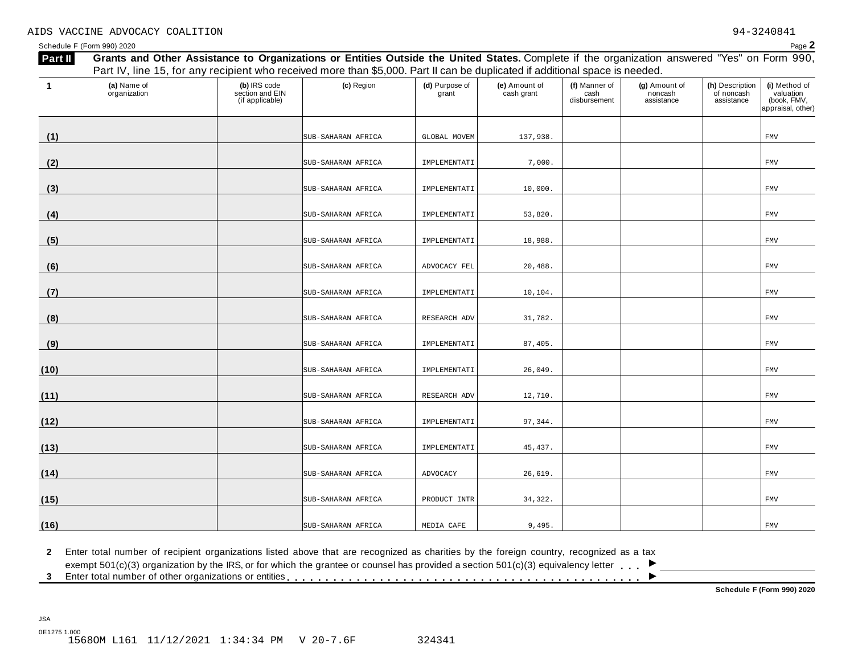Schedule F (Form 990) 2020  $\blacksquare$ 

| $\overline{1}$ | (a) Name of<br>organization | (b) IRS code<br>section and EIN<br>(if applicable) | (c) Region         | (d) Purpose of<br>grant | (e) Amount of<br>cash grant | (f) Manner of<br>cash<br>disbursement | (g) Amount of<br>noncash<br>assistance | (h) Description<br>of noncash<br>assistance | (i) Method of<br>valuation<br>(book, FMV,<br>appraisal, other) |
|----------------|-----------------------------|----------------------------------------------------|--------------------|-------------------------|-----------------------------|---------------------------------------|----------------------------------------|---------------------------------------------|----------------------------------------------------------------|
| (1)            |                             |                                                    | SUB-SAHARAN AFRICA | GLOBAL MOVEM            | 137,938.                    |                                       |                                        |                                             | ${\tt FMV}$                                                    |
| (2)            |                             |                                                    | SUB-SAHARAN AFRICA | IMPLEMENTATI            | 7,000.                      |                                       |                                        |                                             | FMV                                                            |
| (3)            |                             |                                                    | SUB-SAHARAN AFRICA | IMPLEMENTATI            | 10,000.                     |                                       |                                        |                                             | <b>FMV</b>                                                     |
| (4)            |                             |                                                    | SUB-SAHARAN AFRICA | IMPLEMENTATI            | 53,820.                     |                                       |                                        |                                             | <b>FMV</b>                                                     |
| (5)            |                             |                                                    | SUB-SAHARAN AFRICA | IMPLEMENTATI            | 18,988.                     |                                       |                                        |                                             | <b>FMV</b>                                                     |
| (6)            |                             |                                                    | SUB-SAHARAN AFRICA | ADVOCACY FEL            | 20,488.                     |                                       |                                        |                                             | <b>FMV</b>                                                     |
| (7)            |                             |                                                    | SUB-SAHARAN AFRICA | IMPLEMENTATI            | 10,104.                     |                                       |                                        |                                             | ${\tt FMV}$                                                    |
| (8)            |                             |                                                    | SUB-SAHARAN AFRICA | RESEARCH ADV            | 31,782.                     |                                       |                                        |                                             | FMV                                                            |
| (9)            |                             |                                                    | SUB-SAHARAN AFRICA | IMPLEMENTATI            | 87,405.                     |                                       |                                        |                                             | FMV                                                            |
| (10)           |                             |                                                    | SUB-SAHARAN AFRICA | IMPLEMENTATI            | 26,049.                     |                                       |                                        |                                             | <b>FMV</b>                                                     |
| (11)           |                             |                                                    | SUB-SAHARAN AFRICA | RESEARCH ADV            | 12,710.                     |                                       |                                        |                                             | <b>FMV</b>                                                     |
| (12)           |                             |                                                    | SUB-SAHARAN AFRICA | IMPLEMENTATI            | 97,344.                     |                                       |                                        |                                             | <b>FMV</b>                                                     |
| (13)           |                             |                                                    | SUB-SAHARAN AFRICA | IMPLEMENTATI            | 45, 437.                    |                                       |                                        |                                             | <b>FMV</b>                                                     |
| (14)           |                             |                                                    | SUB-SAHARAN AFRICA | ADVOCACY                | 26,619.                     |                                       |                                        |                                             | <b>FMV</b>                                                     |
| (15)           |                             |                                                    | SUB-SAHARAN AFRICA | PRODUCT INTR            | 34, 322.                    |                                       |                                        |                                             | FMV                                                            |
| (16)           |                             |                                                    | SUB-SAHARAN AFRICA | MEDIA CAFE              | 9,495.                      |                                       |                                        |                                             | FMV                                                            |

**2** Enter total number of recipient organizations listed above that are recognized as charities by the foreign country, recognized as a tax

2 Enter total number of recipient organizations listed above that are recognized as charities by the foreign country, recognized as a tax<br>exempt 501(c)(3) organization by the IRS, or for which the grantee or counsel has p

**Schedule F (Form 990) 2020**

 $\overline{\phantom{a}}$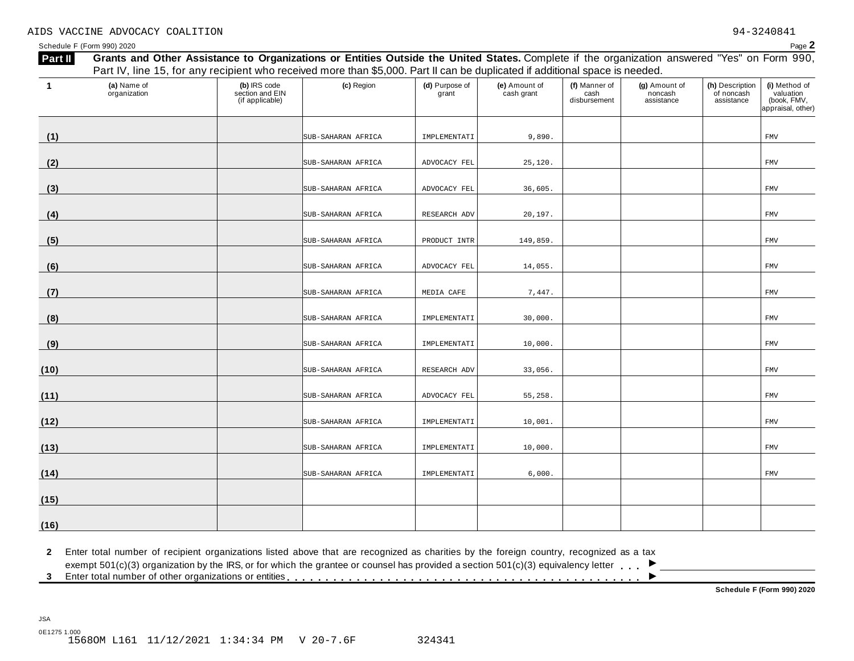#### AIDS VACCINE ADVOCACY COALITION 94-3240841

JSA

| Part II     | Grants and Other Assistance to Organizations or Entities Outside the United States. Complete if the organization answered "Yes" on Form 990,<br>Part IV, line 15, for any recipient who received more than \$5,000. Part II can be duplicated if additional space is needed. |                                                    |                    |                         |                             |                                       |                                        |                                             |                                                                |
|-------------|------------------------------------------------------------------------------------------------------------------------------------------------------------------------------------------------------------------------------------------------------------------------------|----------------------------------------------------|--------------------|-------------------------|-----------------------------|---------------------------------------|----------------------------------------|---------------------------------------------|----------------------------------------------------------------|
| $\mathbf 1$ | (a) Name of<br>organization                                                                                                                                                                                                                                                  | (b) IRS code<br>section and EIN<br>(if applicable) | (c) Region         | (d) Purpose of<br>grant | (e) Amount of<br>cash grant | (f) Manner of<br>cash<br>disbursement | (g) Amount of<br>noncash<br>assistance | (h) Description<br>of noncash<br>assistance | (i) Method of<br>valuation<br>(book, FMV,<br>appraisal, other) |
| (1)         |                                                                                                                                                                                                                                                                              |                                                    | SUB-SAHARAN AFRICA | IMPLEMENTATI            | 9,890.                      |                                       |                                        |                                             | FMV                                                            |
| (2)         |                                                                                                                                                                                                                                                                              |                                                    | SUB-SAHARAN AFRICA | ADVOCACY FEL            | 25,120.                     |                                       |                                        |                                             | FMV                                                            |
| (3)         |                                                                                                                                                                                                                                                                              |                                                    | SUB-SAHARAN AFRICA | ADVOCACY FEL            | 36,605.                     |                                       |                                        |                                             | FMV                                                            |
| (4)         |                                                                                                                                                                                                                                                                              |                                                    | SUB-SAHARAN AFRICA | RESEARCH ADV            | 20,197.                     |                                       |                                        |                                             | FMV                                                            |
| (5)         |                                                                                                                                                                                                                                                                              |                                                    | SUB-SAHARAN AFRICA | PRODUCT INTR            | 149,859.                    |                                       |                                        |                                             | FMV                                                            |
| (6)         |                                                                                                                                                                                                                                                                              |                                                    | SUB-SAHARAN AFRICA | ADVOCACY FEL            | 14,055.                     |                                       |                                        |                                             | FMV                                                            |
| (7)         |                                                                                                                                                                                                                                                                              |                                                    | SUB-SAHARAN AFRICA | MEDIA CAFE              | 7,447.                      |                                       |                                        |                                             | FMV                                                            |
| (8)         |                                                                                                                                                                                                                                                                              |                                                    | SUB-SAHARAN AFRICA | IMPLEMENTATI            | 30,000.                     |                                       |                                        |                                             | FMV                                                            |
| (9)         |                                                                                                                                                                                                                                                                              |                                                    | SUB-SAHARAN AFRICA | IMPLEMENTATI            | 10,000.                     |                                       |                                        |                                             | FMV                                                            |
| (10)        |                                                                                                                                                                                                                                                                              |                                                    | SUB-SAHARAN AFRICA | RESEARCH ADV            | 33,056.                     |                                       |                                        |                                             | FMV                                                            |
| (11)        |                                                                                                                                                                                                                                                                              |                                                    | SUB-SAHARAN AFRICA | ADVOCACY FEL            | 55,258.                     |                                       |                                        |                                             | FMV                                                            |
| (12)        |                                                                                                                                                                                                                                                                              |                                                    | SUB-SAHARAN AFRICA | IMPLEMENTATI            | 10,001.                     |                                       |                                        |                                             | FMV                                                            |
| (13)        |                                                                                                                                                                                                                                                                              |                                                    | SUB-SAHARAN AFRICA | IMPLEMENTATI            | 10,000.                     |                                       |                                        |                                             | FMV                                                            |
| (14)        |                                                                                                                                                                                                                                                                              |                                                    | SUB-SAHARAN AFRICA | IMPLEMENTATI            | 6,000.                      |                                       |                                        |                                             | <b>FMV</b>                                                     |
| (15)        |                                                                                                                                                                                                                                                                              |                                                    |                    |                         |                             |                                       |                                        |                                             |                                                                |
| (16)        |                                                                                                                                                                                                                                                                              |                                                    |                    |                         |                             |                                       |                                        |                                             |                                                                |

**2** Enter total number of recipient organizations listed above that are recognized as charities by the foreign country, recognized as a tax

Enter total number of recipient organizations listed above that are recognized as charities by the foreign country, recognized as a tax<br>exempt 501(c)(3) organization by the IRS, or for which the grantee or counsel has prov

<sup>m</sup> <sup>m</sup> <sup>m</sup> **<sup>3</sup>** Enter total number of other organizations or entities <sup>m</sup> <sup>m</sup> <sup>m</sup> <sup>m</sup> <sup>m</sup> <sup>m</sup> <sup>m</sup> <sup>m</sup> <sup>m</sup> <sup>m</sup> <sup>m</sup> <sup>m</sup> <sup>m</sup> <sup>m</sup> <sup>m</sup> <sup>m</sup> <sup>m</sup> <sup>m</sup> <sup>m</sup> <sup>m</sup> <sup>m</sup> <sup>m</sup> <sup>m</sup> <sup>m</sup> <sup>m</sup> <sup>m</sup> <sup>m</sup> <sup>m</sup> <sup>m</sup> <sup>m</sup> <sup>m</sup> <sup>m</sup> <sup>m</sup> <sup>m</sup> <sup>m</sup> <sup>m</sup> <sup>m</sup> <sup>m</sup> <sup>m</sup> <sup>m</sup> <sup>m</sup> <sup>m</sup> <sup>m</sup> <sup>m</sup> <sup>m</sup> <sup>m</sup>

**Schedule F (Form 990) 2020**

 $\overline{\phantom{a}}$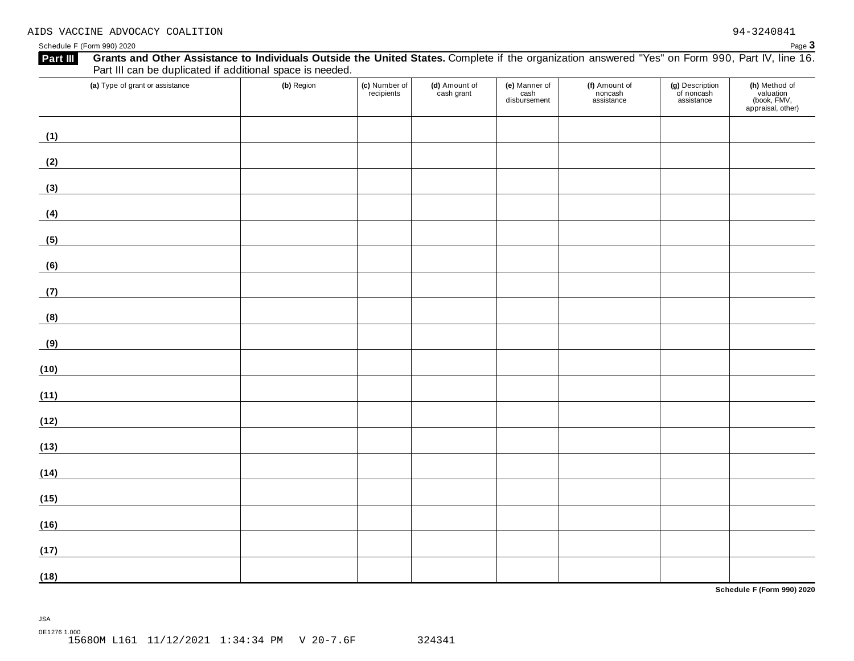Schedule <sup>F</sup> (Form 990) <sup>2020</sup> Page **3**

| Grants and Other Assistance to Individuals Outside the United States. Complete if the organization answered "Yes" on Form 990, Part IV, line 16.<br>Part III<br>Part III can be duplicated if additional space is needed. |            |                             |                             |                                       |                                        |                                             |                                                                |
|---------------------------------------------------------------------------------------------------------------------------------------------------------------------------------------------------------------------------|------------|-----------------------------|-----------------------------|---------------------------------------|----------------------------------------|---------------------------------------------|----------------------------------------------------------------|
| (a) Type of grant or assistance                                                                                                                                                                                           | (b) Region | (c) Number of<br>recipients | (d) Amount of<br>cash grant | (e) Manner of<br>cash<br>disbursement | (f) Amount of<br>noncash<br>assistance | (g) Description<br>of noncash<br>assistance | (h) Method of<br>valuation<br>(book, FMV,<br>appraisal, other) |
| (1)                                                                                                                                                                                                                       |            |                             |                             |                                       |                                        |                                             |                                                                |
| (2)                                                                                                                                                                                                                       |            |                             |                             |                                       |                                        |                                             |                                                                |
| (3)                                                                                                                                                                                                                       |            |                             |                             |                                       |                                        |                                             |                                                                |
| (4)                                                                                                                                                                                                                       |            |                             |                             |                                       |                                        |                                             |                                                                |
| (5)                                                                                                                                                                                                                       |            |                             |                             |                                       |                                        |                                             |                                                                |
| (6)                                                                                                                                                                                                                       |            |                             |                             |                                       |                                        |                                             |                                                                |
| (7)                                                                                                                                                                                                                       |            |                             |                             |                                       |                                        |                                             |                                                                |
| (8)                                                                                                                                                                                                                       |            |                             |                             |                                       |                                        |                                             |                                                                |
| (9)                                                                                                                                                                                                                       |            |                             |                             |                                       |                                        |                                             |                                                                |
| (10)                                                                                                                                                                                                                      |            |                             |                             |                                       |                                        |                                             |                                                                |
| (11)                                                                                                                                                                                                                      |            |                             |                             |                                       |                                        |                                             |                                                                |
| (12)                                                                                                                                                                                                                      |            |                             |                             |                                       |                                        |                                             |                                                                |
| (13)                                                                                                                                                                                                                      |            |                             |                             |                                       |                                        |                                             |                                                                |
| (14)                                                                                                                                                                                                                      |            |                             |                             |                                       |                                        |                                             |                                                                |
| (15)                                                                                                                                                                                                                      |            |                             |                             |                                       |                                        |                                             |                                                                |
| (16)                                                                                                                                                                                                                      |            |                             |                             |                                       |                                        |                                             |                                                                |
| (17)                                                                                                                                                                                                                      |            |                             |                             |                                       |                                        |                                             |                                                                |
| (18)                                                                                                                                                                                                                      |            |                             |                             |                                       |                                        |                                             |                                                                |

**Schedule F (Form 990) 2020**

JSA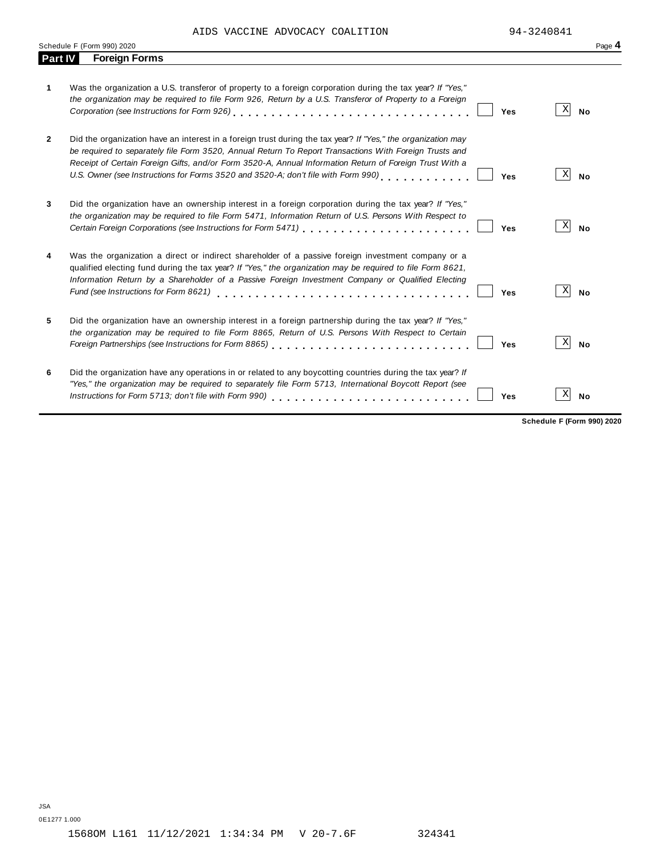AIDS VACCINE ADVOCACY COALITION 94-3240841

|  | Pаr |
|--|-----|

|                | Schedule F (Form 990) 2020                                                                                                                                                                                                                                                                                                                                                                                                    | Page 4                       |
|----------------|-------------------------------------------------------------------------------------------------------------------------------------------------------------------------------------------------------------------------------------------------------------------------------------------------------------------------------------------------------------------------------------------------------------------------------|------------------------------|
| <b>Part IV</b> | <b>Foreign Forms</b>                                                                                                                                                                                                                                                                                                                                                                                                          |                              |
| 1              | Was the organization a U.S. transferor of property to a foreign corporation during the tax year? If "Yes,"<br>the organization may be required to file Form 926, Return by a U.S. Transferor of Property to a Foreign<br>Corporation (see Instructions for Form 926)<br>Yes                                                                                                                                                   | X <br><b>No</b>              |
| $\mathbf{2}$   | Did the organization have an interest in a foreign trust during the tax year? If "Yes," the organization may<br>be required to separately file Form 3520, Annual Return To Report Transactions With Foreign Trusts and<br>Receipt of Certain Foreign Gifts, and/or Form 3520-A, Annual Information Return of Foreign Trust With a<br>U.S. Owner (see Instructions for Forms 3520 and 3520-A; don't file with Form 990)<br>Yes | X<br><b>No</b>               |
| 3              | Did the organization have an ownership interest in a foreign corporation during the tax year? If "Yes,"<br>the organization may be required to file Form 5471, Information Return of U.S. Persons With Respect to<br>Certain Foreign Corporations (see Instructions for Form 5471) [10] Certain Foreign Corporations of the Care of<br>Yes                                                                                    | $\vert X \vert$<br><b>No</b> |
| 4              | Was the organization a direct or indirect shareholder of a passive foreign investment company or a<br>qualified electing fund during the tax year? If "Yes," the organization may be required to file Form 8621,<br>Information Return by a Shareholder of a Passive Foreign Investment Company or Qualified Electing<br>Fund (see Instructions for Form 8621)<br>Yes                                                         | $\vert X \vert$<br><b>No</b> |
| 5              | Did the organization have an ownership interest in a foreign partnership during the tax year? If "Yes,"<br>the organization may be required to file Form 8865, Return of U.S. Persons With Respect to Certain<br>Foreign Partnerships (see Instructions for Form 8865)<br>Yes                                                                                                                                                 | $\mathbf{X}$<br><b>No</b>    |
| 6              | Did the organization have any operations in or related to any boycotting countries during the tax year? If<br>"Yes," the organization may be required to separately file Form 5713, International Boycott Report (see<br>Instructions for Form 5713; don't file with Form 990)<br>Yes                                                                                                                                         | X <br><b>No</b>              |

**Schedule F (Form 990) 2020**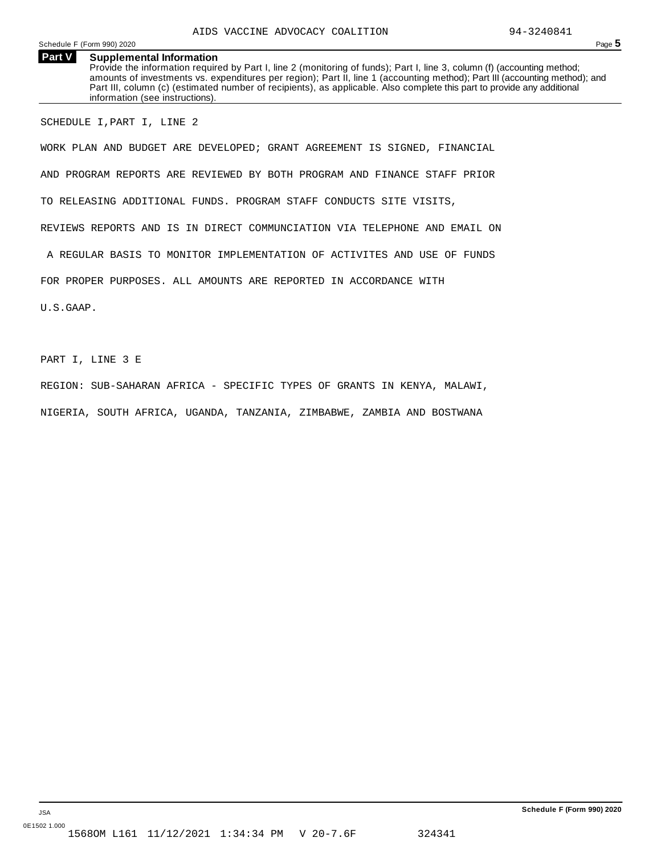Schedule F (Form 990) 2020 Page 5

**Part V Supplemental Information** Provide the information required by Part I, line 2 (monitoring of funds); Part I, line 3, column (f) (accounting method; amounts of investments vs. expenditures per region); Part II, line 1 (accounting method); Part III (accounting method); and Part III, column (c) (estimated number of recipients), as applicable. Also complete this part to provide any additional information (see instructions).

SCHEDULE I,PART I, LINE 2

WORK PLAN AND BUDGET ARE DEVELOPED; GRANT AGREEMENT IS SIGNED, FINANCIAL AND PROGRAM REPORTS ARE REVIEWED BY BOTH PROGRAM AND FINANCE STAFF PRIOR TO RELEASING ADDITIONAL FUNDS. PROGRAM STAFF CONDUCTS SITE VISITS, REVIEWS REPORTS AND IS IN DIRECT COMMUNCIATION VIA TELEPHONE AND EMAIL ON A REGULAR BASIS TO MONITOR IMPLEMENTATION OF ACTIVITES AND USE OF FUNDS FOR PROPER PURPOSES. ALL AMOUNTS ARE REPORTED IN ACCORDANCE WITH U.S.GAAP.

PART I, LINE 3 E

REGION: SUB-SAHARAN AFRICA - SPECIFIC TYPES OF GRANTS IN KENYA, MALAWI,

NIGERIA, SOUTH AFRICA, UGANDA, TANZANIA, ZIMBABWE, ZAMBIA AND BOSTWANA

**Schedule F (Form 990) 2020**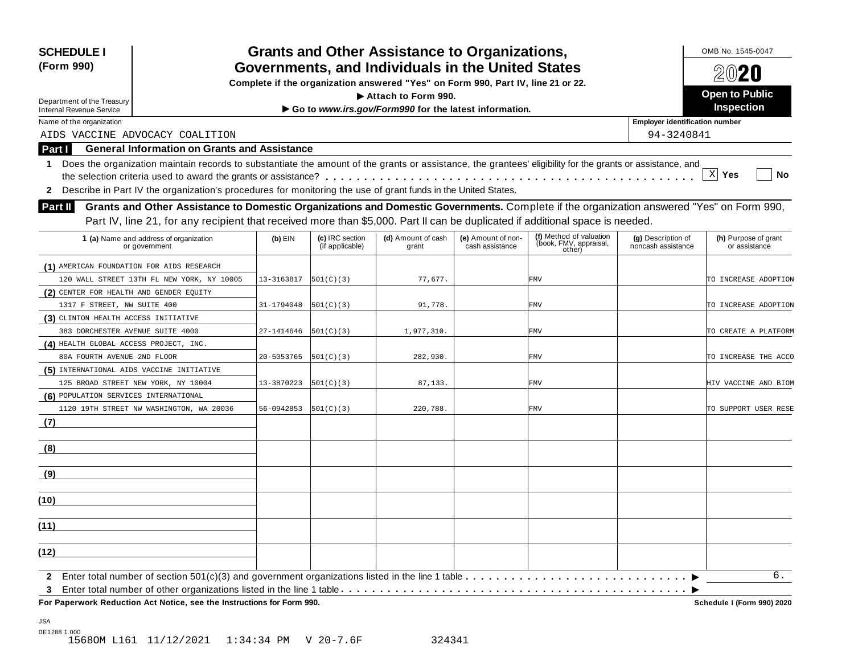| <b>SCHEDULE I</b>                                                                                                                                               |            |                                    | <b>Grants and Other Assistance to Organizations,</b>  |                                       |                                                             |                                          | OMB No. 1545-0047                     |  |
|-----------------------------------------------------------------------------------------------------------------------------------------------------------------|------------|------------------------------------|-------------------------------------------------------|---------------------------------------|-------------------------------------------------------------|------------------------------------------|---------------------------------------|--|
| Governments, and Individuals in the United States<br>(Form 990)<br>Complete if the organization answered "Yes" on Form 990, Part IV, line 21 or 22.             |            |                                    |                                                       |                                       |                                                             |                                          |                                       |  |
|                                                                                                                                                                 |            |                                    |                                                       |                                       |                                                             |                                          | 2020                                  |  |
| Department of the Treasury                                                                                                                                      |            |                                    | $\blacktriangleright$ Attach to Form 990.             |                                       |                                                             |                                          | <b>Open to Public</b>                 |  |
| <b>Internal Revenue Service</b>                                                                                                                                 |            |                                    | Go to www.irs.gov/Form990 for the latest information. |                                       |                                                             |                                          | Inspection                            |  |
| Name of the organization                                                                                                                                        |            |                                    |                                                       |                                       |                                                             | <b>Employer identification number</b>    |                                       |  |
| AIDS VACCINE ADVOCACY COALITION                                                                                                                                 |            |                                    |                                                       |                                       |                                                             | 94-3240841                               |                                       |  |
| <b>General Information on Grants and Assistance</b><br>Part I                                                                                                   |            |                                    |                                                       |                                       |                                                             |                                          |                                       |  |
| Does the organization maintain records to substantiate the amount of the grants or assistance, the grantees' eligibility for the grants or assistance, and<br>1 |            |                                    |                                                       |                                       |                                                             |                                          |                                       |  |
|                                                                                                                                                                 |            |                                    |                                                       |                                       |                                                             |                                          | $X$ Yes<br>No                         |  |
| Describe in Part IV the organization's procedures for monitoring the use of grant funds in the United States.<br>$\mathbf{2}$                                   |            |                                    |                                                       |                                       |                                                             |                                          |                                       |  |
| Grants and Other Assistance to Domestic Organizations and Domestic Governments. Complete if the organization answered "Yes" on Form 990,<br><b>Part II</b>      |            |                                    |                                                       |                                       |                                                             |                                          |                                       |  |
| Part IV, line 21, for any recipient that received more than \$5,000. Part II can be duplicated if additional space is needed.                                   |            |                                    |                                                       |                                       |                                                             |                                          |                                       |  |
|                                                                                                                                                                 |            |                                    |                                                       |                                       |                                                             |                                          |                                       |  |
| 1 (a) Name and address of organization<br>or government                                                                                                         | $(b)$ EIN  | (c) IRC section<br>(if applicable) | (d) Amount of cash<br>grant                           | (e) Amount of non-<br>cash assistance | (f) Method of valuation<br>(book, FMV, appraisal,<br>other) | (g) Description of<br>noncash assistance | (h) Purpose of grant<br>or assistance |  |
| (1) AMERICAN FOUNDATION FOR AIDS RESEARCH                                                                                                                       |            |                                    |                                                       |                                       |                                                             |                                          |                                       |  |
| 120 WALL STREET 13TH FL NEW YORK, NY 10005                                                                                                                      | 13-3163817 | 501(C)(3)                          | 77,677.                                               |                                       | <b>FMV</b>                                                  |                                          | TO INCREASE ADOPTION                  |  |
| (2) CENTER FOR HEALTH AND GENDER EQUITY                                                                                                                         |            |                                    |                                                       |                                       |                                                             |                                          |                                       |  |
| 1317 F STREET, NW SUITE 400                                                                                                                                     | 31-1794048 | 501(C)(3)                          | 91,778.                                               |                                       | <b>FMV</b>                                                  |                                          | TO INCREASE ADOPTION                  |  |
| (3) CLINTON HEALTH ACCESS INITIATIVE                                                                                                                            |            |                                    |                                                       |                                       |                                                             |                                          |                                       |  |
| 383 DORCHESTER AVENUE SUITE 4000                                                                                                                                | 27-1414646 | 501(C)(3)                          | 1,977,310.                                            |                                       | <b>FMV</b>                                                  |                                          | TO CREATE A PLATFORM                  |  |
| (4) HEALTH GLOBAL ACCESS PROJECT, INC.                                                                                                                          |            |                                    |                                                       |                                       |                                                             |                                          |                                       |  |
| 80A FOURTH AVENUE 2ND FLOOR                                                                                                                                     | 20-5053765 | 501(C)(3)                          | 282,930.                                              |                                       | <b>FMV</b>                                                  |                                          | TO INCREASE THE ACCO                  |  |
| (5) INTERNATIONAL AIDS VACCINE INITIATIVE                                                                                                                       |            |                                    |                                                       |                                       |                                                             |                                          |                                       |  |
| 125 BROAD STREET NEW YORK, NY 10004                                                                                                                             | 13-3870223 | 501(C)(3)                          | 87, 133.                                              |                                       | <b>FMV</b>                                                  |                                          | HIV VACCINE AND BIOM                  |  |
| (6) POPULATION SERVICES INTERNATIONAL                                                                                                                           |            |                                    |                                                       |                                       |                                                             |                                          |                                       |  |
| 1120 19TH STREET NW WASHINGTON, WA 20036                                                                                                                        | 56-0942853 | 501(C)(3)                          | 220,788.                                              |                                       | <b>FMV</b>                                                  |                                          | TO SUPPORT USER RESE                  |  |
| (7)                                                                                                                                                             |            |                                    |                                                       |                                       |                                                             |                                          |                                       |  |
| (8)                                                                                                                                                             |            |                                    |                                                       |                                       |                                                             |                                          |                                       |  |
| (9)                                                                                                                                                             |            |                                    |                                                       |                                       |                                                             |                                          |                                       |  |
| (10)                                                                                                                                                            |            |                                    |                                                       |                                       |                                                             |                                          |                                       |  |
|                                                                                                                                                                 |            |                                    |                                                       |                                       |                                                             |                                          |                                       |  |
| (11)                                                                                                                                                            |            |                                    |                                                       |                                       |                                                             |                                          |                                       |  |
| (12)                                                                                                                                                            |            |                                    |                                                       |                                       |                                                             |                                          |                                       |  |
| $\mathbf{2}$                                                                                                                                                    |            |                                    |                                                       |                                       |                                                             |                                          | б.                                    |  |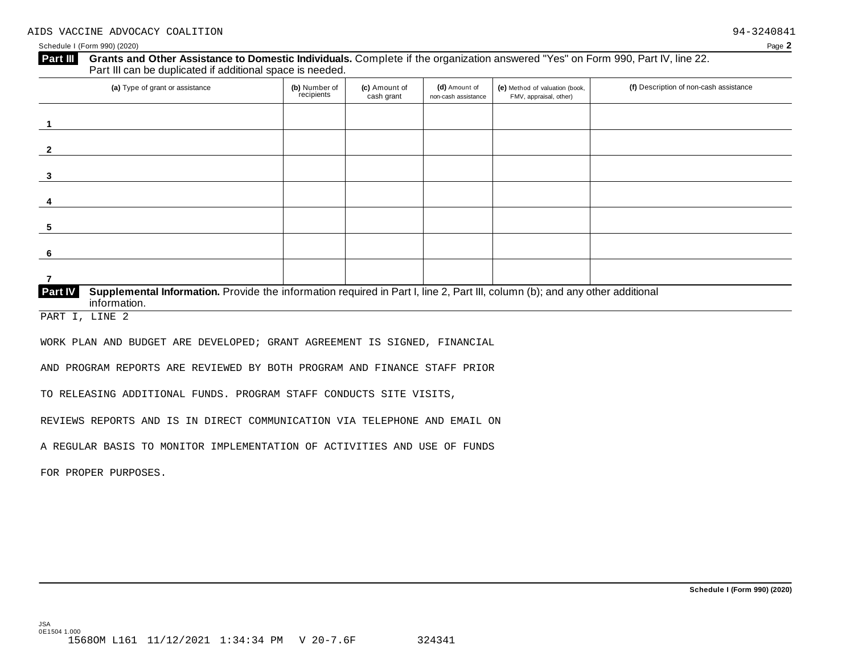## **Grants and Other Assistance to Domestic Individuals.** Complete ifthe organization answered "Yes" on Form 990, Part IV, line 22. **Part III** Grants and Other Assistance to Domestic Individuals<br>Part III can be duplicated if additional space is needed. (a) Type of grant or assistance **(b)** Number of **(c)** Amount of **(d)** Amount of **(e)** Method of valuation (book, **(f)** Description of non-cash assistance FMV, appraisal, other) f<sub>recipients</sub> **(d)** Amount of non-cash assistance **(c)** Amount of cash grant **1 2 3 4 5 6 7 Supplemental Information.** Provide the information required in Part I, line 2, Part III, column (b); and any other additional information. **Part IV**

PART I, LINE 2

WORK PLAN AND BUDGET ARE DEVELOPED; GRANT AGREEMENT IS SIGNED, FINANCIAL

AND PROGRAM REPORTS ARE REVIEWED BY BOTH PROGRAM AND FINANCE STAFF PRIOR

TO RELEASING ADDITIONAL FUNDS. PROGRAM STAFF CONDUCTS SITE VISITS,

REVIEWS REPORTS AND IS IN DIRECT COMMUNICATION VIA TELEPHONE AND EMAIL ON

A REGULAR BASIS TO MONITOR IMPLEMENTATION OF ACTIVITIES AND USE OF FUNDS

FOR PROPER PURPOSES.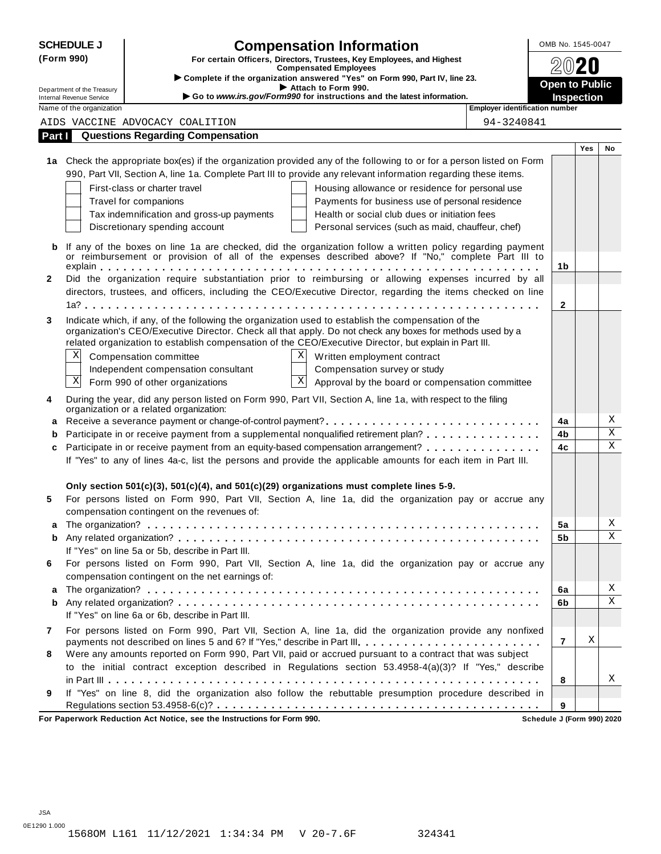|              | <b>SCHEDULE J</b>                                    | <b>Compensation Information</b>                                                                                                                                                                                  | OMB No. 1545-0047     |            |                         |  |  |
|--------------|------------------------------------------------------|------------------------------------------------------------------------------------------------------------------------------------------------------------------------------------------------------------------|-----------------------|------------|-------------------------|--|--|
| (Form 990)   |                                                      | For certain Officers, Directors, Trustees, Key Employees, and Highest                                                                                                                                            |                       |            |                         |  |  |
|              |                                                      | <b>Compensated Employees</b><br>Complete if the organization answered "Yes" on Form 990, Part IV, line 23.                                                                                                       |                       |            |                         |  |  |
|              | Department of the Treasury                           | Attach to Form 990.<br>Go to www.irs.gov/Form990 for instructions and the latest information.                                                                                                                    | <b>Open to Public</b> |            |                         |  |  |
|              | Internal Revenue Service<br>Name of the organization | <b>Employer identification number</b>                                                                                                                                                                            |                       | Inspection |                         |  |  |
|              |                                                      | AIDS VACCINE ADVOCACY COALITION<br>94-3240841                                                                                                                                                                    |                       |            |                         |  |  |
| Part I       |                                                      | <b>Questions Regarding Compensation</b>                                                                                                                                                                          |                       |            |                         |  |  |
|              |                                                      |                                                                                                                                                                                                                  |                       | Yes        | No                      |  |  |
|              |                                                      | 1a Check the appropriate box(es) if the organization provided any of the following to or for a person listed on Form                                                                                             |                       |            |                         |  |  |
|              |                                                      | 990, Part VII, Section A, line 1a. Complete Part III to provide any relevant information regarding these items.                                                                                                  |                       |            |                         |  |  |
|              |                                                      | First-class or charter travel<br>Housing allowance or residence for personal use                                                                                                                                 |                       |            |                         |  |  |
|              |                                                      | Travel for companions<br>Payments for business use of personal residence                                                                                                                                         |                       |            |                         |  |  |
|              |                                                      | Tax indemnification and gross-up payments<br>Health or social club dues or initiation fees                                                                                                                       |                       |            |                         |  |  |
|              |                                                      | Discretionary spending account<br>Personal services (such as maid, chauffeur, chef)                                                                                                                              |                       |            |                         |  |  |
| b            |                                                      | If any of the boxes on line 1a are checked, did the organization follow a written policy regarding payment                                                                                                       |                       |            |                         |  |  |
|              |                                                      | or reimbursement or provision of all of the expenses described above? If "No," complete Part III to                                                                                                              |                       |            |                         |  |  |
| $\mathbf{2}$ |                                                      | Did the organization require substantiation prior to reimbursing or allowing expenses incurred by all                                                                                                            | 1b                    |            |                         |  |  |
|              |                                                      | directors, trustees, and officers, including the CEO/Executive Director, regarding the items checked on line                                                                                                     |                       |            |                         |  |  |
|              |                                                      |                                                                                                                                                                                                                  | $\mathbf{2}$          |            |                         |  |  |
|              |                                                      |                                                                                                                                                                                                                  |                       |            |                         |  |  |
| 3            |                                                      | Indicate which, if any, of the following the organization used to establish the compensation of the<br>organization's CEO/Executive Director. Check all that apply. Do not check any boxes for methods used by a |                       |            |                         |  |  |
|              |                                                      | related organization to establish compensation of the CEO/Executive Director, but explain in Part III.                                                                                                           |                       |            |                         |  |  |
|              | Χ                                                    | Χ<br>Compensation committee<br>Written employment contract                                                                                                                                                       |                       |            |                         |  |  |
|              |                                                      | Independent compensation consultant<br>Compensation survey or study                                                                                                                                              |                       |            |                         |  |  |
|              | Χ                                                    | $\mathbf X$<br>Form 990 of other organizations<br>Approval by the board or compensation committee                                                                                                                |                       |            |                         |  |  |
| 4            |                                                      | During the year, did any person listed on Form 990, Part VII, Section A, line 1a, with respect to the filing                                                                                                     |                       |            |                         |  |  |
|              |                                                      | organization or a related organization:                                                                                                                                                                          |                       |            |                         |  |  |
|              |                                                      |                                                                                                                                                                                                                  | 4a                    |            | Χ                       |  |  |
|              |                                                      | Participate in or receive payment from a supplemental nonqualified retirement plan?                                                                                                                              | 4b                    |            | $\overline{\mathbf{x}}$ |  |  |
| c            |                                                      | Participate in or receive payment from an equity-based compensation arrangement?                                                                                                                                 | 4c                    |            | $\mathbf X$             |  |  |
|              |                                                      | If "Yes" to any of lines 4a-c, list the persons and provide the applicable amounts for each item in Part III.                                                                                                    |                       |            |                         |  |  |
|              |                                                      |                                                                                                                                                                                                                  |                       |            |                         |  |  |
|              |                                                      | Only section 501(c)(3), 501(c)(4), and 501(c)(29) organizations must complete lines 5-9.                                                                                                                         |                       |            |                         |  |  |
| 5            |                                                      | For persons listed on Form 990, Part VII, Section A, line 1a, did the organization pay or accrue any                                                                                                             |                       |            |                         |  |  |
|              |                                                      | compensation contingent on the revenues of:                                                                                                                                                                      |                       |            |                         |  |  |
|              |                                                      |                                                                                                                                                                                                                  | 5a                    |            | Χ                       |  |  |
| b            |                                                      |                                                                                                                                                                                                                  | 5b                    |            | $\mathbf X$             |  |  |
|              |                                                      | If "Yes" on line 5a or 5b, describe in Part III.                                                                                                                                                                 |                       |            |                         |  |  |
| 6            |                                                      | For persons listed on Form 990, Part VII, Section A, line 1a, did the organization pay or accrue any                                                                                                             |                       |            |                         |  |  |
|              |                                                      | compensation contingent on the net earnings of:                                                                                                                                                                  |                       |            |                         |  |  |
|              |                                                      |                                                                                                                                                                                                                  | 6a                    |            | Χ<br>X                  |  |  |
| b            |                                                      |                                                                                                                                                                                                                  | 6b                    |            |                         |  |  |
|              |                                                      | If "Yes" on line 6a or 6b, describe in Part III.                                                                                                                                                                 |                       |            |                         |  |  |
| 7            |                                                      | For persons listed on Form 990, Part VII, Section A, line 1a, did the organization provide any nonfixed                                                                                                          | $\overline{7}$        | Χ          |                         |  |  |
| 8            |                                                      | payments not described on lines 5 and 6? If "Yes," describe in Part III.<br>Were any amounts reported on Form 990, Part VII, paid or accrued pursuant to a contract that was subject                             |                       |            |                         |  |  |
|              |                                                      | to the initial contract exception described in Regulations section 53.4958-4(a)(3)? If "Yes," describe                                                                                                           |                       |            |                         |  |  |
|              |                                                      |                                                                                                                                                                                                                  | 8                     |            | Χ                       |  |  |
| 9            |                                                      | If "Yes" on line 8, did the organization also follow the rebuttable presumption procedure described in                                                                                                           |                       |            |                         |  |  |
|              |                                                      |                                                                                                                                                                                                                  | 9                     |            |                         |  |  |
|              |                                                      |                                                                                                                                                                                                                  |                       |            |                         |  |  |

**For Paperwork Reduction Act Notice, see the Instructions for Form 990. Schedule J (Form 990) 2020**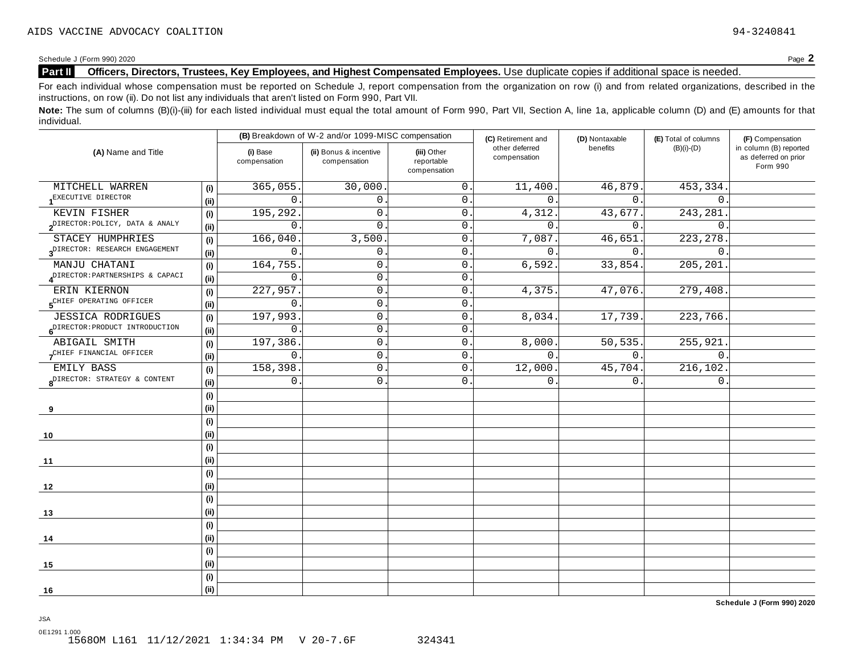Schedule <sup>J</sup> (Form 990) <sup>2020</sup> Page **2**

## **Part II Officers, Directors, Trustees, Key Employees, and Highest Compensated Employees.** Use duplicate copies ifadditional space is needed.

For each individual whose compensation must be reported on Schedule J, report compensation from the organization on row (i) and from related organizations, described in the instructions, on row (ii). Do not list any individuals that aren't listed on Form 990, Part VII.

Note: The sum of columns (B)(i)-(iii) for each listed individual must equal the total amount of Form 990, Part VII, Section A, line 1a, applicable column (D) and (E) amounts for that individual.

| (A) Name and Title                                |                              |                          | (B) Breakdown of W-2 and/or 1099-MISC compensation |                                           | (C) Retirement and             | (D) Nontaxable | (E) Total of columns | (F) Compensation                                           |
|---------------------------------------------------|------------------------------|--------------------------|----------------------------------------------------|-------------------------------------------|--------------------------------|----------------|----------------------|------------------------------------------------------------|
|                                                   |                              | (i) Base<br>compensation | (ii) Bonus & incentive<br>compensation             | (iii) Other<br>reportable<br>compensation | other deferred<br>compensation | benefits       | $(B)(i)-(D)$         | in column (B) reported<br>as deferred on prior<br>Form 990 |
| MITCHELL WARREN                                   | (i)                          | 365,055.                 | 30,000                                             | $\mathbf 0$ .                             | 11,400.                        | 46,879.        | 453,334              |                                                            |
| 1 <sup>EXECUTIVE</sup> DIRECTOR                   | (ii)                         | $\Omega$                 | $\overline{0}$ .                                   | $\mathbf 0$ .                             | $\Omega$ .                     | $\Omega$ .     | $\mathbf{0}$ .       |                                                            |
| KEVIN FISHER                                      | (i)                          | 195,292.                 | 0.                                                 | 0.                                        | 4,312.                         | 43,677.        | 243,281              |                                                            |
| $2^{\text{DIFFOR}: \text{POLICY}}$ , DATA & ANALY | (ii)                         | $\mathbf 0$              | $\mathbf{0}$ .                                     | 0.                                        | $\Omega$                       | $\mathbf 0$ .  | $\mathbf{0}$ .       |                                                            |
| STACEY HUMPHRIES                                  | (i)                          | 166,040                  | 3,500                                              | $0$ .                                     | 7,087                          | 46,651         | 223, 278             |                                                            |
| 3 <sup>DIRECTOR:</sup> RESEARCH ENGAGEMENT        | (i)                          | $\mathbf 0$              | $\mathsf{0}$ .                                     | 0.                                        | $\mathbf{0}$ .                 | $0$ .          | $\mathbf{0}$ .       |                                                            |
| MANJU CHATANI                                     | (i)                          | 164,755                  | $\mathsf{O}$ .                                     | $\boldsymbol{0}$ .                        | 6,592.                         | 33,854.        | 205, 201             |                                                            |
| ADIRECTOR: PARTNERSHIPS & CAPACI                  | (i)                          | $\mathbf 0$              | $\mathsf{O}$ .                                     | $\mathbf{0}$ .                            |                                |                |                      |                                                            |
| ERIN KIERNON                                      | (i)                          | 227,957                  | 0                                                  | 0.                                        | 4,375                          | 47,076.        | 279,408              |                                                            |
| 5 <sup>CHIEF</sup> OPERATING OFFICER              | (ii)                         | 0                        | $\mathsf{O}$                                       | 0.                                        |                                |                |                      |                                                            |
| JESSICA RODRIGUES                                 | (i)                          | 197,993.                 | $\mathsf{O}$ .                                     | 0.                                        | 8,034.                         | 17,739.        | 223,766.             |                                                            |
| 6 <sup>DIRECTOR: PRODUCT INTRODUCTION</sup>       | (ii)                         | 0                        | $\mathsf{O}$ .                                     | $\mathsf{O}$ .                            |                                |                |                      |                                                            |
| ABIGAIL SMITH                                     | $\qquad \qquad \textbf{(i)}$ | 197,386.                 | $\mathbf{0}$ .                                     | $\mathsf{O}$ .                            | 8,000                          | 50,535.        | 255,921.             |                                                            |
| CHIEF FINANCIAL OFFICER                           | (i)                          | $\mathbf 0$              | $\mathsf{O}$ .                                     | $0$ .                                     | $\mathbf{0}$ .                 | 0.             | $\mathbf 0$ .        |                                                            |
| EMILY BASS                                        | (i)                          | 158,398                  | $\mathsf{O}$ .                                     | 0.                                        | 12,000.                        | 45,704.        | 216,102.             |                                                            |
| 8 <sup>DIRECTOR:</sup> STRATEGY & CONTENT         | (i)                          | $\mathsf{O}$             | $\mathsf{O}$                                       | 0.                                        | $\mathbf{0}$                   | 0.             | $\mathbf{0}$ .       |                                                            |
|                                                   | (i)                          |                          |                                                    |                                           |                                |                |                      |                                                            |
| 9                                                 | (i)                          |                          |                                                    |                                           |                                |                |                      |                                                            |
|                                                   | (i)                          |                          |                                                    |                                           |                                |                |                      |                                                            |
| 10                                                | (i)                          |                          |                                                    |                                           |                                |                |                      |                                                            |
|                                                   | (i)                          |                          |                                                    |                                           |                                |                |                      |                                                            |
| 11                                                | (ii)                         |                          |                                                    |                                           |                                |                |                      |                                                            |
|                                                   | (i)                          |                          |                                                    |                                           |                                |                |                      |                                                            |
| 12                                                | (i)                          |                          |                                                    |                                           |                                |                |                      |                                                            |
|                                                   | (i)                          |                          |                                                    |                                           |                                |                |                      |                                                            |
| 13                                                | (i)                          |                          |                                                    |                                           |                                |                |                      |                                                            |
|                                                   | (i)                          |                          |                                                    |                                           |                                |                |                      |                                                            |
| 14                                                | (i)                          |                          |                                                    |                                           |                                |                |                      |                                                            |
|                                                   | (i)                          |                          |                                                    |                                           |                                |                |                      |                                                            |
| 15                                                | (i)                          |                          |                                                    |                                           |                                |                |                      |                                                            |
|                                                   | (i)                          |                          |                                                    |                                           |                                |                |                      |                                                            |
| 16                                                | (i)                          |                          |                                                    |                                           |                                |                |                      |                                                            |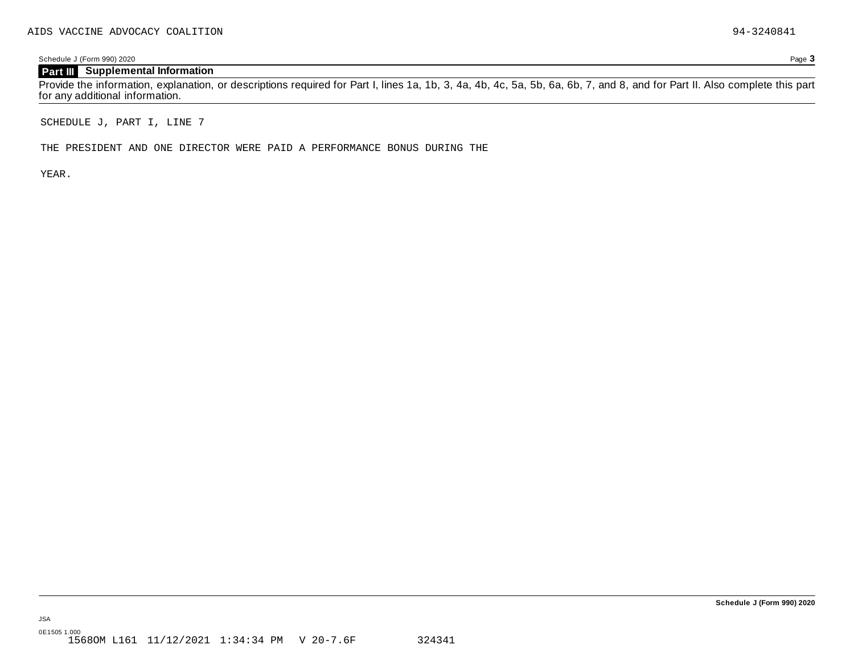Schedule J (Form 990) 2020 Page **3**

## **Part III Supplemental Information**

Provide the information, explanation, or descriptions required for Part I, lines 1a, 1b, 3, 4a, 4b, 4c, 5a, 5b, 6a, 6b, 7, and 8, and for Part II. Also complete this part for any additional information.

SCHEDULE J, PART I, LINE 7

THE PRESIDENT AND ONE DIRECTOR WERE PAID A PERFORMANCE BONUS DURING THE

YEAR.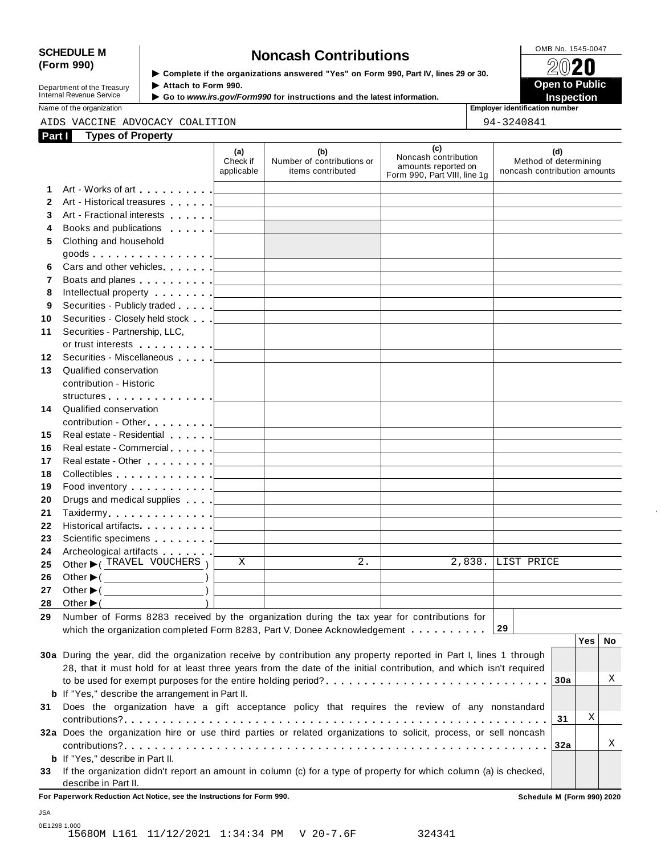# SCHEDULE M<br>
(Form 990) **Supplementary of the organizations answered** "Yes" on Form 990 Part IV lines 29 or 30

**Department of the Treasury<br>Internal Revenue Service** 

**Examplete** if the organizations answered "Yes" on Form 990, Part Ⅳ, lines 29 or 30.<br>▶ Attach to Form 990. **Department of the Treasury ▶ Attach to Form 990.**<br>Internal Revenue Service ▶ Go to *www.irs.gov/Form990* for instructions and the latest information.<br>Nome of the organization aumhor

Name of the organization **intervalse of the organization intervalse of the organization <b>intervalse of the organization intervalse of the organization intervalse of the organization intervalse of the organization**

#### AIDS VACCINE ADVOCACY COALITION  $94-3240841$

| Part I | <b>Types of Property</b>                                                                                                                                                                                                                                                                                                                                                                                                                                                                                                                                                                      |                               |                                                        |                                                                                    |                                                              |
|--------|-----------------------------------------------------------------------------------------------------------------------------------------------------------------------------------------------------------------------------------------------------------------------------------------------------------------------------------------------------------------------------------------------------------------------------------------------------------------------------------------------------------------------------------------------------------------------------------------------|-------------------------------|--------------------------------------------------------|------------------------------------------------------------------------------------|--------------------------------------------------------------|
|        |                                                                                                                                                                                                                                                                                                                                                                                                                                                                                                                                                                                               | (a)<br>Check if<br>applicable | (b)<br>Number of contributions or<br>items contributed | (c)<br>Noncash contribution<br>amounts reported on<br>Form 990, Part VIII, line 1g | (d)<br>Method of determining<br>noncash contribution amounts |
| 1.     |                                                                                                                                                                                                                                                                                                                                                                                                                                                                                                                                                                                               |                               |                                                        |                                                                                    |                                                              |
| 2      | Art - Historical treasures                                                                                                                                                                                                                                                                                                                                                                                                                                                                                                                                                                    |                               |                                                        |                                                                                    |                                                              |
| 3      |                                                                                                                                                                                                                                                                                                                                                                                                                                                                                                                                                                                               |                               |                                                        |                                                                                    |                                                              |
| 4      | Books and publications                                                                                                                                                                                                                                                                                                                                                                                                                                                                                                                                                                        |                               |                                                        |                                                                                    |                                                              |
| 5      | Clothing and household                                                                                                                                                                                                                                                                                                                                                                                                                                                                                                                                                                        |                               |                                                        |                                                                                    |                                                              |
|        | goods <u>  _ _ _ _</u>                                                                                                                                                                                                                                                                                                                                                                                                                                                                                                                                                                        |                               |                                                        |                                                                                    |                                                              |
| 6      | Cars and other vehicles <b>Cars</b>                                                                                                                                                                                                                                                                                                                                                                                                                                                                                                                                                           |                               |                                                        |                                                                                    |                                                              |
| 7      | Boats and planes experience of the set of the set of the set of the set of the set of the set of the set of the set of the set of the set of the set of the set of the set of the set of the set of the set of the set of the                                                                                                                                                                                                                                                                                                                                                                 |                               |                                                        |                                                                                    |                                                              |
| 8      |                                                                                                                                                                                                                                                                                                                                                                                                                                                                                                                                                                                               |                               |                                                        |                                                                                    |                                                              |
| 9      | Securities - Publicly traded [                                                                                                                                                                                                                                                                                                                                                                                                                                                                                                                                                                |                               |                                                        |                                                                                    |                                                              |
| 10     | Securities - Closely held stock                                                                                                                                                                                                                                                                                                                                                                                                                                                                                                                                                               |                               |                                                        |                                                                                    |                                                              |
| 11     | Securities - Partnership, LLC,                                                                                                                                                                                                                                                                                                                                                                                                                                                                                                                                                                |                               |                                                        |                                                                                    |                                                              |
|        | or trust interests [1]                                                                                                                                                                                                                                                                                                                                                                                                                                                                                                                                                                        |                               |                                                        |                                                                                    |                                                              |
| 12     | Securities - Miscellaneous                                                                                                                                                                                                                                                                                                                                                                                                                                                                                                                                                                    |                               |                                                        |                                                                                    |                                                              |
| 13     | Qualified conservation                                                                                                                                                                                                                                                                                                                                                                                                                                                                                                                                                                        |                               |                                                        |                                                                                    |                                                              |
|        | contribution - Historic                                                                                                                                                                                                                                                                                                                                                                                                                                                                                                                                                                       |                               |                                                        |                                                                                    |                                                              |
|        |                                                                                                                                                                                                                                                                                                                                                                                                                                                                                                                                                                                               |                               |                                                        |                                                                                    |                                                              |
| 14     | Qualified conservation                                                                                                                                                                                                                                                                                                                                                                                                                                                                                                                                                                        |                               |                                                        |                                                                                    |                                                              |
|        | contribution - Other [19]                                                                                                                                                                                                                                                                                                                                                                                                                                                                                                                                                                     |                               |                                                        |                                                                                    |                                                              |
| 15     | Real estate - Residential New York 1                                                                                                                                                                                                                                                                                                                                                                                                                                                                                                                                                          |                               |                                                        |                                                                                    |                                                              |
| 16     | Real estate - Commercial Real estate - Commercial                                                                                                                                                                                                                                                                                                                                                                                                                                                                                                                                             |                               |                                                        |                                                                                    |                                                              |
| 17     | Real estate - Other New York New York 1999                                                                                                                                                                                                                                                                                                                                                                                                                                                                                                                                                    |                               |                                                        |                                                                                    |                                                              |
| 18     | Collectibles entertainment of the collectibles                                                                                                                                                                                                                                                                                                                                                                                                                                                                                                                                                |                               |                                                        |                                                                                    |                                                              |
| 19     | Food inventory $\Box$                                                                                                                                                                                                                                                                                                                                                                                                                                                                                                                                                                         |                               |                                                        |                                                                                    |                                                              |
| 20     | Drugs and medical supplies <u>  _ _ _ _ _ _</u>                                                                                                                                                                                                                                                                                                                                                                                                                                                                                                                                               |                               |                                                        |                                                                                    |                                                              |
| 21     |                                                                                                                                                                                                                                                                                                                                                                                                                                                                                                                                                                                               |                               |                                                        |                                                                                    |                                                              |
| 22     | Historical artifacts [1994]                                                                                                                                                                                                                                                                                                                                                                                                                                                                                                                                                                   |                               |                                                        |                                                                                    |                                                              |
| 23     |                                                                                                                                                                                                                                                                                                                                                                                                                                                                                                                                                                                               |                               |                                                        |                                                                                    |                                                              |
| 24     | Archeological artifacts [1996]                                                                                                                                                                                                                                                                                                                                                                                                                                                                                                                                                                |                               |                                                        |                                                                                    |                                                              |
| 25     | Other C TRAVEL VOUCHERS                                                                                                                                                                                                                                                                                                                                                                                                                                                                                                                                                                       | X                             | 2.                                                     | 2,838.                                                                             | LLIST PRICE                                                  |
| 26     | Other $\blacktriangleright$ ( $\_\_\_\_\_\_\_\_$ )                                                                                                                                                                                                                                                                                                                                                                                                                                                                                                                                            |                               |                                                        |                                                                                    |                                                              |
| 27     | Other $\blacktriangleright$ ( $\_\_\_\_\_\_\_\_$ )                                                                                                                                                                                                                                                                                                                                                                                                                                                                                                                                            |                               |                                                        |                                                                                    |                                                              |
| 28     | Other $\blacktriangleright$ (                                                                                                                                                                                                                                                                                                                                                                                                                                                                                                                                                                 |                               |                                                        |                                                                                    |                                                              |
| 29     | Number of Forms 8283 received by the organization during the tax year for contributions for                                                                                                                                                                                                                                                                                                                                                                                                                                                                                                   |                               |                                                        |                                                                                    |                                                              |
|        | which the organization completed Form 8283, Part V, Donee Acknowledgement $\dots \dots \dots$                                                                                                                                                                                                                                                                                                                                                                                                                                                                                                 |                               |                                                        |                                                                                    | 29                                                           |
|        |                                                                                                                                                                                                                                                                                                                                                                                                                                                                                                                                                                                               |                               |                                                        |                                                                                    | Yes<br>No                                                    |
|        | 30a During the year, did the organization receive by contribution any property reported in Part I, lines 1 through                                                                                                                                                                                                                                                                                                                                                                                                                                                                            |                               |                                                        |                                                                                    |                                                              |
|        |                                                                                                                                                                                                                                                                                                                                                                                                                                                                                                                                                                                               |                               |                                                        |                                                                                    |                                                              |
|        |                                                                                                                                                                                                                                                                                                                                                                                                                                                                                                                                                                                               |                               |                                                        |                                                                                    |                                                              |
|        |                                                                                                                                                                                                                                                                                                                                                                                                                                                                                                                                                                                               |                               |                                                        |                                                                                    |                                                              |
| 31     |                                                                                                                                                                                                                                                                                                                                                                                                                                                                                                                                                                                               |                               |                                                        |                                                                                    |                                                              |
|        |                                                                                                                                                                                                                                                                                                                                                                                                                                                                                                                                                                                               |                               |                                                        |                                                                                    |                                                              |
|        |                                                                                                                                                                                                                                                                                                                                                                                                                                                                                                                                                                                               |                               |                                                        |                                                                                    |                                                              |
|        |                                                                                                                                                                                                                                                                                                                                                                                                                                                                                                                                                                                               |                               |                                                        |                                                                                    |                                                              |
|        |                                                                                                                                                                                                                                                                                                                                                                                                                                                                                                                                                                                               |                               |                                                        |                                                                                    |                                                              |
|        |                                                                                                                                                                                                                                                                                                                                                                                                                                                                                                                                                                                               |                               |                                                        |                                                                                    |                                                              |
|        | For Paperwork Reduction Act Notice, see the Instructions for Form 990.                                                                                                                                                                                                                                                                                                                                                                                                                                                                                                                        |                               |                                                        |                                                                                    | Schedule M (Form 990) 2020                                   |
| 33     | 28, that it must hold for at least three years from the date of the initial contribution, and which isn't required<br><b>b</b> If "Yes," describe the arrangement in Part II.<br>Does the organization have a gift acceptance policy that requires the review of any nonstandard<br>32a Does the organization hire or use third parties or related organizations to solicit, process, or sell noncash<br><b>b</b> If "Yes," describe in Part II.<br>If the organization didn't report an amount in column (c) for a type of property for which column (a) is checked,<br>describe in Part II. |                               |                                                        |                                                                                    | Χ<br>30a<br>Χ<br>31<br>Χ<br>32a                              |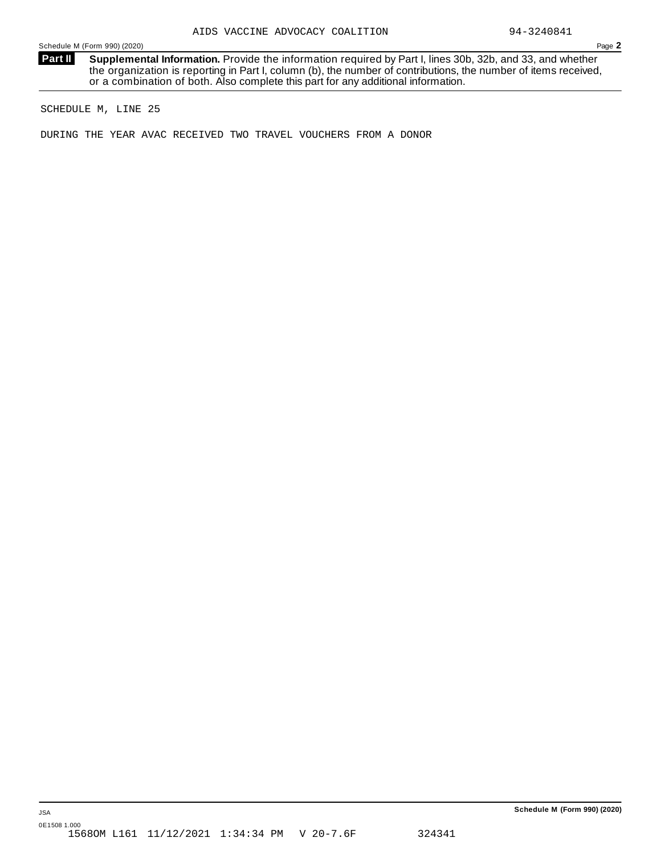Schedule M (Form 990) (2020) Page **2**

**Supplemental Information.** Provide the information required by Part I, lines 30b, 32b, and 33, and whether the organization is reporting in Part I, column (b), the number of contributions, the number of items received, or a combination of both. Also complete this part for any additional information. **Part II**

SCHEDULE M, LINE 25

DURING THE YEAR AVAC RECEIVED TWO TRAVEL VOUCHERS FROM A DONOR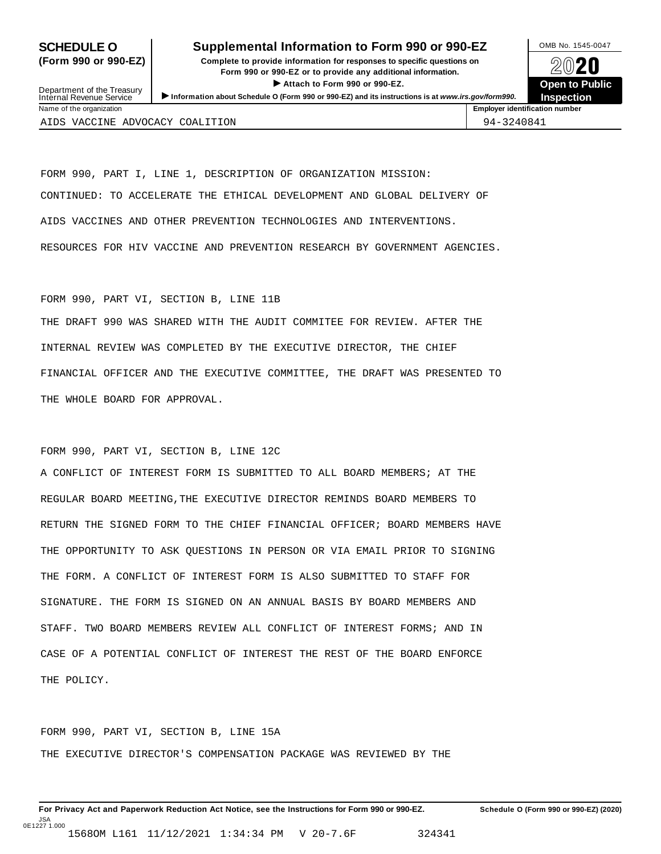#### **SCHEDULE O** Supplemental Information to Form 990 or 990-EZ DAMB No. 1545-0047

**(Form 990 or 990-EZ) Complete to provide information for responses to specific questions on** plete to provide information for responses to specific questions on  $\bigotimes_{\mathbb{Z}}\mathbb{Q}$  20 **EVECT**<br>
Attach to Form 990 or 990-EZ.<br>
and the Communication of the Communication of the Communication of the Communication of the Communication of the Communication of the Communication of the Communication of the Commu Department of the Treasury <br>Depen to Public<br>Name of the organization<br>Name of the organization<br>Name of the organization<br>Name of the organization<br>Inspection



Department of the Treasury<br>Internal Revenue Service

AIDS VACCINE ADVOCACY COALITION  $94-3240841$ 

FORM 990, PART I, LINE 1, DESCRIPTION OF ORGANIZATION MISSION: CONTINUED: TO ACCELERATE THE ETHICAL DEVELOPMENT AND GLOBAL DELIVERY OF AIDS VACCINES AND OTHER PREVENTION TECHNOLOGIES AND INTERVENTIONS. RESOURCES FOR HIV VACCINE AND PREVENTION RESEARCH BY GOVERNMENT AGENCIES.

#### FORM 990, PART VI, SECTION B, LINE 11B

THE DRAFT 990 WAS SHARED WITH THE AUDIT COMMITEE FOR REVIEW. AFTER THE INTERNAL REVIEW WAS COMPLETED BY THE EXECUTIVE DIRECTOR, THE CHIEF FINANCIAL OFFICER AND THE EXECUTIVE COMMITTEE, THE DRAFT WAS PRESENTED TO THE WHOLE BOARD FOR APPROVAL.

#### FORM 990, PART VI, SECTION B, LINE 12C

A CONFLICT OF INTEREST FORM IS SUBMITTED TO ALL BOARD MEMBERS; AT THE REGULAR BOARD MEETING,THE EXECUTIVE DIRECTOR REMINDS BOARD MEMBERS TO RETURN THE SIGNED FORM TO THE CHIEF FINANCIAL OFFICER; BOARD MEMBERS HAVE THE OPPORTUNITY TO ASK QUESTIONS IN PERSON OR VIA EMAIL PRIOR TO SIGNING THE FORM. A CONFLICT OF INTEREST FORM IS ALSO SUBMITTED TO STAFF FOR SIGNATURE. THE FORM IS SIGNED ON AN ANNUAL BASIS BY BOARD MEMBERS AND STAFF. TWO BOARD MEMBERS REVIEW ALL CONFLICT OF INTEREST FORMS; AND IN CASE OF A POTENTIAL CONFLICT OF INTEREST THE REST OF THE BOARD ENFORCE THE POLICY.

FORM 990, PART VI, SECTION B, LINE 15A THE EXECUTIVE DIRECTOR'S COMPENSATION PACKAGE WAS REVIEWED BY THE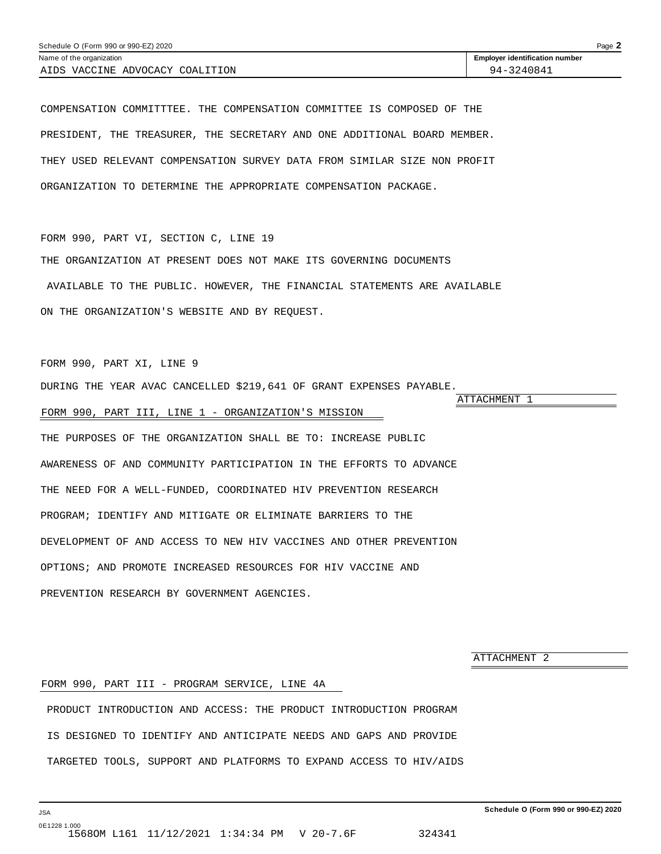<span id="page-43-0"></span>COMPENSATION COMMITTTEE. THE COMPENSATION COMMITTEE IS COMPOSED OF THE PRESIDENT, THE TREASURER, THE SECRETARY AND ONE ADDITIONAL BOARD MEMBER. THEY USED RELEVANT COMPENSATION SURVEY DATA FROM SIMILAR SIZE NON PROFIT ORGANIZATION TO DETERMINE THE APPROPRIATE COMPENSATION PACKAGE.

FORM 990, PART VI, SECTION C, LINE 19

THE ORGANIZATION AT PRESENT DOES NOT MAKE ITS GOVERNING DOCUMENTS AVAILABLE TO THE PUBLIC. HOWEVER, THE FINANCIAL STATEMENTS ARE AVAILABLE ON THE ORGANIZATION'S WEBSITE AND BY REQUEST.

FORM 990, PART XI, LINE 9

DURING THE YEAR AVAC CANCELLED \$219,641 OF GRANT EXPENSES PAYABLE.

ATTACHMENT 1

#### FORM 990, PART III, LINE 1 - ORGANIZATION'S MISSION

THE PURPOSES OF THE ORGANIZATION SHALL BE TO: INCREASE PUBLIC AWARENESS OF AND COMMUNITY PARTICIPATION IN THE EFFORTS TO ADVANCE THE NEED FOR A WELL-FUNDED, COORDINATED HIV PREVENTION RESEARCH PROGRAM; IDENTIFY AND MITIGATE OR ELIMINATE BARRIERS TO THE DEVELOPMENT OF AND ACCESS TO NEW HIV VACCINES AND OTHER PREVENTION OPTIONS; AND PROMOTE INCREASED RESOURCES FOR HIV VACCINE AND PREVENTION RESEARCH BY GOVERNMENT AGENCIES.

ATTACHMENT 2

#### FORM 990, PART III - PROGRAM SERVICE, LINE 4A

PRODUCT INTRODUCTION AND ACCESS: THE PRODUCT INTRODUCTION PROGRAM IS DESIGNED TO IDENTIFY AND ANTICIPATE NEEDS AND GAPS AND PROVIDE TARGETED TOOLS, SUPPORT AND PLATFORMS TO EXPAND ACCESS TO HIV/AIDS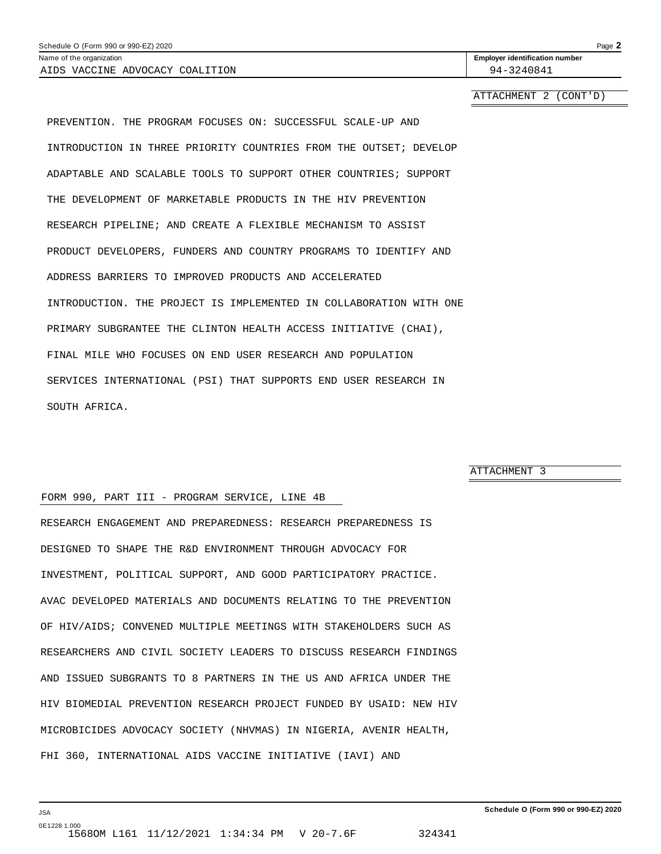<span id="page-44-0"></span>

| Schedule O (Form 990 or 990-EZ) 2020 |                                       | Page 2 |
|--------------------------------------|---------------------------------------|--------|
| Name of the organization             | <b>Employer identification number</b> |        |
| AIDS VACCINE ADVOCACY COALITION      | 94-3240841                            |        |
|                                      |                                       |        |

ATTACHMENT 2 (CONT'D)

PREVENTION. THE PROGRAM FOCUSES ON: SUCCESSFUL SCALE-UP AND INTRODUCTION IN THREE PRIORITY COUNTRIES FROM THE OUTSET; DEVELOP ADAPTABLE AND SCALABLE TOOLS TO SUPPORT OTHER COUNTRIES; SUPPORT THE DEVELOPMENT OF MARKETABLE PRODUCTS IN THE HIV PREVENTION RESEARCH PIPELINE; AND CREATE A FLEXIBLE MECHANISM TO ASSIST PRODUCT DEVELOPERS, FUNDERS AND COUNTRY PROGRAMS TO IDENTIFY AND ADDRESS BARRIERS TO IMPROVED PRODUCTS AND ACCELERATED INTRODUCTION. THE PROJECT IS IMPLEMENTED IN COLLABORATION WITH ONE PRIMARY SUBGRANTEE THE CLINTON HEALTH ACCESS INITIATIVE (CHAI), FINAL MILE WHO FOCUSES ON END USER RESEARCH AND POPULATION SERVICES INTERNATIONAL (PSI) THAT SUPPORTS END USER RESEARCH IN SOUTH AFRICA.

ATTACHMENT 3

#### FORM 990, PART III - PROGRAM SERVICE, LINE 4B

RESEARCH ENGAGEMENT AND PREPAREDNESS: RESEARCH PREPAREDNESS IS DESIGNED TO SHAPE THE R&D ENVIRONMENT THROUGH ADVOCACY FOR INVESTMENT, POLITICAL SUPPORT, AND GOOD PARTICIPATORY PRACTICE. AVAC DEVELOPED MATERIALS AND DOCUMENTS RELATING TO THE PREVENTION OF HIV/AIDS; CONVENED MULTIPLE MEETINGS WITH STAKEHOLDERS SUCH AS RESEARCHERS AND CIVIL SOCIETY LEADERS TO DISCUSS RESEARCH FINDINGS AND ISSUED SUBGRANTS TO 8 PARTNERS IN THE US AND AFRICA UNDER THE HIV BIOMEDIAL PREVENTION RESEARCH PROJECT FUNDED BY USAID: NEW HIV MICROBICIDES ADVOCACY SOCIETY (NHVMAS) IN NIGERIA, AVENIR HEALTH, FHI 360, INTERNATIONAL AIDS VACCINE INITIATIVE (IAVI) AND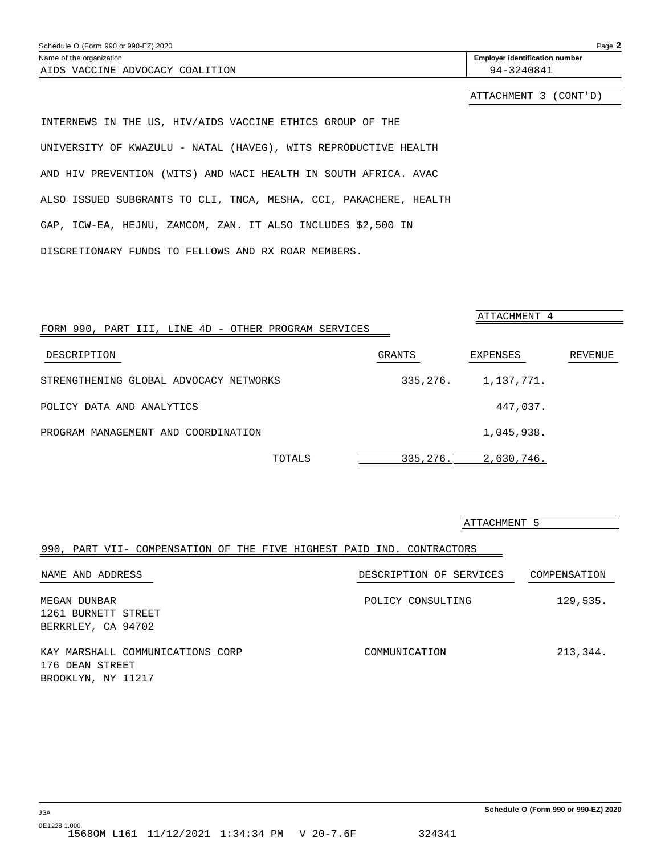<span id="page-45-0"></span>

| Schedule O (Form 990 or 990-EZ) 2020 | Page 2                                |
|--------------------------------------|---------------------------------------|
| Name of the organization             | <b>Employer identification number</b> |
| AIDS VACCINE ADVOCACY COALITION      | 94-3240841                            |
|                                      | ATTACHMENT 3 (CONT'D)                 |
|                                      |                                       |

INTERNEWS IN THE US, HIV/AIDS VACCINE ETHICS GROUP OF THE UNIVERSITY OF KWAZULU - NATAL (HAVEG), WITS REPRODUCTIVE HEALTH AND HIV PREVENTION (WITS) AND WACI HEALTH IN SOUTH AFRICA. AVAC ALSO ISSUED SUBGRANTS TO CLI, TNCA, MESHA, CCI, PAKACHERE, HEALTH GAP, ICW-EA, HEJNU, ZAMCOM, ZAN. IT ALSO INCLUDES \$2,500 IN DISCRETIONARY FUNDS TO FELLOWS AND RX ROAR MEMBERS.

|                                                      |          | ATTACHMENT 4 |         |
|------------------------------------------------------|----------|--------------|---------|
| FORM 990, PART III, LINE 4D - OTHER PROGRAM SERVICES |          |              |         |
| DESCRIPTION                                          | GRANTS   | EXPENSES     | REVENUE |
| STRENGTHENING GLOBAL ADVOCACY NETWORKS               | 335,276. | 1,137,771.   |         |
| POLICY DATA AND ANALYTICS                            |          | 447,037.     |         |
| PROGRAM MANAGEMENT AND COORDINATION                  |          | 1,045,938.   |         |
| TOTALS                                               | 335,276. | 2,630,746.   |         |

#### ATTACHMENT 5

#### 990, PART VII- COMPENSATION OF THE FIVE HIGHEST PAID IND. CONTRACTORS

| NAME AND ADDRESS                 | DESCRIPTION OF SERVICES | COMPENSATION |
|----------------------------------|-------------------------|--------------|
| MEGAN DUNBAR                     | POLICY CONSULTING       | 129,535.     |
| 1261 BURNETT STREET              |                         |              |
| BERKRLEY, CA 94702               |                         |              |
| KAY MARSHALL COMMUNICATIONS CORP | COMMUNICATION           | 213,344.     |
| 176 DEAN STREET                  |                         |              |
| BROOKLYN, NY 11217               |                         |              |